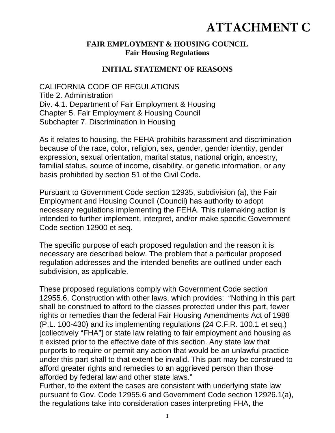# **ATTACHMENT C**

#### **FAIR EMPLOYMENT & HOUSING COUNCIL Fair Housing Regulations**

#### **INITIAL STATEMENT OF REASONS**

CALIFORNIA CODE OF REGULATIONS Title 2. Administration Div. 4.1. Department of Fair Employment & Housing Chapter 5. Fair Employment & Housing Council Subchapter 7. Discrimination in Housing

As it relates to housing, the FEHA prohibits harassment and discrimination because of the race, color, religion, sex, gender, gender identity, gender expression, sexual orientation, marital status, national origin, ancestry, familial status, source of income, disability, or genetic information, or any basis prohibited by section 51 of the Civil Code.

Pursuant to Government Code section 12935, subdivision (a), the Fair Employment and Housing Council (Council) has authority to adopt necessary regulations implementing the FEHA. This rulemaking action is intended to further implement, interpret, and/or make specific Government Code section 12900 et seq.

The specific purpose of each proposed regulation and the reason it is necessary are described below. The problem that a particular proposed regulation addresses and the intended benefits are outlined under each subdivision, as applicable.

These proposed regulations comply with Government Code section 12955.6, Construction with other laws, which provides: "Nothing in this part shall be construed to afford to the classes protected under this part, fewer rights or remedies than the federal Fair Housing Amendments Act of 1988 (P.L. 100-430) and its implementing regulations (24 C.F.R. 100.1 et seq.) [collectively "FHA"] or state law relating to fair employment and housing as it existed prior to the effective date of this section. Any state law that purports to require or permit any action that would be an unlawful practice under this part shall to that extent be invalid. This part may be construed to afford greater rights and remedies to an aggrieved person than those afforded by federal law and other state laws."

Further, to the extent the cases are consistent with underlying state law pursuant to Gov. Code 12955.6 and Government Code section 12926.1(a), the regulations take into consideration cases interpreting FHA, the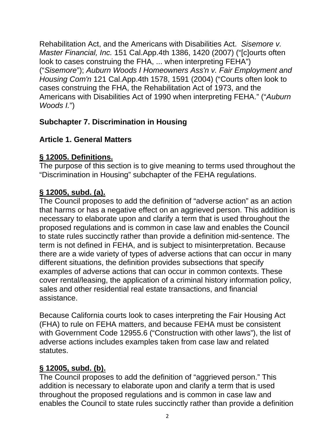Rehabilitation Act, and the Americans with Disabilities Act. *Sisemore v. Master Financial, Inc.* 151 Cal.App.4th 1386, 1420 (2007) ("[c]ourts often look to cases construing the FHA, ... when interpreting FEHA") ("*Sisemore*"); *Auburn Woods I Homeowners Ass'n v. Fair Employment and Housing Com'n* 121 Cal.App.4th 1578, 1591 (2004) ("Courts often look to cases construing the FHA, the Rehabilitation Act of 1973, and the Americans with Disabilities Act of 1990 when interpreting FEHA." ("*Auburn Woods I.*")

## **Subchapter 7. Discrimination in Housing**

# **Article 1. General Matters**

# **§ 12005. Definitions.**

The purpose of this section is to give meaning to terms used throughout the "Discrimination in Housing" subchapter of the FEHA regulations.

# **§ 12005, subd. (a).**

The Council proposes to add the definition of "adverse action" as an action that harms or has a negative effect on an aggrieved person. This addition is necessary to elaborate upon and clarify a term that is used throughout the proposed regulations and is common in case law and enables the Council to state rules succinctly rather than provide a definition mid-sentence. The term is not defined in FEHA, and is subject to misinterpretation. Because there are a wide variety of types of adverse actions that can occur in many different situations, the definition provides subsections that specify examples of adverse actions that can occur in common contexts. These cover rental/leasing, the application of a criminal history information policy, sales and other residential real estate transactions, and financial assistance.

Because California courts look to cases interpreting the Fair Housing Act (FHA) to rule on FEHA matters, and because FEHA must be consistent with Government Code 12955.6 ("Construction with other laws"), the list of adverse actions includes examples taken from case law and related statutes.

## **§ 12005, subd. (b).**

The Council proposes to add the definition of "aggrieved person." This addition is necessary to elaborate upon and clarify a term that is used throughout the proposed regulations and is common in case law and enables the Council to state rules succinctly rather than provide a definition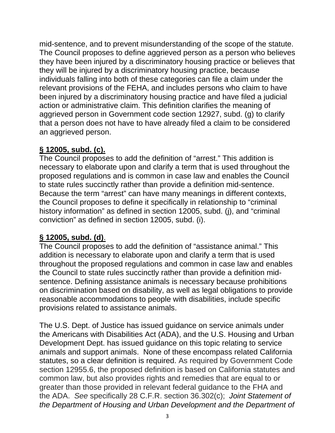mid-sentence, and to prevent misunderstanding of the scope of the statute. The Council proposes to define aggrieved person as a person who believes they have been injured by a discriminatory housing practice or believes that they will be injured by a discriminatory housing practice, because individuals falling into both of these categories can file a claim under the relevant provisions of the FEHA, and includes persons who claim to have been injured by a discriminatory housing practice and have filed a judicial action or administrative claim. This definition clarifies the meaning of aggrieved person in Government code section 12927, subd. (g) to clarify that a person does not have to have already filed a claim to be considered an aggrieved person.

#### **§ 12005, subd. (c).**

The Council proposes to add the definition of "arrest." This addition is necessary to elaborate upon and clarify a term that is used throughout the proposed regulations and is common in case law and enables the Council to state rules succinctly rather than provide a definition mid-sentence. Because the term "arrest" can have many meanings in different contexts, the Council proposes to define it specifically in relationship to "criminal history information" as defined in section 12005, subd. (j), and "criminal conviction" as defined in section 12005, subd. (i).

#### **§ 12005, subd. (d)**.

The Council proposes to add the definition of "assistance animal." This addition is necessary to elaborate upon and clarify a term that is used throughout the proposed regulations and common in case law and enables the Council to state rules succinctly rather than provide a definition midsentence. Defining assistance animals is necessary because prohibitions on discrimination based on disability, as well as legal obligations to provide reasonable accommodations to people with disabilities, include specific provisions related to assistance animals.

The U.S. Dept. of Justice has issued guidance on service animals under the Americans with Disabilities Act (ADA), and the U.S. Housing and Urban Development Dept. has issued guidance on this topic relating to service animals and support animals. None of these encompass related California statutes, so a clear definition is required. As required by Government Code section 12955.6, the proposed definition is based on California statutes and common law, but also provides rights and remedies that are equal to or greater than those provided in relevant federal guidance to the FHA and the ADA. *See* specifically 28 C.F.R. section 36.302(c); *Joint Statement of the Department of Housing and Urban Development and the Department of*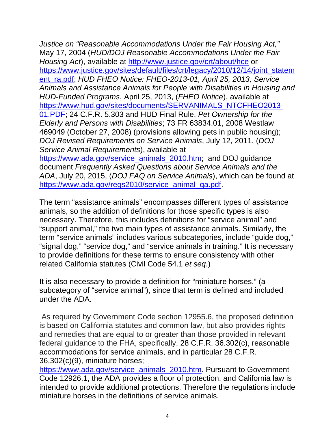*Justice on "Reasonable Accommodations Under the Fair Housing Act,"* May 17, 2004 (*HUD/DOJ Reasonable Accommodations Under the Fair Housing Act*), available at http://www.justice.gov/crt/about/hce or https://www.justice.gov/sites/default/files/crt/legacy/2010/12/14/joint\_statem ent\_ra.pdf; *HUD FHEO Notice: FHEO-2013-01, April 25, 2013, Service Animals and Assistance Animals for People with Disabilities in Housing and HUD-Funded Programs*, April 25, 2013, (*FHEO Notice*), available at https://www.hud.gov/sites/documents/SERVANIMALS\_NTCFHEO2013-01.PDF; 24 C.F.R. 5.303 and HUD Final Rule, *Pet Ownership for the Elderly and Persons with Disabilities*; 73 FR 63834.01, 2008 Westlaw 469049 (October 27, 2008) (provisions allowing pets in public housing); *DOJ Revised Requirements on Service Animals*, July 12, 2011, (*DOJ Service Animal Requirements*), available at https://www.ada.gov/service\_animals\_2010.htm; and DOJ guidance document *Frequently Asked Questions about Service Animals and the ADA*, July 20, 2015, (*DOJ FAQ on Service Animals*), which can be found at

https://www.ada.gov/regs2010/service\_animal\_qa.pdf.

The term "assistance animals" encompasses different types of assistance animals, so the addition of definitions for those specific types is also necessary. Therefore, this includes definitions for "service animal" and "support animal," the two main types of assistance animals. Similarly, the term "service animals" includes various subcategories, include "guide dog," "signal dog," "service dog," and "service animals in training." It is necessary to provide definitions for these terms to ensure consistency with other related California statutes (Civil Code 54.1 *et seq*.)

It is also necessary to provide a definition for "miniature horses," (a subcategory of "service animal"), since that term is defined and included under the ADA.

As required by Government Code section 12955.6, the proposed definition is based on California statutes and common law, but also provides rights and remedies that are equal to or greater than those provided in relevant federal guidance to the FHA, specifically, 28 C.F.R. 36.302(c), reasonable accommodations for service animals, and in particular 28 C.F.R. 36.302(c)(9), miniature horses;

https://www.ada.gov/service\_animals\_2010.htm. Pursuant to Government Code 12926.1, the ADA provides a floor of protection, and California law is intended to provide additional protections. Therefore the regulations include miniature horses in the definitions of service animals.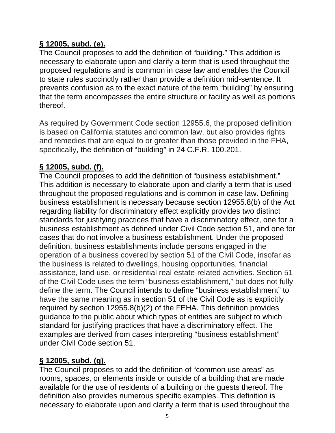## **§ 12005, subd. (e).**

The Council proposes to add the definition of "building." This addition is necessary to elaborate upon and clarify a term that is used throughout the proposed regulations and is common in case law and enables the Council to state rules succinctly rather than provide a definition mid-sentence. It prevents confusion as to the exact nature of the term "building" by ensuring that the term encompasses the entire structure or facility as well as portions thereof.

As required by Government Code section 12955.6, the proposed definition is based on California statutes and common law, but also provides rights and remedies that are equal to or greater than those provided in the FHA, specifically, the definition of "building" in 24 C.F.R. 100.201.

# **§ 12005, subd. (f).**

The Council proposes to add the definition of "business establishment." This addition is necessary to elaborate upon and clarify a term that is used throughout the proposed regulations and is common in case law. Defining business establishment is necessary because section 12955.8(b) of the Act regarding liability for discriminatory effect explicitly provides two distinct standards for justifying practices that have a discriminatory effect, one for a business establishment as defined under Civil Code section 51, and one for cases that do not involve a business establishment. Under the proposed definition, business establishments include persons engaged in the operation of a business covered by section 51 of the Civil Code, insofar as the business is related to dwellings, housing opportunities, financial assistance, land use, or residential real estate-related activities. Section 51 of the Civil Code uses the term "business establishment," but does not fully define the term. The Council intends to define "business establishment" to have the same meaning as in section 51 of the Civil Code as is explicitly required by section 12955.8(b)(2) of the FEHA. This definition provides guidance to the public about which types of entities are subject to which standard for justifying practices that have a discriminatory effect. The examples are derived from cases interpreting "business establishment" under Civil Code section 51.

## **§ 12005, subd. (g).**

The Council proposes to add the definition of "common use areas" as rooms, spaces, or elements inside or outside of a building that are made available for the use of residents of a building or the guests thereof. The definition also provides numerous specific examples. This definition is necessary to elaborate upon and clarify a term that is used throughout the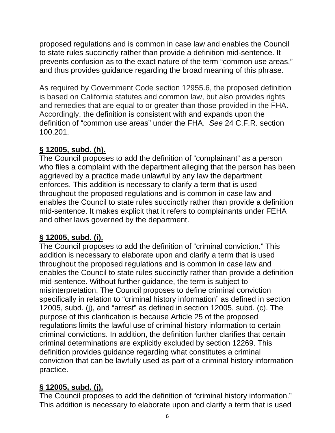proposed regulations and is common in case law and enables the Council to state rules succinctly rather than provide a definition mid-sentence. It prevents confusion as to the exact nature of the term "common use areas," and thus provides guidance regarding the broad meaning of this phrase.

As required by Government Code section 12955.6, the proposed definition is based on California statutes and common law, but also provides rights and remedies that are equal to or greater than those provided in the FHA. Accordingly, the definition is consistent with and expands upon the definition of "common use areas" under the FHA. *See* 24 C.F.R. section 100.201.

## **§ 12005, subd. (h).**

The Council proposes to add the definition of "complainant" as a person who files a complaint with the department alleging that the person has been aggrieved by a practice made unlawful by any law the department enforces. This addition is necessary to clarify a term that is used throughout the proposed regulations and is common in case law and enables the Council to state rules succinctly rather than provide a definition mid-sentence. It makes explicit that it refers to complainants under FEHA and other laws governed by the department.

## **§ 12005, subd. (i).**

The Council proposes to add the definition of "criminal conviction." This addition is necessary to elaborate upon and clarify a term that is used throughout the proposed regulations and is common in case law and enables the Council to state rules succinctly rather than provide a definition mid-sentence. Without further guidance, the term is subject to misinterpretation. The Council proposes to define criminal conviction specifically in relation to "criminal history information" as defined in section 12005, subd. (j), and "arrest" as defined in section 12005, subd. (c). The purpose of this clarification is because Article 25 of the proposed regulations limits the lawful use of criminal history information to certain criminal convictions. In addition, the definition further clarifies that certain criminal determinations are explicitly excluded by section 12269. This definition provides guidance regarding what constitutes a criminal conviction that can be lawfully used as part of a criminal history information practice.

# **§ 12005, subd. (j).**

The Council proposes to add the definition of "criminal history information." This addition is necessary to elaborate upon and clarify a term that is used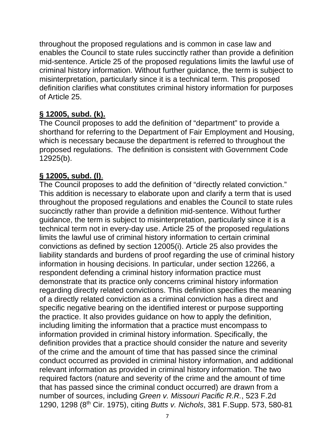throughout the proposed regulations and is common in case law and enables the Council to state rules succinctly rather than provide a definition mid-sentence. Article 25 of the proposed regulations limits the lawful use of criminal history information. Without further guidance, the term is subject to misinterpretation, particularly since it is a technical term. This proposed definition clarifies what constitutes criminal history information for purposes of Article 25.

#### **§ 12005, subd. (k).**

The Council proposes to add the definition of "department" to provide a shorthand for referring to the Department of Fair Employment and Housing, which is necessary because the department is referred to throughout the proposed regulations. The definition is consistent with Government Code 12925(b).

#### **§ 12005, subd. (l)**.

The Council proposes to add the definition of "directly related conviction." This addition is necessary to elaborate upon and clarify a term that is used throughout the proposed regulations and enables the Council to state rules succinctly rather than provide a definition mid-sentence. Without further guidance, the term is subject to misinterpretation, particularly since it is a technical term not in every-day use. Article 25 of the proposed regulations limits the lawful use of criminal history information to certain criminal convictions as defined by section 12005(i). Article 25 also provides the liability standards and burdens of proof regarding the use of criminal history information in housing decisions. In particular, under section 12266, a respondent defending a criminal history information practice must demonstrate that its practice only concerns criminal history information regarding directly related convictions. This definition specifies the meaning of a directly related conviction as a criminal conviction has a direct and specific negative bearing on the identified interest or purpose supporting the practice. It also provides guidance on how to apply the definition, including limiting the information that a practice must encompass to information provided in criminal history information. Specifically, the definition provides that a practice should consider the nature and severity of the crime and the amount of time that has passed since the criminal conduct occurred as provided in criminal history information, and additional relevant information as provided in criminal history information. The two required factors (nature and severity of the crime and the amount of time that has passed since the criminal conduct occurred) are drawn from a number of sources, including *Green v. Missouri Pacific R.R.*, 523 F.2d 1290, 1298 (8th Cir. 1975), citing *Butts v. Nichols*, 381 F.Supp. 573, 580-81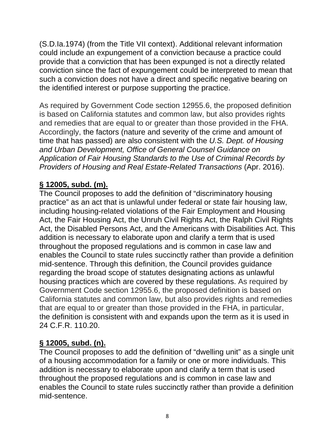(S.D.Ia.1974) (from the Title VII context). Additional relevant information could include an expungement of a conviction because a practice could provide that a conviction that has been expunged is not a directly related conviction since the fact of expungement could be interpreted to mean that such a conviction does not have a direct and specific negative bearing on the identified interest or purpose supporting the practice.

As required by Government Code section 12955.6, the proposed definition is based on California statutes and common law, but also provides rights and remedies that are equal to or greater than those provided in the FHA. Accordingly, the factors (nature and severity of the crime and amount of time that has passed) are also consistent with the *U.S. Dept. of Housing and Urban Development, Office of General Counsel Guidance on Application of Fair Housing Standards to the Use of Criminal Records by Providers of Housing and Real Estate-Related Transactions* (Apr. 2016).

## **§ 12005, subd. (m).**

The Council proposes to add the definition of "discriminatory housing practice" as an act that is unlawful under federal or state fair housing law, including housing-related violations of the Fair Employment and Housing Act, the Fair Housing Act, the Unruh Civil Rights Act, the Ralph Civil Rights Act, the Disabled Persons Act, and the Americans with Disabilities Act. This addition is necessary to elaborate upon and clarify a term that is used throughout the proposed regulations and is common in case law and enables the Council to state rules succinctly rather than provide a definition mid-sentence. Through this definition, the Council provides guidance regarding the broad scope of statutes designating actions as unlawful housing practices which are covered by these regulations. As required by Government Code section 12955.6, the proposed definition is based on California statutes and common law, but also provides rights and remedies that are equal to or greater than those provided in the FHA, in particular, the definition is consistent with and expands upon the term as it is used in 24 C.F.R. 110.20.

## **§ 12005, subd. (n).**

The Council proposes to add the definition of "dwelling unit" as a single unit of a housing accommodation for a family or one or more individuals. This addition is necessary to elaborate upon and clarify a term that is used throughout the proposed regulations and is common in case law and enables the Council to state rules succinctly rather than provide a definition mid-sentence.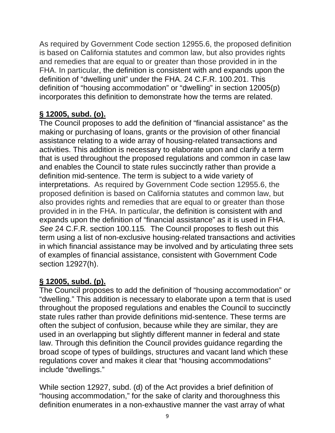As required by Government Code section 12955.6, the proposed definition is based on California statutes and common law, but also provides rights and remedies that are equal to or greater than those provided in in the FHA. In particular, the definition is consistent with and expands upon the definition of "dwelling unit" under the FHA. 24 C.F.R. 100.201. This definition of "housing accommodation" or "dwelling" in section 12005(p) incorporates this definition to demonstrate how the terms are related.

## **§ 12005, subd. (o).**

The Council proposes to add the definition of "financial assistance" as the making or purchasing of loans, grants or the provision of other financial assistance relating to a wide array of housing-related transactions and activities. This addition is necessary to elaborate upon and clarify a term that is used throughout the proposed regulations and common in case law and enables the Council to state rules succinctly rather than provide a definition mid-sentence. The term is subject to a wide variety of interpretations. As required by Government Code section 12955.6, the proposed definition is based on California statutes and common law, but also provides rights and remedies that are equal to or greater than those provided in in the FHA. In particular, the definition is consistent with and expands upon the definition of "financial assistance" as it is used in FHA. *See* 24 C.F.R. section 100.115*.* The Council proposes to flesh out this term using a list of non-exclusive housing-related transactions and activities in which financial assistance may be involved and by articulating three sets of examples of financial assistance, consistent with Government Code section 12927(h).

## **§ 12005, subd. (p).**

The Council proposes to add the definition of "housing accommodation" or "dwelling." This addition is necessary to elaborate upon a term that is used throughout the proposed regulations and enables the Council to succinctly state rules rather than provide definitions mid-sentence. These terms are often the subject of confusion, because while they are similar, they are used in an overlapping but slightly different manner in federal and state law. Through this definition the Council provides guidance regarding the broad scope of types of buildings, structures and vacant land which these regulations cover and makes it clear that "housing accommodations" include "dwellings."

While section 12927, subd. (d) of the Act provides a brief definition of "housing accommodation," for the sake of clarity and thoroughness this definition enumerates in a non-exhaustive manner the vast array of what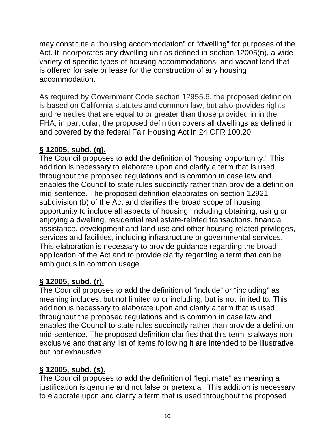may constitute a "housing accommodation" or "dwelling" for purposes of the Act. It incorporates any dwelling unit as defined in section 12005(n), a wide variety of specific types of housing accommodations, and vacant land that is offered for sale or lease for the construction of any housing accommodation.

As required by Government Code section 12955.6, the proposed definition is based on California statutes and common law, but also provides rights and remedies that are equal to or greater than those provided in in the FHA, in particular, the proposed definition covers all dwellings as defined in and covered by the federal Fair Housing Act in 24 CFR 100.20.

# **§ 12005, subd. (q).**

The Council proposes to add the definition of "housing opportunity." This addition is necessary to elaborate upon and clarify a term that is used throughout the proposed regulations and is common in case law and enables the Council to state rules succinctly rather than provide a definition mid-sentence. The proposed definition elaborates on section 12921, subdivision (b) of the Act and clarifies the broad scope of housing opportunity to include all aspects of housing, including obtaining, using or enjoying a dwelling, residential real estate-related transactions, financial assistance, development and land use and other housing related privileges, services and facilities, including infrastructure or governmental services. This elaboration is necessary to provide guidance regarding the broad application of the Act and to provide clarity regarding a term that can be ambiguous in common usage.

## **§ 12005, subd. (r).**

The Council proposes to add the definition of "include" or "including" as meaning includes, but not limited to or including, but is not limited to. This addition is necessary to elaborate upon and clarify a term that is used throughout the proposed regulations and is common in case law and enables the Council to state rules succinctly rather than provide a definition mid-sentence. The proposed definition clarifies that this term is always nonexclusive and that any list of items following it are intended to be illustrative but not exhaustive.

## **§ 12005, subd. (s).**

The Council proposes to add the definition of "legitimate" as meaning a justification is genuine and not false or pretexual. This addition is necessary to elaborate upon and clarify a term that is used throughout the proposed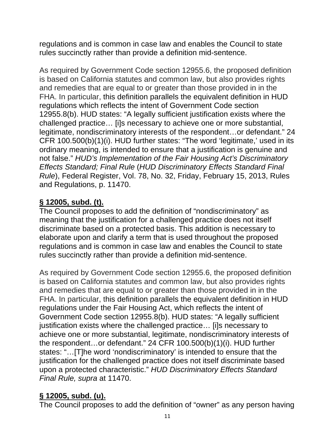regulations and is common in case law and enables the Council to state rules succinctly rather than provide a definition mid-sentence.

As required by Government Code section 12955.6, the proposed definition is based on California statutes and common law, but also provides rights and remedies that are equal to or greater than those provided in in the FHA. In particular, this definition parallels the equivalent definition in HUD regulations which reflects the intent of Government Code section 12955.8(b). HUD states: "A legally sufficient justification exists where the challenged practice… [i]s necessary to achieve one or more substantial, legitimate, nondiscriminatory interests of the respondent…or defendant." 24 CFR 100.500(b)(1)(i). HUD further states: "The word 'legitimate,' used in its ordinary meaning, is intended to ensure that a justification is genuine and not false." *HUD's Implementation of the Fair Housing Act's Discriminatory Effects Standard; Final Rule* (*HUD Discriminatory Effects Standard Final Rule*), Federal Register, Vol. 78, No. 32, Friday, February 15, 2013, Rules and Regulations, p. 11470.

## **§ 12005, subd. (t).**

The Council proposes to add the definition of "nondiscriminatory" as meaning that the justification for a challenged practice does not itself discriminate based on a protected basis. This addition is necessary to elaborate upon and clarify a term that is used throughout the proposed regulations and is common in case law and enables the Council to state rules succinctly rather than provide a definition mid-sentence.

As required by Government Code section 12955.6, the proposed definition is based on California statutes and common law, but also provides rights and remedies that are equal to or greater than those provided in in the FHA. In particular, this definition parallels the equivalent definition in HUD regulations under the Fair Housing Act, which reflects the intent of Government Code section 12955.8(b). HUD states: "A legally sufficient justification exists where the challenged practice... [i]s necessary to achieve one or more substantial, legitimate, nondiscriminatory interests of the respondent…or defendant." 24 CFR 100.500(b)(1)(i). HUD further states: "…[T]he word 'nondiscriminatory' is intended to ensure that the justification for the challenged practice does not itself discriminate based upon a protected characteristic." *HUD Discriminatory Effects Standard Final Rule, supra* at 11470.

## **§ 12005, subd. (u).**

The Council proposes to add the definition of "owner" as any person having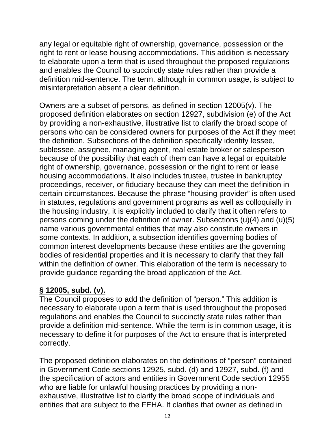any legal or equitable right of ownership, governance, possession or the right to rent or lease housing accommodations. This addition is necessary to elaborate upon a term that is used throughout the proposed regulations and enables the Council to succinctly state rules rather than provide a definition mid-sentence. The term, although in common usage, is subject to misinterpretation absent a clear definition.

Owners are a subset of persons, as defined in section 12005(v). The proposed definition elaborates on section 12927, subdivision (e) of the Act by providing a non-exhaustive, illustrative list to clarify the broad scope of persons who can be considered owners for purposes of the Act if they meet the definition. Subsections of the definition specifically identify lessee, sublessee, assignee, managing agent, real estate broker or salesperson because of the possibility that each of them can have a legal or equitable right of ownership, governance, possession or the right to rent or lease housing accommodations. It also includes trustee, trustee in bankruptcy proceedings, receiver, or fiduciary because they can meet the definition in certain circumstances. Because the phrase "housing provider" is often used in statutes, regulations and government programs as well as colloquially in the housing industry, it is explicitly included to clarify that it often refers to persons coming under the definition of owner. Subsections (u)(4) and (u)(5) name various governmental entities that may also constitute owners in some contexts. In addition, a subsection identifies governing bodies of common interest developments because these entities are the governing bodies of residential properties and it is necessary to clarify that they fall within the definition of owner. This elaboration of the term is necessary to provide guidance regarding the broad application of the Act.

#### **§ 12005, subd. (v).**

The Council proposes to add the definition of "person." This addition is necessary to elaborate upon a term that is used throughout the proposed regulations and enables the Council to succinctly state rules rather than provide a definition mid-sentence. While the term is in common usage, it is necessary to define it for purposes of the Act to ensure that is interpreted correctly.

The proposed definition elaborates on the definitions of "person" contained in Government Code sections 12925, subd. (d) and 12927, subd. (f) and the specification of actors and entities in Government Code section 12955 who are liable for unlawful housing practices by providing a nonexhaustive, illustrative list to clarify the broad scope of individuals and entities that are subject to the FEHA. It clarifies that owner as defined in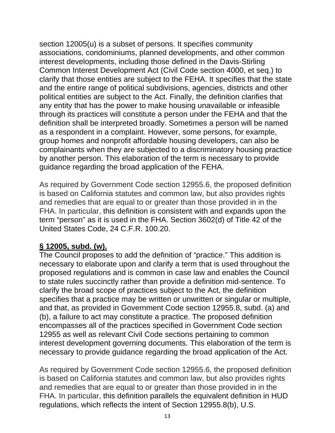section 12005(u) is a subset of persons. It specifies community associations, condominiums, planned developments, and other common interest developments, including those defined in the Davis-Stirling Common Interest Development Act (Civil Code section 4000, et seq.) to clarify that those entities are subject to the FEHA. It specifies that the state and the entire range of political subdivisions, agencies, districts and other political entities are subject to the Act. Finally, the definition clarifies that any entity that has the power to make housing unavailable or infeasible through its practices will constitute a person under the FEHA and that the definition shall be interpreted broadly. Sometimes a person will be named as a respondent in a complaint. However, some persons, for example, group homes and nonprofit affordable housing developers, can also be complainants when they are subjected to a discriminatory housing practice by another person. This elaboration of the term is necessary to provide guidance regarding the broad application of the FEHA.

As required by Government Code section 12955.6, the proposed definition is based on California statutes and common law, but also provides rights and remedies that are equal to or greater than those provided in in the FHA. In particular, this definition is consistent with and expands upon the term "person" as it is used in the FHA. Section 3602(d) of Title 42 of the United States Code, 24 C.F.R. 100.20.

#### **§ 12005, subd. (w).**

The Council proposes to add the definition of "practice." This addition is necessary to elaborate upon and clarify a term that is used throughout the proposed regulations and is common in case law and enables the Council to state rules succinctly rather than provide a definition mid-sentence. To clarify the broad scope of practices subject to the Act, the definition specifies that a practice may be written or unwritten or singular or multiple, and that, as provided in Government Code section 12955.8, subd. (a) and (b), a failure to act may constitute a practice. The proposed definition encompasses all of the practices specified in Government Code section 12955 as well as relevant Civil Code sections pertaining to common interest development governing documents. This elaboration of the term is necessary to provide guidance regarding the broad application of the Act.

As required by Government Code section 12955.6, the proposed definition is based on California statutes and common law, but also provides rights and remedies that are equal to or greater than those provided in in the FHA. In particular, this definition parallels the equivalent definition in HUD regulations, which reflects the intent of Section 12955.8(b), U.S.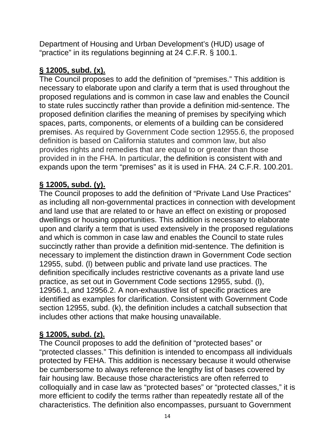Department of Housing and Urban Development's (HUD) usage of "practice" in its regulations beginning at 24 C.F.R. § 100.1.

#### **§ 12005, subd. (x).**

The Council proposes to add the definition of "premises." This addition is necessary to elaborate upon and clarify a term that is used throughout the proposed regulations and is common in case law and enables the Council to state rules succinctly rather than provide a definition mid-sentence. The proposed definition clarifies the meaning of premises by specifying which spaces, parts, components, or elements of a building can be considered premises. As required by Government Code section 12955.6, the proposed definition is based on California statutes and common law, but also provides rights and remedies that are equal to or greater than those provided in in the FHA. In particular, the definition is consistent with and expands upon the term "premises" as it is used in FHA. 24 C.F.R. 100.201.

#### **§ 12005, subd. (y).**

The Council proposes to add the definition of "Private Land Use Practices" as including all non-governmental practices in connection with development and land use that are related to or have an effect on existing or proposed dwellings or housing opportunities. This addition is necessary to elaborate upon and clarify a term that is used extensively in the proposed regulations and which is common in case law and enables the Council to state rules succinctly rather than provide a definition mid-sentence. The definition is necessary to implement the distinction drawn in Government Code section 12955, subd. (l) between public and private land use practices. The definition specifically includes restrictive covenants as a private land use practice, as set out in Government Code sections 12955, subd. (l), 12956.1, and 12956.2. A non-exhaustive list of specific practices are identified as examples for clarification. Consistent with Government Code section 12955, subd. (k), the definition includes a catchall subsection that includes other actions that make housing unavailable.

## **§ 12005, subd. (z).**

The Council proposes to add the definition of "protected bases" or "protected classes." This definition is intended to encompass all individuals protected by FEHA. This addition is necessary because it would otherwise be cumbersome to always reference the lengthy list of bases covered by fair housing law. Because those characteristics are often referred to colloquially and in case law as "protected bases" or "protected classes," it is more efficient to codify the terms rather than repeatedly restate all of the characteristics. The definition also encompasses, pursuant to Government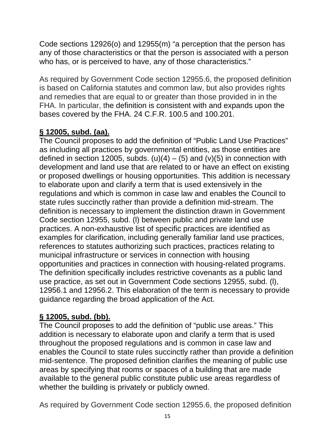Code sections 12926(o) and 12955(m) "a perception that the person has any of those characteristics or that the person is associated with a person who has, or is perceived to have, any of those characteristics."

As required by Government Code section 12955.6, the proposed definition is based on California statutes and common law, but also provides rights and remedies that are equal to or greater than those provided in in the FHA. In particular, the definition is consistent with and expands upon the bases covered by the FHA. 24 C.F.R. 100.5 and 100.201.

# **§ 12005, subd. (aa).**

The Council proposes to add the definition of "Public Land Use Practices" as including all practices by governmental entities, as those entities are defined in section 12005, subds. (u)(4) – (5) and (v)(5) in connection with development and land use that are related to or have an effect on existing or proposed dwellings or housing opportunities. This addition is necessary to elaborate upon and clarify a term that is used extensively in the regulations and which is common in case law and enables the Council to state rules succinctly rather than provide a definition mid-stream. The definition is necessary to implement the distinction drawn in Government Code section 12955, subd. (l) between public and private land use practices. A non-exhaustive list of specific practices are identified as examples for clarification, including generally familiar land use practices, references to statutes authorizing such practices, practices relating to municipal infrastructure or services in connection with housing opportunities and practices in connection with housing-related programs. The definition specifically includes restrictive covenants as a public land use practice, as set out in Government Code sections 12955, subd. (l), 12956.1 and 12956.2. This elaboration of the term is necessary to provide guidance regarding the broad application of the Act.

## **§ 12005, subd. (bb).**

The Council proposes to add the definition of "public use areas." This addition is necessary to elaborate upon and clarify a term that is used throughout the proposed regulations and is common in case law and enables the Council to state rules succinctly rather than provide a definition mid-sentence. The proposed definition clarifies the meaning of public use areas by specifying that rooms or spaces of a building that are made available to the general public constitute public use areas regardless of whether the building is privately or publicly owned.

As required by Government Code section 12955.6, the proposed definition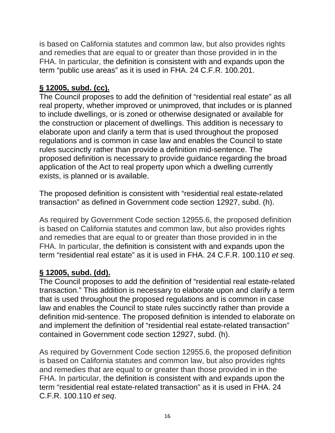is based on California statutes and common law, but also provides rights and remedies that are equal to or greater than those provided in in the FHA. In particular, the definition is consistent with and expands upon the term "public use areas" as it is used in FHA. 24 C.F.R. 100.201.

## **§ 12005, subd. (cc).**

The Council proposes to add the definition of "residential real estate" as all real property, whether improved or unimproved, that includes or is planned to include dwellings, or is zoned or otherwise designated or available for the construction or placement of dwellings. This addition is necessary to elaborate upon and clarify a term that is used throughout the proposed regulations and is common in case law and enables the Council to state rules succinctly rather than provide a definition mid-sentence. The proposed definition is necessary to provide guidance regarding the broad application of the Act to real property upon which a dwelling currently exists, is planned or is available.

The proposed definition is consistent with "residential real estate-related transaction" as defined in Government code section 12927, subd. (h).

As required by Government Code section 12955.6, the proposed definition is based on California statutes and common law, but also provides rights and remedies that are equal to or greater than those provided in in the FHA. In particular, the definition is consistent with and expands upon the term "residential real estate" as it is used in FHA. 24 C.F.R. 100.110 *et seq*.

## **§ 12005, subd. (dd).**

The Council proposes to add the definition of "residential real estate-related transaction." This addition is necessary to elaborate upon and clarify a term that is used throughout the proposed regulations and is common in case law and enables the Council to state rules succinctly rather than provide a definition mid-sentence. The proposed definition is intended to elaborate on and implement the definition of "residential real estate-related transaction" contained in Government code section 12927, subd. (h).

As required by Government Code section 12955.6, the proposed definition is based on California statutes and common law, but also provides rights and remedies that are equal to or greater than those provided in in the FHA. In particular, the definition is consistent with and expands upon the term "residential real estate-related transaction" as it is used in FHA. 24 C.F.R. 100.110 *et seq*.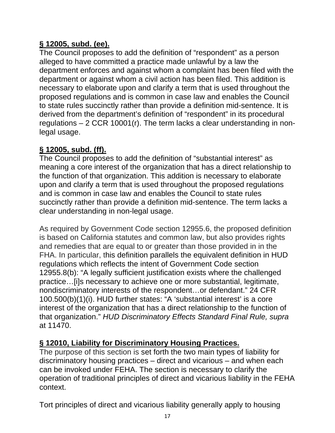# **§ 12005, subd. (ee).**

The Council proposes to add the definition of "respondent" as a person alleged to have committed a practice made unlawful by a law the department enforces and against whom a complaint has been filed with the department or against whom a civil action has been filed. This addition is necessary to elaborate upon and clarify a term that is used throughout the proposed regulations and is common in case law and enables the Council to state rules succinctly rather than provide a definition mid-sentence. It is derived from the department's definition of "respondent" in its procedural regulations – 2 CCR 10001(r). The term lacks a clear understanding in nonlegal usage.

#### **§ 12005, subd. (ff).**

The Council proposes to add the definition of "substantial interest" as meaning a core interest of the organization that has a direct relationship to the function of that organization. This addition is necessary to elaborate upon and clarify a term that is used throughout the proposed regulations and is common in case law and enables the Council to state rules succinctly rather than provide a definition mid-sentence. The term lacks a clear understanding in non-legal usage.

As required by Government Code section 12955.6, the proposed definition is based on California statutes and common law, but also provides rights and remedies that are equal to or greater than those provided in in the FHA. In particular, this definition parallels the equivalent definition in HUD regulations which reflects the intent of Government Code section 12955.8(b): "A legally sufficient justification exists where the challenged practice…[i]s necessary to achieve one or more substantial, legitimate, nondiscriminatory interests of the respondent…or defendant." 24 CFR 100.500(b)(1)(i). HUD further states: "A 'substantial interest' is a core interest of the organization that has a direct relationship to the function of that organization." *HUD Discriminatory Effects Standard Final Rule, supra*  at 11470.

#### **§ 12010, Liability for Discriminatory Housing Practices.**

The purpose of this section is set forth the two main types of liability for discriminatory housing practices – direct and vicarious – and when each can be invoked under FEHA. The section is necessary to clarify the operation of traditional principles of direct and vicarious liability in the FEHA context.

Tort principles of direct and vicarious liability generally apply to housing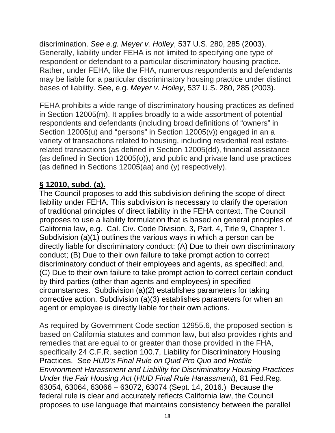discrimination. *See e.g. Meyer v. Holley*, 537 U.S. 280, 285 (2003). Generally, liability under FEHA is not limited to specifying one type of respondent or defendant to a particular discriminatory housing practice. Rather, under FEHA, like the FHA, numerous respondents and defendants may be liable for a particular discriminatory housing practice under distinct bases of liability. See, e.g. *Meyer v. Holley*, 537 U.S. 280, 285 (2003).

FEHA prohibits a wide range of discriminatory housing practices as defined in Section 12005(m). It applies broadly to a wide assortment of potential respondents and defendants (including broad definitions of "owners" in Section 12005(u) and "persons" in Section 12005(v)) engaged in an a variety of transactions related to housing, including residential real estaterelated transactions (as defined in Section 12005(dd), financial assistance (as defined in Section 12005(o)), and public and private land use practices (as defined in Sections 12005(aa) and (y) respectively).

#### **§ 12010, subd. (a).**

The Council proposes to add this subdivision defining the scope of direct liability under FEHA. This subdivision is necessary to clarify the operation of traditional principles of direct liability in the FEHA context. The Council proposes to use a liability formulation that is based on general principles of California law, e.g. Cal. Civ. Code Division. 3, Part. 4, Title 9, Chapter 1. Subdivision (a)(1) outlines the various ways in which a person can be directly liable for discriminatory conduct: (A) Due to their own discriminatory conduct; (B) Due to their own failure to take prompt action to correct discriminatory conduct of their employees and agents, as specified; and, (C) Due to their own failure to take prompt action to correct certain conduct by third parties (other than agents and employees) in specified circumstances. Subdivision (a)(2) establishes parameters for taking corrective action. Subdivision (a)(3) establishes parameters for when an agent or employee is directly liable for their own actions.

As required by Government Code section 12955.6, the proposed section is based on California statutes and common law, but also provides rights and remedies that are equal to or greater than those provided in the FHA, specifically 24 C.F.R. section 100.7, Liability for Discriminatory Housing Practices. *See HUD's Final Rule on Quid Pro Quo and Hostile Environment Harassment and Liability for Discriminatory Housing Practices Under the Fair Housing Act* (*HUD Final Rule Harassment*), 81 Fed.Reg. 63054, 63064, 63066 – 63072, 63074 (Sept. 14, 2016.) Because the federal rule is clear and accurately reflects California law, the Council proposes to use language that maintains consistency between the parallel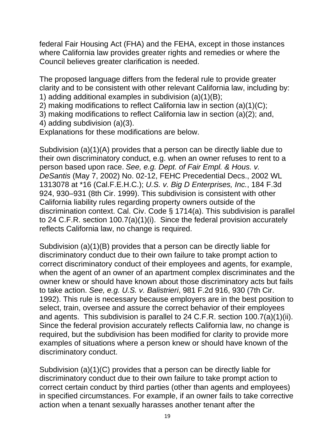federal Fair Housing Act (FHA) and the FEHA, except in those instances where California law provides greater rights and remedies or where the Council believes greater clarification is needed.

The proposed language differs from the federal rule to provide greater clarity and to be consistent with other relevant California law, including by: 1) adding additional examples in subdivision (a)(1)(B);

2) making modifications to reflect California law in section (a)(1)(C);

3) making modifications to reflect California law in section (a)(2); and,

4) adding subdivision (a)(3).

Explanations for these modifications are below.

Subdivision (a)(1)(A) provides that a person can be directly liable due to their own discriminatory conduct, e.g. when an owner refuses to rent to a person based upon race. *See, e.g. Dept. of Fair Empl. & Hous. v. DeSantis* (May 7, 2002) No. 02-12, FEHC Precedential Decs., 2002 WL 1313078 at \*16 (Cal.F.E.H.C.); *U.S. v. Big D Enterprises, Inc.*, 184 F.3d 924, 930–931 (8th Cir. 1999). This subdivision is consistent with other California liability rules regarding property owners outside of the discrimination context. Cal. Civ. Code § 1714(a). This subdivision is parallel to 24 C.F.R. section 100.7(a)(1)(i). Since the federal provision accurately reflects California law, no change is required.

Subdivision (a)(1)(B) provides that a person can be directly liable for discriminatory conduct due to their own failure to take prompt action to correct discriminatory conduct of their employees and agents, for example, when the agent of an owner of an apartment complex discriminates and the owner knew or should have known about those discriminatory acts but fails to take action. *See, e.g. U.S. v. Balistrieri*, 981 F.2d 916, 930 (7th Cir. 1992). This rule is necessary because employers are in the best position to select, train, oversee and assure the correct behavior of their employees and agents. This subdivision is parallel to 24 C.F.R. section 100.7(a)(1)(ii). Since the federal provision accurately reflects California law, no change is required, but the subdivision has been modified for clarity to provide more examples of situations where a person knew or should have known of the discriminatory conduct.

Subdivision (a)(1)(C) provides that a person can be directly liable for discriminatory conduct due to their own failure to take prompt action to correct certain conduct by third parties (other than agents and employees) in specified circumstances. For example, if an owner fails to take corrective action when a tenant sexually harasses another tenant after the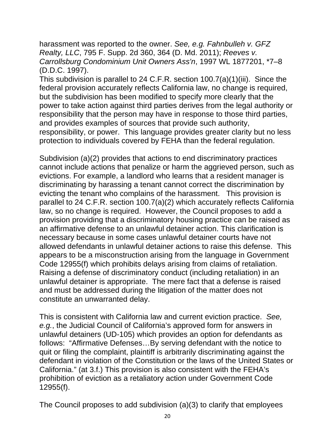harassment was reported to the owner. *See, e.g. Fahnbulleh v. GFZ Realty, LLC*, 795 F. Supp. 2d 360, 364 (D. Md. 2011); *Reeves v. Carrollsburg Condominium Unit Owners Ass'n*, 1997 WL 1877201, \*7–8 (D.D.C. 1997).

This subdivision is parallel to 24 C.F.R. section 100.7(a)(1)(iii). Since the federal provision accurately reflects California law, no change is required, but the subdivision has been modified to specify more clearly that the power to take action against third parties derives from the legal authority or responsibility that the person may have in response to those third parties, and provides examples of sources that provide such authority, responsibility, or power. This language provides greater clarity but no less protection to individuals covered by FEHA than the federal regulation.

Subdivision (a)(2) provides that actions to end discriminatory practices cannot include actions that penalize or harm the aggrieved person, such as evictions. For example, a landlord who learns that a resident manager is discriminating by harassing a tenant cannot correct the discrimination by evicting the tenant who complains of the harassment. This provision is parallel to 24 C.F.R. section 100.7(a)(2) which accurately reflects California law, so no change is required. However, the Council proposes to add a provision providing that a discriminatory housing practice can be raised as an affirmative defense to an unlawful detainer action. This clarification is necessary because in some cases unlawful detainer courts have not allowed defendants in unlawful detainer actions to raise this defense. This appears to be a misconstruction arising from the language in Government Code 12955(f) which prohibits delays arising from claims of retaliation. Raising a defense of discriminatory conduct (including retaliation) in an unlawful detainer is appropriate. The mere fact that a defense is raised and must be addressed during the litigation of the matter does not constitute an unwarranted delay.

This is consistent with California law and current eviction practice. *See, e.g.*, the Judicial Council of California's approved form for answers in unlawful detainers (UD-105) which provides an option for defendants as follows: "Affirmative Defenses…By serving defendant with the notice to quit or filing the complaint, plaintiff is arbitrarily discriminating against the defendant in violation of the Constitution or the laws of the United States or California." (at 3.f.) This provision is also consistent with the FEHA's prohibition of eviction as a retaliatory action under Government Code 12955(f).

The Council proposes to add subdivision (a)(3) to clarify that employees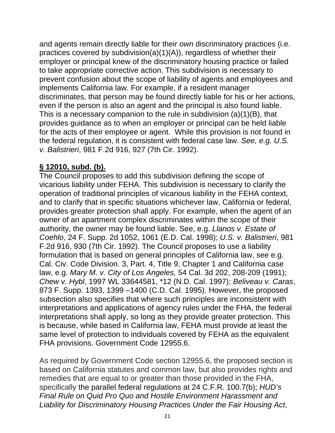and agents remain directly liable for their *own* discriminatory practices (i.e. practices covered by subdivision(a)(1)(A)), regardless of whether their employer or principal knew of the discriminatory housing practice or failed to take appropriate corrective action. This subdivision is necessary to prevent confusion about the scope of liability of agents and employees and implements California law. For example, if a resident manager discriminates, that person may be found directly liable for his or her actions, even if the person is also an agent and the principal is also found liable. This is a necessary companion to the rule in subdivision (a)(1)(B), that provides guidance as to when an employer or principal can be held liable for the acts of their employee or agent. While this provision is not found in the federal regulation, it is consistent with federal case law. *See, e.g. U.S. v. Balistrieri*, 981 F.2d 916, 927 (7th Cir. 1992).

#### **§ 12010, subd. (b).**

The Council proposes to add this subdivision defining the scope of vicarious liability under FEHA. This subdivision is necessary to clarify the operation of traditional principles of vicarious liability in the FEHA context, and to clarify that in specific situations whichever law, California or federal, provides greater protection shall apply. For example, when the agent of an owner of an apartment complex discriminates within the scope of their authority, the owner may be found liable. See, e.g. *Llanos v. Estate of Coehlo*, 24 F. Supp. 2d 1052, 1061 (E.D. Cal. 1998); *U.S. v. Balistrieri*, 981 F.2d 916, 930 (7th Cir. 1992). The Council proposes to use a liability formulation that is based on general principles of California law, see e.g. Cal. Civ. Code Division. 3, Part. 4, Title 9, Chapter 1 and California case law, e.g. *Mary M. v. City of Los Angeles,* 54 Cal. 3d 202, 208-209 (1991); *Chew v. Hybl*, 1997 WL 33644581, \*12 (N.D. Cal. 1997); *Beliveau v. Caras*, 873 F. Supp. 1393, 1399 –1400 (C.D. Cal. 1995). However, the proposed subsection also specifies that where such principles are inconsistent with interpretations and applications of agency rules under the FHA, the federal interpretations shall apply, so long as they provide greater protection. This is because, while based in California law, FEHA must provide at least the same level of protection to individuals covered by FEHA as the equivalent FHA provisions. Government Code 12955.6.

As required by Government Code section 12955.6, the proposed section is based on California statutes and common law, but also provides rights and remedies that are equal to or greater than those provided in the FHA, specifically the parallel federal regulations at 24 C.F.R. 100.7(b); *HUD's Final Rule on Quid Pro Quo and Hostile Environment Harassment and Liability for Discriminatory Housing Practices Under the Fair Housing Act*,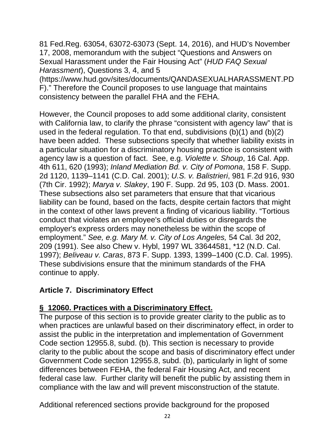81 Fed.Reg. 63054, 63072-63073 (Sept. 14, 2016), and HUD's November 17, 2008, memorandum with the subject "Questions and Answers on Sexual Harassment under the Fair Housing Act" (*HUD FAQ Sexual Harassment*), Questions 3, 4, and 5

(https://www.hud.gov/sites/documents/QANDASEXUALHARASSMENT.PD F)." Therefore the Council proposes to use language that maintains consistency between the parallel FHA and the FEHA.

However, the Council proposes to add some additional clarity, consistent with California law, to clarify the phrase "consistent with agency law" that is used in the federal regulation. To that end, subdivisions (b)(1) and (b)(2) have been added. These subsections specify that whether liability exists in a particular situation for a discriminatory housing practice is consistent with agency law is a question of fact. See, e.g. *Violette v. Shoup*, 16 Cal. App. 4th 611, 620 (1993); *Inland Mediation Bd. v. City of Pomona*, 158 F. Supp. 2d 1120, 1139–1141 (C.D. Cal. 2001); *U.S. v. Balistrieri*, 981 F.2d 916, 930 (7th Cir. 1992); *Marya v. Slakey*, 190 F. Supp. 2d 95, 103 (D. Mass. 2001. These subsections also set parameters that ensure that that vicarious liability can be found, based on the facts, despite certain factors that might in the context of other laws prevent a finding of vicarious liability. "Tortious conduct that violates an employee's official duties or disregards the employer's express orders may nonetheless be within the scope of employment." *See, e.g. Mary M. v. City of Los Angeles,* 54 Cal. 3d 202, 209 (1991). See also Chew v. Hybl, 1997 WL 33644581, \*12 (N.D. Cal. 1997); *Beliveau v. Caras*, 873 F. Supp. 1393, 1399–1400 (C.D. Cal. 1995). These subdivisions ensure that the minimum standards of the FHA continue to apply.

#### **Article 7. Discriminatory Effect**

# **§ 12060. Practices with a Discriminatory Effect.**

The purpose of this section is to provide greater clarity to the public as to when practices are unlawful based on their discriminatory effect, in order to assist the public in the interpretation and implementation of Government Code section 12955.8, subd. (b). This section is necessary to provide clarity to the public about the scope and basis of discriminatory effect under Government Code section 12955.8, subd. (b), particularly in light of some differences between FEHA, the federal Fair Housing Act, and recent federal case law. Further clarity will benefit the public by assisting them in compliance with the law and will prevent misconstruction of the statute.

Additional referenced sections provide background for the proposed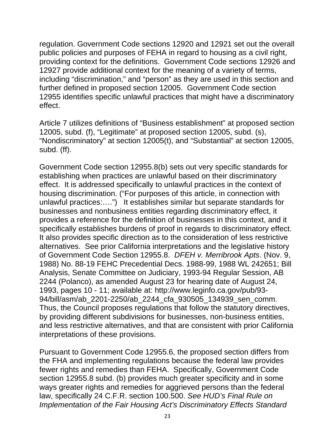regulation. Government Code sections 12920 and 12921 set out the overall public policies and purposes of FEHA in regard to housing as a civil right, providing context for the definitions. Government Code sections 12926 and 12927 provide additional context for the meaning of a variety of terms, including "discrimination," and "person" as they are used in this section and further defined in proposed section 12005. Government Code section 12955 identifies specific unlawful practices that might have a discriminatory effect.

Article 7 utilizes definitions of "Business establishment" at proposed section 12005, subd. (f), "Legitimate" at proposed section 12005, subd. (s), "Nondiscriminatory" at section 12005(t), and "Substantial" at section 12005, subd. (ff).

Government Code section 12955.8(b) sets out very specific standards for establishing when practices are unlawful based on their discriminatory effect. It is addressed specifically to unlawful practices in the context of housing discrimination. ("For purposes of this article, in connection with unlawful practices:….") It establishes similar but separate standards for businesses and nonbusiness entities regarding discriminatory effect, it provides a reference for the definition of businesses in this context, and it specifically establishes burdens of proof in regards to discriminatory effect. It also provides specific direction as to the consideration of less restrictive alternatives. See prior California interpretations and the legislative history of Government Code Section 12955.8. *DFEH v. Merribrook Apts*. (Nov. 9, 1988) No. 88-19 FEHC Precedential Decs. 1988-99, 1988 WL 242651; Bill Analysis, Senate Committee on Judiciary, 1993-94 Regular Session, AB 2244 (Polanco), as amended August 23 for hearing date of August 24, 1993, pages 10 - 11; available at: http://www.leginfo.ca.gov/pub/93- 94/bill/asm/ab\_2201-2250/ab\_2244\_cfa\_930505\_134939\_sen\_comm. Thus, the Council proposes regulations that follow the statutory directives, by providing different subdivisions for businesses, non-business entities, and less restrictive alternatives, and that are consistent with prior California interpretations of these provisions.

Pursuant to Government Code 12955.6, the proposed section differs from the FHA and implementing regulations because the federal law provides fewer rights and remedies than FEHA. Specifically, Government Code section 12955.8 subd. (b) provides much greater specificity and in some ways greater rights and remedies for aggrieved persons than the federal law, specifically 24 C.F.R. section 100.500. *See HUD's Final Rule on Implementation of the Fair Housing Act's Discriminatory Effects Standard*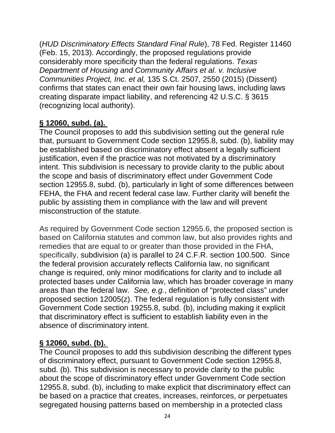(*HUD Discriminatory Effects Standard Final Rule*), 78 Fed. Register 11460 (Feb. 15, 2013). Accordingly, the proposed regulations provide considerably more specificity than the federal regulations. *Texas Department of Housing and Community Affairs et al. v. Inclusive Communities Project, Inc. et al,* 135 S.Ct. 2507, 2550 (2015) (Dissent) confirms that states can enact their own fair housing laws, including laws creating disparate impact liability, and referencing 42 U.S.C. § 3615 (recognizing local authority).

# **§ 12060, subd. (a).**

The Council proposes to add this subdivision setting out the general rule that, pursuant to Government Code section 12955.8, subd. (b), liability may be established based on discriminatory effect absent a legally sufficient justification, even if the practice was not motivated by a discriminatory intent. This subdivision is necessary to provide clarity to the public about the scope and basis of discriminatory effect under Government Code section 12955.8, subd. (b), particularly in light of some differences between FEHA, the FHA and recent federal case law. Further clarity will benefit the public by assisting them in compliance with the law and will prevent misconstruction of the statute.

As required by Government Code section 12955.6, the proposed section is based on California statutes and common law, but also provides rights and remedies that are equal to or greater than those provided in the FHA, specifically, subdivision (a) is parallel to 24 C.F.R. section 100.500. Since the federal provision accurately reflects California law, no significant change is required, only minor modifications for clarity and to include all protected bases under California law, which has broader coverage in many areas than the federal law. *See, e.g.*, definition of "protected class" under proposed section 12005(z). The federal regulation is fully consistent with Government Code section 19255.8, subd. (b), including making it explicit that discriminatory effect is sufficient to establish liability even in the absence of discriminatory intent.

# **§ 12060, subd. (b).**

The Council proposes to add this subdivision describing the different types of discriminatory effect, pursuant to Government Code section 12955.8, subd. (b). This subdivision is necessary to provide clarity to the public about the scope of discriminatory effect under Government Code section 12955.8, subd. (b), including to make explicit that discriminatory effect can be based on a practice that creates, increases, reinforces, or perpetuates segregated housing patterns based on membership in a protected class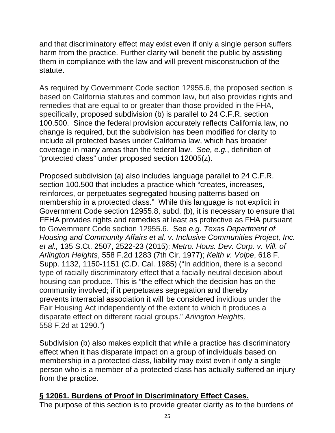and that discriminatory effect may exist even if only a single person suffers harm from the practice. Further clarity will benefit the public by assisting them in compliance with the law and will prevent misconstruction of the statute.

As required by Government Code section 12955.6, the proposed section is based on California statutes and common law, but also provides rights and remedies that are equal to or greater than those provided in the FHA, specifically, proposed subdivision (b) is parallel to 24 C.F.R. section 100.500. Since the federal provision accurately reflects California law, no change is required, but the subdivision has been modified for clarity to include all protected bases under California law, which has broader coverage in many areas than the federal law. *See, e.g.*, definition of "protected class" under proposed section 12005(z).

Proposed subdivision (a) also includes language parallel to 24 C.F.R. section 100.500 that includes a practice which "creates, increases, reinforces, or perpetuates segregated housing patterns based on membership in a protected class." While this language is not explicit in Government Code section 12955.8, subd. (b), it is necessary to ensure that FEHA provides rights and remedies at least as protective as FHA pursuant to Government Code section 12955.6. See *e.g. Texas Department of Housing and Community Affairs et al. v. Inclusive Communities Project, Inc. et al.,* 135 S.Ct. 2507, 2522-23 (2015); *Metro. Hous. Dev. Corp. v. Vill. of Arlington Heights*, 558 F.2d 1283 (7th Cir. 1977); *Keith v. Volpe*, 618 F. Supp. 1132, 1150-1151 (C.D. Cal. 1985) ("In addition, there is a second type of racially discriminatory effect that a facially neutral decision about housing can produce. This is "the effect which the decision has on the community involved; if it perpetuates segregation and thereby prevents interracial association it will be considered invidious under the Fair Housing Act independently of the extent to which it produces a disparate effect on different racial groups." *Arlington Heights,*  558 F.2d at 1290.")

Subdivision (b) also makes explicit that while a practice has discriminatory effect when it has disparate impact on a group of individuals based on membership in a protected class, liability may exist even if only a single person who is a member of a protected class has actually suffered an injury from the practice.

#### **§ 12061. Burdens of Proof in Discriminatory Effect Cases.**

The purpose of this section is to provide greater clarity as to the burdens of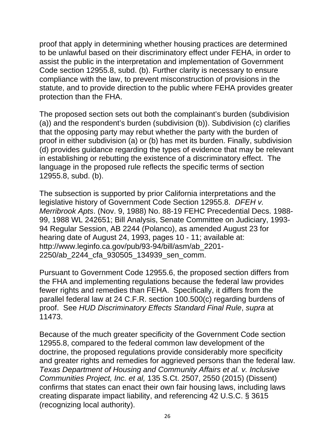proof that apply in determining whether housing practices are determined to be unlawful based on their discriminatory effect under FEHA, in order to assist the public in the interpretation and implementation of Government Code section 12955.8, subd. (b). Further clarity is necessary to ensure compliance with the law, to prevent misconstruction of provisions in the statute, and to provide direction to the public where FEHA provides greater protection than the FHA.

The proposed section sets out both the complainant's burden (subdivision (a)) and the respondent's burden (subdivision (b)). Subdivision (c) clarifies that the opposing party may rebut whether the party with the burden of proof in either subdivision (a) or (b) has met its burden. Finally, subdivision (d) provides guidance regarding the types of evidence that may be relevant in establishing or rebutting the existence of a discriminatory effect. The language in the proposed rule reflects the specific terms of section 12955.8, subd. (b).

The subsection is supported by prior California interpretations and the legislative history of Government Code Section 12955.8. *DFEH v. Merribrook Apts*. (Nov. 9, 1988) No. 88-19 FEHC Precedential Decs. 1988- 99, 1988 WL 242651; Bill Analysis, Senate Committee on Judiciary, 1993- 94 Regular Session, AB 2244 (Polanco), as amended August 23 for hearing date of August 24, 1993, pages 10 - 11; available at: http://www.leginfo.ca.gov/pub/93-94/bill/asm/ab\_2201- 2250/ab\_2244\_cfa\_930505\_134939\_sen\_comm.

Pursuant to Government Code 12955.6, the proposed section differs from the FHA and implementing regulations because the federal law provides fewer rights and remedies than FEHA. Specifically, it differs from the parallel federal law at 24 C.F.R. section 100.500(c) regarding burdens of proof. See *HUD Discriminatory Effects Standard Final Rule*, *supra* at 11473.

Because of the much greater specificity of the Government Code section 12955.8, compared to the federal common law development of the doctrine, the proposed regulations provide considerably more specificity and greater rights and remedies for aggrieved persons than the federal law. *Texas Department of Housing and Community Affairs et al. v. Inclusive Communities Project, Inc. et al,* 135 S.Ct. 2507, 2550 (2015) (Dissent) confirms that states can enact their own fair housing laws, including laws creating disparate impact liability, and referencing 42 U.S.C. § 3615 (recognizing local authority).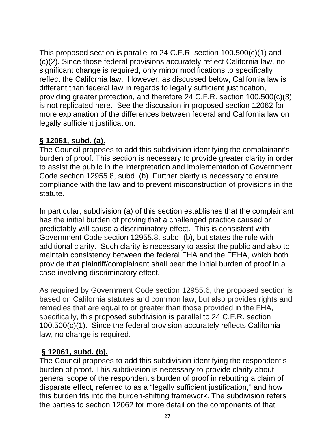This proposed section is parallel to 24 C.F.R. section 100.500(c)(1) and (c)(2). Since those federal provisions accurately reflect California law, no significant change is required, only minor modifications to specifically reflect the California law. However, as discussed below, California law is different than federal law in regards to legally sufficient justification, providing greater protection, and therefore 24 C.F.R. section 100.500(c)(3) is not replicated here. See the discussion in proposed section 12062 for more explanation of the differences between federal and California law on legally sufficient justification.

#### **§ 12061, subd. (a).**

The Council proposes to add this subdivision identifying the complainant's burden of proof. This section is necessary to provide greater clarity in order to assist the public in the interpretation and implementation of Government Code section 12955.8, subd. (b). Further clarity is necessary to ensure compliance with the law and to prevent misconstruction of provisions in the statute.

In particular, subdivision (a) of this section establishes that the complainant has the initial burden of proving that a challenged practice caused or predictably will cause a discriminatory effect. This is consistent with Government Code section 12955.8, subd. (b), but states the rule with additional clarity. Such clarity is necessary to assist the public and also to maintain consistency between the federal FHA and the FEHA, which both provide that plaintiff/complainant shall bear the initial burden of proof in a case involving discriminatory effect.

As required by Government Code section 12955.6, the proposed section is based on California statutes and common law, but also provides rights and remedies that are equal to or greater than those provided in the FHA, specifically, this proposed subdivision is parallel to 24 C.F.R. section 100.500(c)(1). Since the federal provision accurately reflects California law, no change is required.

#### **§ 12061, subd. (b).**

The Council proposes to add this subdivision identifying the respondent's burden of proof. This subdivision is necessary to provide clarity about general scope of the respondent's burden of proof in rebutting a claim of disparate effect, referred to as a "legally sufficient justification," and how this burden fits into the burden-shifting framework. The subdivision refers the parties to section 12062 for more detail on the components of that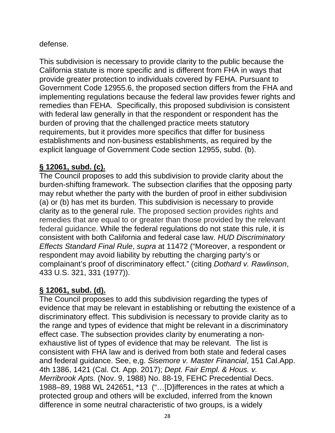#### defense.

This subdivision is necessary to provide clarity to the public because the California statute is more specific and is different from FHA in ways that provide greater protection to individuals covered by FEHA. Pursuant to Government Code 12955.6, the proposed section differs from the FHA and implementing regulations because the federal law provides fewer rights and remedies than FEHA. Specifically, this proposed subdivision is consistent with federal law generally in that the respondent or respondent has the burden of proving that the challenged practice meets statutory requirements, but it provides more specifics that differ for business establishments and non-business establishments, as required by the explicit language of Government Code section 12955, subd. (b).

## **§ 12061, subd. (c).**

The Council proposes to add this subdivision to provide clarity about the burden-shifting framework. The subsection clarifies that the opposing party may rebut whether the party with the burden of proof in either subdivision (a) or (b) has met its burden. This subdivision is necessary to provide clarity as to the general rule. The proposed section provides rights and remedies that are equal to or greater than those provided by the relevant federal guidance. While the federal regulations do not state this rule, it is consistent with both California and federal case law. *HUD Discriminatory Effects Standard Final Rule*, *supra* at 11472 ("Moreover, a respondent or respondent may avoid liability by rebutting the charging party's or complainant's proof of discriminatory effect." (citing *Dothard v. Rawlinson*, 433 U.S. 321, 331 (1977)).

## **§ 12061, subd. (d).**

The Council proposes to add this subdivision regarding the types of evidence that may be relevant in establishing or rebutting the existence of a discriminatory effect. This subdivision is necessary to provide clarity as to the range and types of evidence that might be relevant in a discriminatory effect case. The subsection provides clarity by enumerating a nonexhaustive list of types of evidence that may be relevant. The list is consistent with FHA law and is derived from both state and federal cases and federal guidance. See, e,g. *Sisemore v. Master Financial*, 151 Cal.App. 4th 1386, 1421 (Cal. Ct. App. 2017); *Dept. Fair Empl. & Hous. v. Merribrook Apts.* (Nov. 9, 1988) No. 88-19, FEHC Precedential Decs. 1988–89, 1988 WL 242651, \*13 ("…[D]ifferences in the rates at which a protected group and others will be excluded, inferred from the known difference in some neutral characteristic of two groups, is a widely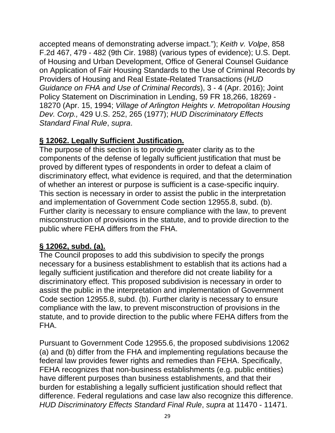accepted means of demonstrating adverse impact."); *Keith v. Volpe*, 858 F.2d 467, 479 - 482 (9th Cir. 1988) (various types of evidence); U.S. Dept. of Housing and Urban Development, Office of General Counsel Guidance on Application of Fair Housing Standards to the Use of Criminal Records by Providers of Housing and Real Estate-Related Transactions (*HUD Guidance on FHA and Use of Criminal Records*), 3 - 4 (Apr. 2016); Joint Policy Statement on Discrimination in Lending, 59 FR 18,266, 18269 - 18270 (Apr. 15, 1994; *Village of Arlington Heights v. Metropolitan Housing Dev. Corp.,* 429 U.S. 252, 265 (1977); *HUD Discriminatory Effects Standard Final Rule*, *supra*.

## **§ 12062. Legally Sufficient Justification.**

The purpose of this section is to provide greater clarity as to the components of the defense of legally sufficient justification that must be proved by different types of respondents in order to defeat a claim of discriminatory effect, what evidence is required, and that the determination of whether an interest or purpose is sufficient is a case-specific inquiry. This section is necessary in order to assist the public in the interpretation and implementation of Government Code section 12955.8, subd. (b). Further clarity is necessary to ensure compliance with the law, to prevent misconstruction of provisions in the statute, and to provide direction to the public where FEHA differs from the FHA.

## **§ 12062, subd. (a).**

The Council proposes to add this subdivision to specify the prongs necessary for a business establishment to establish that its actions had a legally sufficient justification and therefore did not create liability for a discriminatory effect. This proposed subdivision is necessary in order to assist the public in the interpretation and implementation of Government Code section 12955.8, subd. (b). Further clarity is necessary to ensure compliance with the law, to prevent misconstruction of provisions in the statute, and to provide direction to the public where FEHA differs from the FHA.

Pursuant to Government Code 12955.6, the proposed subdivisions 12062 (a) and (b) differ from the FHA and implementing regulations because the federal law provides fewer rights and remedies than FEHA. Specifically, FEHA recognizes that non-business establishments (e.g. public entities) have different purposes than business establishments, and that their burden for establishing a legally sufficient justification should reflect that difference. Federal regulations and case law also recognize this difference. *HUD Discriminatory Effects Standard Final Rule*, *supra* at 11470 - 11471.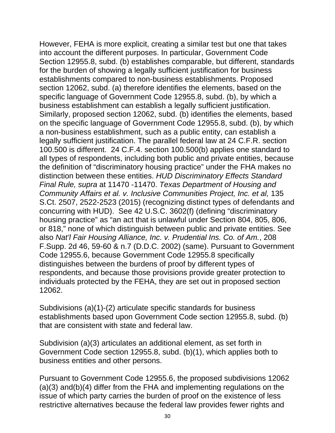However, FEHA is more explicit, creating a similar test but one that takes into account the different purposes. In particular, Government Code Section 12955.8, subd. (b) establishes comparable, but different, standards for the burden of showing a legally sufficient justification for business establishments compared to non-business establishments. Proposed section 12062, subd. (a) therefore identifies the elements, based on the specific language of Government Code 12955.8, subd. (b), by which a business establishment can establish a legally sufficient justification. Similarly, proposed section 12062, subd. (b) identifies the elements, based on the specific language of Government Code 12955.8, subd. (b), by which a non-business establishment, such as a public entity, can establish a legally sufficient justification. The parallel federal law at 24 C.F.R. section 100.500 is different. 24 C.F.4. section 100.500(b) applies one standard to all types of respondents, including both public and private entities, because the definition of "discriminatory housing practice" under the FHA makes no distinction between these entities. *HUD Discriminatory Effects Standard Final Rule, supra* at 11470 -11470. *Texas Department of Housing and Community Affairs et al. v. Inclusive Communities Project, Inc. et al,* 135 S.Ct. 2507, 2522-2523 (2015) (recognizing distinct types of defendants and concurring with HUD). See 42 U.S.C. 3602(f) (defining "discriminatory housing practice" as "an act that is unlawful under Section 804, 805, 806, or 818," none of which distinguish between public and private entities. See also *Nat'l Fair Housing Alliance, Inc. v. Prudential Ins. Co. of Am.*, 208 F.Supp. 2d 46, 59-60 & n.7 (D.D.C. 2002) (same). Pursuant to Government Code 12955.6, because Government Code 12955.8 specifically distinguishes between the burdens of proof by different types of respondents, and because those provisions provide greater protection to individuals protected by the FEHA, they are set out in proposed section 12062.

Subdivisions (a)(1)-(2) articulate specific standards for business establishments based upon Government Code section 12955.8, subd. (b) that are consistent with state and federal law.

Subdivision (a)(3) articulates an additional element, as set forth in Government Code section 12955.8, subd. (b)(1), which applies both to business entities and other persons.

Pursuant to Government Code 12955.6, the proposed subdivisions 12062 (a)(3) and(b)(4) differ from the FHA and implementing regulations on the issue of which party carries the burden of proof on the existence of less restrictive alternatives because the federal law provides fewer rights and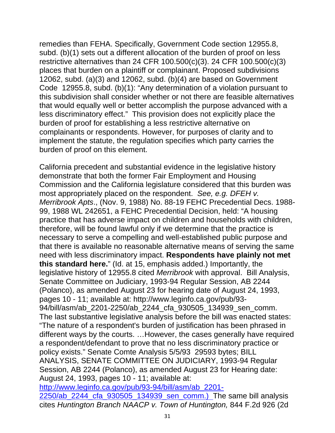remedies than FEHA. Specifically, Government Code section 12955.8, subd. (b)(1) sets out a different allocation of the burden of proof on less restrictive alternatives than 24 CFR 100.500(c)(3). 24 CFR 100.500(c)(3) places that burden on a plaintiff or complainant. Proposed subdivisions 12062, subd. (a)(3) and 12062, subd. (b)(4) are based on Government Code 12955.8, subd. (b)(1): "Any determination of a violation pursuant to this subdivision shall consider whether or not there are feasible alternatives that would equally well or better accomplish the purpose advanced with a less discriminatory effect." This provision does not explicitly place the burden of proof for establishing a less restrictive alternative on complainants or respondents. However, for purposes of clarity and to implement the statute, the regulation specifies which party carries the burden of proof on this element.

California precedent and substantial evidence in the legislative history demonstrate that both the former Fair Employment and Housing Commission and the California legislature considered that this burden was most appropriately placed on the respondent. *See, e.g. DFEH v. Merribrook Apts*., (Nov. 9, 1988) No. 88-19 FEHC Precedential Decs. 1988- 99, 1988 WL 242651, a FEHC Precedential Decision, held: "A housing practice that has adverse impact on children and households with children, therefore, will be found lawful only if we determine that the practice is necessary to serve a compelling and well-established public purpose and that there is available no reasonable alternative means of serving the same need with less discriminatory impact. **Respondents have plainly not met this standard here.**" (Id. at 15, emphasis added.) Importantly, the legislative history of 12955.8 cited *Merribrook* with approval. Bill Analysis, Senate Committee on Judiciary, 1993-94 Regular Session, AB 2244 (Polanco), as amended August 23 for hearing date of August 24, 1993, pages 10 - 11; available at: http://www.leginfo.ca.gov/pub/93- 94/bill/asm/ab\_2201-2250/ab\_2244\_cfa\_930505\_134939\_sen\_comm. The last substantive legislative analysis before the bill was enacted states: "The nature of a respondent's burden of justification has been phrased in different ways by the courts. …However, the cases generally have required a respondent/defendant to prove that no less discriminatory practice or policy exists." Senate Comte Analysis 5/5/93 29593 bytes; BILL ANALYSIS, SENATE COMMITTEE ON JUDICIARY, 1993-94 Regular Session, AB 2244 (Polanco), as amended August 23 for Hearing date: August 24, 1993, pages 10 - 11; available at: http://www.leginfo.ca.gov/pub/93-94/bill/asm/ab\_2201- 2250/ab 2244 cfa 930505 134939 sen comm.) The same bill analysis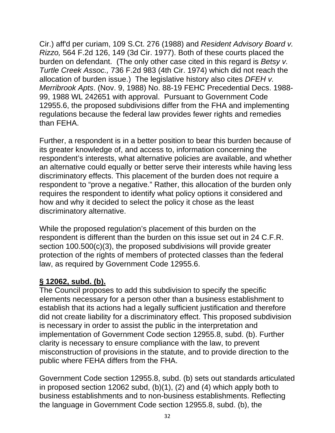Cir.) aff'd per curiam, 109 S.Ct. 276 (1988) and *Resident Advisory Board v. Rizzo,* 564 F.2d 126, 149 (3d Cir. 1977). Both of these courts placed the burden on defendant. (The only other case cited in this regard is *Betsy v. Turtle Creek Assoc.,* 736 F.2d 983 (4th Cir. 1974) which did not reach the allocation of burden issue.) The legislative history also cites *DFEH v. Merribrook Apts*. (Nov. 9, 1988) No. 88-19 FEHC Precedential Decs. 1988- 99, 1988 WL 242651 with approval. Pursuant to Government Code 12955.6, the proposed subdivisions differ from the FHA and implementing regulations because the federal law provides fewer rights and remedies than FEHA.

Further, a respondent is in a better position to bear this burden because of its greater knowledge of, and access to, information concerning the respondent's interests, what alternative policies are available, and whether an alternative could equally or better serve their interests while having less discriminatory effects. This placement of the burden does not require a respondent to "prove a negative." Rather, this allocation of the burden only requires the respondent to identify what policy options it considered and how and why it decided to select the policy it chose as the least discriminatory alternative.

While the proposed regulation's placement of this burden on the respondent is different than the burden on this issue set out in 24 C.F.R. section 100.500(c)(3), the proposed subdivisions will provide greater protection of the rights of members of protected classes than the federal law, as required by Government Code 12955.6.

#### **§ 12062, subd. (b).**

The Council proposes to add this subdivision to specify the specific elements necessary for a person other than a business establishment to establish that its actions had a legally sufficient justification and therefore did not create liability for a discriminatory effect. This proposed subdivision is necessary in order to assist the public in the interpretation and implementation of Government Code section 12955.8, subd. (b). Further clarity is necessary to ensure compliance with the law, to prevent misconstruction of provisions in the statute, and to provide direction to the public where FEHA differs from the FHA.

Government Code section 12955.8, subd. (b) sets out standards articulated in proposed section 12062 subd, (b)(1), (2) and (4) which apply both to business establishments and to non-business establishments. Reflecting the language in Government Code section 12955.8, subd. (b), the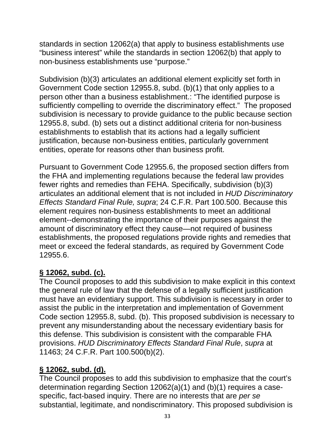standards in section 12062(a) that apply to business establishments use "business interest" while the standards in section 12062(b) that apply to non-business establishments use "purpose."

Subdivision (b)(3) articulates an additional element explicitly set forth in Government Code section 12955.8, subd. (b)(1) that only applies to a person other than a business establishment.: "The identified purpose is sufficiently compelling to override the discriminatory effect." The proposed subdivision is necessary to provide guidance to the public because section 12955.8, subd. (b) sets out a distinct additional criteria for non-business establishments to establish that its actions had a legally sufficient justification, because non-business entities, particularly government entities, operate for reasons other than business profit.

Pursuant to Government Code 12955.6, the proposed section differs from the FHA and implementing regulations because the federal law provides fewer rights and remedies than FEHA. Specifically, subdivision (b)(3) articulates an additional element that is not included in *HUD Discriminatory Effects Standard Final Rule, supra*; 24 C.F.R. Part 100.500. Because this element requires non-business establishments to meet an additional element--demonstrating the importance of their purposes against the amount of discriminatory effect they cause—not required of business establishments, the proposed regulations provide rights and remedies that meet or exceed the federal standards, as required by Government Code 12955.6.

## **§ 12062, subd. (c).**

The Council proposes to add this subdivision to make explicit in this context the general rule of law that the defense of a legally sufficient justification must have an evidentiary support. This subdivision is necessary in order to assist the public in the interpretation and implementation of Government Code section 12955.8, subd. (b). This proposed subdivision is necessary to prevent any misunderstanding about the necessary evidentiary basis for this defense. This subdivision is consistent with the comparable FHA provisions. *HUD Discriminatory Effects Standard Final Rule*, *supra* at 11463; 24 C.F.R. Part 100.500(b)(2).

## **§ 12062, subd. (d).**

The Council proposes to add this subdivision to emphasize that the court's determination regarding Section 12062(a)(1) and (b)(1) requires a casespecific, fact-based inquiry. There are no interests that are *per se* substantial, legitimate, and nondiscriminatory. This proposed subdivision is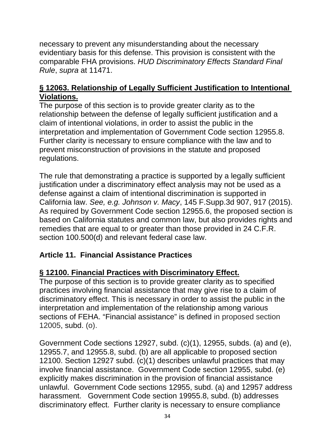necessary to prevent any misunderstanding about the necessary evidentiary basis for this defense. This provision is consistent with the comparable FHA provisions. *HUD Discriminatory Effects Standard Final Rule*, *supra* at 11471.

#### **§ 12063. Relationship of Legally Sufficient Justification to Intentional Violations.**

The purpose of this section is to provide greater clarity as to the relationship between the defense of legally sufficient justification and a claim of intentional violations, in order to assist the public in the interpretation and implementation of Government Code section 12955.8. Further clarity is necessary to ensure compliance with the law and to prevent misconstruction of provisions in the statute and proposed regulations.

The rule that demonstrating a practice is supported by a legally sufficient justification under a discriminatory effect analysis may not be used as a defense against a claim of intentional discrimination is supported in California law. *See, e.g. Johnson v. Macy*, 145 F.Supp.3d 907, 917 (2015). As required by Government Code section 12955.6, the proposed section is based on California statutes and common law, but also provides rights and remedies that are equal to or greater than those provided in 24 C.F.R. section 100.500(d) and relevant federal case law.

# **Article 11. Financial Assistance Practices**

## **§ 12100. Financial Practices with Discriminatory Effect.**

The purpose of this section is to provide greater clarity as to specified practices involving financial assistance that may give rise to a claim of discriminatory effect. This is necessary in order to assist the public in the interpretation and implementation of the relationship among various sections of FEHA. "Financial assistance" is defined in proposed section 12005, subd. (o).

Government Code sections 12927, subd. (c)(1), 12955, subds. (a) and (e), 12955.7, and 12955.8, subd. (b) are all applicable to proposed section 12100. Section 12927 subd. (c)(1) describes unlawful practices that may involve financial assistance. Government Code section 12955, subd. (e) explicitly makes discrimination in the provision of financial assistance unlawful. Government Code sections 12955, subd. (a) and 12957 address harassment. Government Code section 19955.8, subd. (b) addresses discriminatory effect. Further clarity is necessary to ensure compliance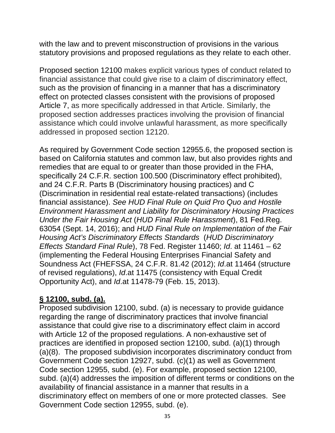with the law and to prevent misconstruction of provisions in the various statutory provisions and proposed regulations as they relate to each other.

Proposed section 12100 makes explicit various types of conduct related to financial assistance that could give rise to a claim of discriminatory effect, such as the provision of financing in a manner that has a discriminatory effect on protected classes consistent with the provisions of proposed Article 7, as more specifically addressed in that Article. Similarly, the proposed section addresses practices involving the provision of financial assistance which could involve unlawful harassment, as more specifically addressed in proposed section 12120.

As required by Government Code section 12955.6, the proposed section is based on California statutes and common law, but also provides rights and remedies that are equal to or greater than those provided in the FHA, specifically 24 C.F.R. section 100.500 (Discriminatory effect prohibited), and 24 C.F.R. Parts B (Discriminatory housing practices) and C (Discrimination in residential real estate-related transactions) (includes financial assistance). *See HUD Final Rule on Quid Pro Quo and Hostile Environment Harassment and Liability for Discriminatory Housing Practices Under the Fair Housing Act* (*HUD Final Rule Harassment*), 81 Fed.Reg. 63054 (Sept. 14, 2016); and *HUD Final Rule on Implementation of the Fair Housing Act's Discriminatory Effects Standards* (*HUD Discriminatory Effects Standard Final Rule*), 78 Fed. Register 11460; *Id*. at 11461 – 62 (implementing the Federal Housing Enterprises Financial Safety and Soundness Act (FHEFSSA, 24 C.F.R. 81.42 (2012); *Id*.at 11464 (structure of revised regulations), *Id*.at 11475 (consistency with Equal Credit Opportunity Act), and *Id*.at 11478-79 (Feb. 15, 2013).

## **§ 12100, subd. (a).**

Proposed subdivision 12100, subd. (a) is necessary to provide guidance regarding the range of discriminatory practices that involve financial assistance that could give rise to a discriminatory effect claim in accord with Article 12 of the proposed regulations. A non-exhaustive set of practices are identified in proposed section 12100, subd. (a)(1) through (a)(8). The proposed subdivision incorporates discriminatory conduct from Government Code section 12927, subd. (c)(1) as well as Government Code section 12955, subd. (e). For example, proposed section 12100, subd. (a)(4) addresses the imposition of different terms or conditions on the availability of financial assistance in a manner that results in a discriminatory effect on members of one or more protected classes. See Government Code section 12955, subd. (e).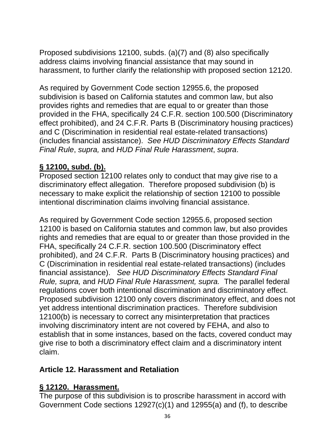Proposed subdivisions 12100, subds. (a)(7) and (8) also specifically address claims involving financial assistance that may sound in harassment, to further clarify the relationship with proposed section 12120.

As required by Government Code section 12955.6, the proposed subdivision is based on California statutes and common law, but also provides rights and remedies that are equal to or greater than those provided in the FHA, specifically 24 C.F.R. section 100.500 (Discriminatory effect prohibited), and 24 C.F.R. Parts B (Discriminatory housing practices) and C (Discrimination in residential real estate-related transactions) (includes financial assistance). *See HUD Discriminatory Effects Standard Final Rule*, *supra,* and *HUD Final Rule Harassment*, *supra*.

#### **§ 12100, subd. (b).**

Proposed section 12100 relates only to conduct that may give rise to a discriminatory effect allegation. Therefore proposed subdivision (b) is necessary to make explicit the relationship of section 12100 to possible intentional discrimination claims involving financial assistance.

As required by Government Code section 12955.6, proposed section 12100 is based on California statutes and common law, but also provides rights and remedies that are equal to or greater than those provided in the FHA, specifically 24 C.F.R. section 100.500 (Discriminatory effect prohibited), and 24 C.F.R. Parts B (Discriminatory housing practices) and C (Discrimination in residential real estate-related transactions) (includes financial assistance). *See HUD Discriminatory Effects Standard Final Rule, supra,* and *HUD Final Rule Harassment, supra.* The parallel federal regulations cover both intentional discrimination and discriminatory effect. Proposed subdivision 12100 only covers discriminatory effect, and does not yet address intentional discrimination practices. Therefore subdivision 12100(b) is necessary to correct any misinterpretation that practices involving discriminatory intent are not covered by FEHA, and also to establish that in some instances, based on the facts, covered conduct may give rise to both a discriminatory effect claim and a discriminatory intent claim.

#### **Article 12. Harassment and Retaliation**

#### **§ 12120. Harassment.**

The purpose of this subdivision is to proscribe harassment in accord with Government Code sections 12927(c)(1) and 12955(a) and (f), to describe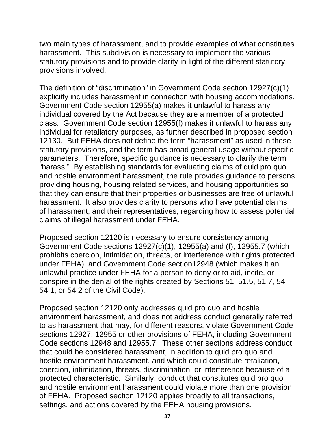two main types of harassment, and to provide examples of what constitutes harassment. This subdivision is necessary to implement the various statutory provisions and to provide clarity in light of the different statutory provisions involved.

The definition of "discrimination" in Government Code section 12927(c)(1) explicitly includes harassment in connection with housing accommodations. Government Code section 12955(a) makes it unlawful to harass any individual covered by the Act because they are a member of a protected class. Government Code section 12955(f) makes it unlawful to harass any individual for retaliatory purposes, as further described in proposed section 12130. But FEHA does not define the term "harassment" as used in these statutory provisions, and the term has broad general usage without specific parameters. Therefore, specific guidance is necessary to clarify the term "harass." By establishing standards for evaluating claims of quid pro quo and hostile environment harassment, the rule provides guidance to persons providing housing, housing related services, and housing opportunities so that they can ensure that their properties or businesses are free of unlawful harassment. It also provides clarity to persons who have potential claims of harassment, and their representatives, regarding how to assess potential claims of illegal harassment under FEHA.

Proposed section 12120 is necessary to ensure consistency among Government Code sections 12927(c)(1), 12955(a) and (f), 12955.7 (which prohibits coercion, intimidation, threats, or interference with rights protected under FEHA); and Government Code section12948 (which makes it an unlawful practice under FEHA for a person to deny or to aid, incite, or conspire in the denial of the rights created by Sections 51, 51.5, 51.7, 54, 54.1, or 54.2 of the Civil Code).

Proposed section 12120 only addresses quid pro quo and hostile environment harassment, and does not address conduct generally referred to as harassment that may, for different reasons, violate Government Code sections 12927, 12955 or other provisions of FEHA, including Government Code sections 12948 and 12955.7. These other sections address conduct that could be considered harassment, in addition to quid pro quo and hostile environment harassment, and which could constitute retaliation, coercion, intimidation, threats, discrimination, or interference because of a protected characteristic. Similarly, conduct that constitutes quid pro quo and hostile environment harassment could violate more than one provision of FEHA. Proposed section 12120 applies broadly to all transactions, settings, and actions covered by the FEHA housing provisions.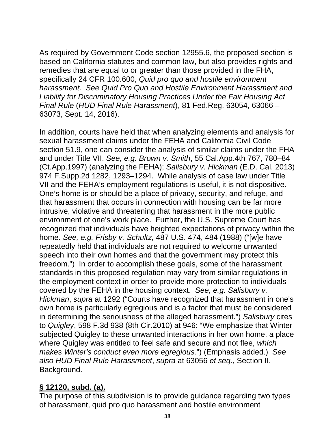As required by Government Code section 12955.6, the proposed section is based on California statutes and common law, but also provides rights and remedies that are equal to or greater than those provided in the FHA, specifically 24 CFR 100.600, *Quid pro quo and hostile environment harassment. See Quid Pro Quo and Hostile Environment Harassment and Liability for Discriminatory Housing Practices Under the Fair Housing Act Final Rule* (*HUD Final Rule Harassment*), 81 Fed.Reg. 63054, 63066 – 63073, Sept. 14, 2016).

In addition, courts have held that when analyzing elements and analysis for sexual harassment claims under the FEHA and California Civil Code section 51.9, one can consider the analysis of similar claims under the FHA and under Title VII. *See, e.g. Brown v. Smith*, 55 Cal.App.4th 767, 780–84 (Ct.App.1997) (analyzing the FEHA); *Salisbury v. Hickman* (E.D. Cal. 2013) 974 F.Supp.2d 1282, 1293–1294. While analysis of case law under Title VII and the FEHA's employment regulations is useful, it is not dispositive. One's home is or should be a place of privacy, security, and refuge, and that harassment that occurs in connection with housing can be far more intrusive, violative and threatening that harassment in the more public environment of one's work place. Further, the U.S. Supreme Court has recognized that individuals have heighted expectations of privacy within the home. *See, e.g. Frisby v. Schultz,* 487 U.S. 474, 484 (1988) ("[w]e have repeatedly held that individuals are not required to welcome unwanted speech into their own homes and that the government may protect this freedom.") In order to accomplish these goals, some of the harassment standards in this proposed regulation may vary from similar regulations in the employment context in order to provide more protection to individuals covered by the FEHA in the housing context. *See, e.g. Salisbury v. Hickman*, *supra* at 1292 ("Courts have recognized that harassment in one's own home is particularly egregious and is a factor that must be considered in determining the seriousness of the alleged harassment.") *Salisbury* cites to *Quigley*, 598 F.3d 938 (8th Cir.2010) at 946: "We emphasize that Winter subjected Quigley to these unwanted interactions in her own home, a place where Quigley was entitled to feel safe and secure and not flee, *which makes Winter's conduct even more egregious.*") (Emphasis added.) *See also HUD Final Rule Harassment*, *supra* at 63056 *et seq.*, Section II, Background.

#### **§ 12120, subd. (a).**

The purpose of this subdivision is to provide guidance regarding two types of harassment, quid pro quo harassment and hostile environment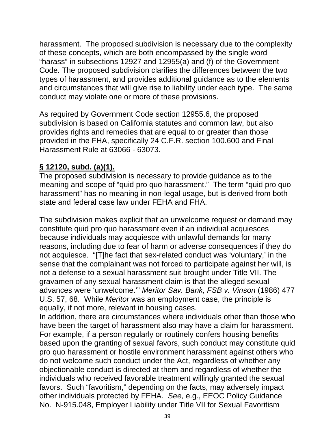harassment. The proposed subdivision is necessary due to the complexity of these concepts, which are both encompassed by the single word "harass" in subsections 12927 and 12955(a) and (f) of the Government Code. The proposed subdivision clarifies the differences between the two types of harassment, and provides additional guidance as to the elements and circumstances that will give rise to liability under each type. The same conduct may violate one or more of these provisions.

As required by Government Code section 12955.6, the proposed subdivision is based on California statutes and common law, but also provides rights and remedies that are equal to or greater than those provided in the FHA, specifically 24 C.F.R. section 100.600 and Final Harassment Rule at 63066 - 63073.

#### **§ 12120, subd. (a)(1).**

The proposed subdivision is necessary to provide guidance as to the meaning and scope of "quid pro quo harassment." The term "quid pro quo harassment" has no meaning in non-legal usage, but is derived from both state and federal case law under FEHA and FHA.

The subdivision makes explicit that an unwelcome request or demand may constitute quid pro quo harassment even if an individual acquiesces because individuals may acquiesce with unlawful demands for many reasons, including due to fear of harm or adverse consequences if they do not acquiesce. "[T]he fact that sex-related conduct was 'voluntary,' in the sense that the complainant was not forced to participate against her will, is not a defense to a sexual harassment suit brought under Title VII. The gravamen of any sexual harassment claim is that the alleged sexual advances were 'unwelcome.'" *Meritor Sav. Bank, FSB v. Vinson* (1986) 477 U.S. 57, 68. While *Meritor* was an employment case, the principle is equally, if not more, relevant in housing cases.

In addition, there are circumstances where individuals other than those who have been the target of harassment also may have a claim for harassment. For example, if a person regularly or routinely confers housing benefits based upon the granting of sexual favors, such conduct may constitute quid pro quo harassment or hostile environment harassment against others who do not welcome such conduct under the Act, regardless of whether any objectionable conduct is directed at them and regardless of whether the individuals who received favorable treatment willingly granted the sexual favors. Such "favoritism," depending on the facts, may adversely impact other individuals protected by FEHA. *See,* e.g., EEOC Policy Guidance No. N-915.048, Employer Liability under Title VII for Sexual Favoritism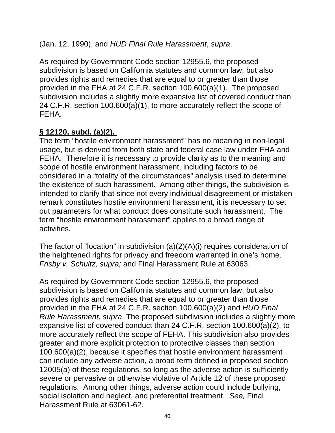(Jan. 12, 1990), and *HUD Final Rule Harassment*, *supra*.

As required by Government Code section 12955.6, the proposed subdivision is based on California statutes and common law, but also provides rights and remedies that are equal to or greater than those provided in the FHA at 24 C.F.R. section 100.600(a)(1). The proposed subdivision includes a slightly more expansive list of covered conduct than 24 C.F.R. section 100.600(a)(1), to more accurately reflect the scope of FEHA.

#### **§ 12120, subd. (a)(2).**

The term "hostile environment harassment" has no meaning in non-legal usage, but is derived from both state and federal case law under FHA and FEHA. Therefore it is necessary to provide clarity as to the meaning and scope of hostile environment harassment, including factors to be considered in a "totality of the circumstances" analysis used to determine the existence of such harassment. Among other things, the subdivision is intended to clarify that since not every individual disagreement or mistaken remark constitutes hostile environment harassment, it is necessary to set out parameters for what conduct does constitute such harassment. The term "hostile environment harassment" applies to a broad range of activities.

The factor of "location" in subdivision (a)(2)(A)(i) requires consideration of the heightened rights for privacy and freedom warranted in one's home. *Frisby v. Schultz, supra;* and Final Harassment Rule at 63063.

As required by Government Code section 12955.6, the proposed subdivision is based on California statutes and common law, but also provides rights and remedies that are equal to or greater than those provided in the FHA at 24 C.F.R. section 100.600(a)(2) and *HUD Final Rule Harassment*, *supra*. The proposed subdivision includes a slightly more expansive list of covered conduct than 24 C.F.R. section 100.600(a)(2), to more accurately reflect the scope of FEHA. This subdivision also provides greater and more explicit protection to protective classes than section 100.600(a)(2), because it specifies that hostile environment harassment can include any adverse action, a broad term defined in proposed section 12005(a) of these regulations, so long as the adverse action is sufficiently severe or pervasive or otherwise violative of Article 12 of these proposed regulations. Among other things, adverse action could include bullying, social isolation and neglect, and preferential treatment. *See,* Final Harassment Rule at 63061-62.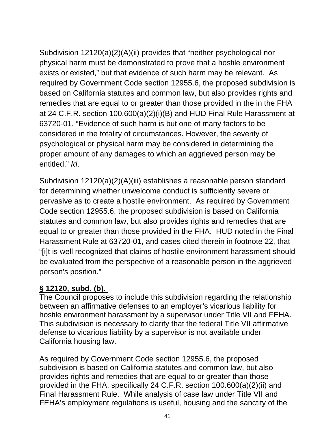Subdivision 12120(a)(2)(A)(ii) provides that "neither psychological nor physical harm must be demonstrated to prove that a hostile environment exists or existed," but that evidence of such harm may be relevant. As required by Government Code section 12955.6, the proposed subdivision is based on California statutes and common law, but also provides rights and remedies that are equal to or greater than those provided in the in the FHA at 24 C.F.R. section 100.600(a)(2)(i)(B) and HUD Final Rule Harassment at 63720-01. "Evidence of such harm is but one of many factors to be considered in the totality of circumstances. However, the severity of psychological or physical harm may be considered in determining the proper amount of any damages to which an aggrieved person may be entitled." *Id*.

Subdivision 12120(a)(2)(A)(iii) establishes a reasonable person standard for determining whether unwelcome conduct is sufficiently severe or pervasive as to create a hostile environment. As required by Government Code section 12955.6, the proposed subdivision is based on California statutes and common law, but also provides rights and remedies that are equal to or greater than those provided in the FHA. HUD noted in the Final Harassment Rule at 63720-01, and cases cited therein in footnote 22, that "[i]t is well recognized that claims of hostile environment harassment should be evaluated from the perspective of a reasonable person in the aggrieved person's position."

### **§ 12120, subd. (b).**

The Council proposes to include this subdivision regarding the relationship between an affirmative defenses to an employer's vicarious liability for hostile environment harassment by a supervisor under Title VII and FEHA. This subdivision is necessary to clarify that the federal Title VII affirmative defense to vicarious liability by a supervisor is not available under California housing law.

As required by Government Code section 12955.6, the proposed subdivision is based on California statutes and common law, but also provides rights and remedies that are equal to or greater than those provided in the FHA, specifically 24 C.F.R. section 100.600(a)(2)(ii) and Final Harassment Rule. While analysis of case law under Title VII and FEHA's employment regulations is useful, housing and the sanctity of the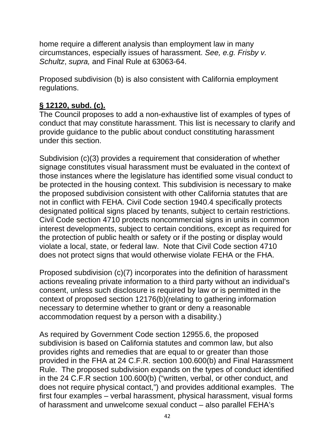home require a different analysis than employment law in many circumstances, especially issues of harassment. *See, e.g. Frisby v. Schultz*, *supra,* and Final Rule at 63063-64.

Proposed subdivision (b) is also consistent with California employment regulations.

#### **§ 12120, subd. (c).**

The Council proposes to add a non-exhaustive list of examples of types of conduct that may constitute harassment. This list is necessary to clarify and provide guidance to the public about conduct constituting harassment under this section.

Subdivision (c)(3) provides a requirement that consideration of whether signage constitutes visual harassment must be evaluated in the context of those instances where the legislature has identified some visual conduct to be protected in the housing context. This subdivision is necessary to make the proposed subdivision consistent with other California statutes that are not in conflict with FEHA. Civil Code section 1940.4 specifically protects designated political signs placed by tenants, subject to certain restrictions. Civil Code section 4710 protects noncommercial signs in units in common interest developments, subject to certain conditions, except as required for the protection of public health or safety or if the posting or display would violate a local, state, or federal law. Note that Civil Code section 4710 does not protect signs that would otherwise violate FEHA or the FHA.

Proposed subdivision (c)(7) incorporates into the definition of harassment actions revealing private information to a third party without an individual's consent, unless such disclosure is required by law or is permitted in the context of proposed section 12176(b)(relating to gathering information necessary to determine whether to grant or deny a reasonable accommodation request by a person with a disability.)

As required by Government Code section 12955.6, the proposed subdivision is based on California statutes and common law, but also provides rights and remedies that are equal to or greater than those provided in the FHA at 24 C.F.R. section 100.600(b) and Final Harassment Rule. The proposed subdivision expands on the types of conduct identified in the 24 C.F.R section 100.600(b) ("written, verbal, or other conduct, and does not require physical contact,") and provides additional examples. The first four examples – verbal harassment, physical harassment, visual forms of harassment and unwelcome sexual conduct – also parallel FEHA's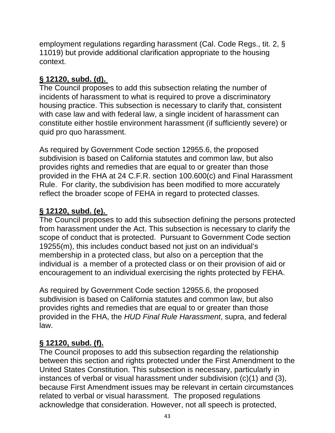employment regulations regarding harassment (Cal. Code Regs., tit. 2, § 11019) but provide additional clarification appropriate to the housing context.

## **§ 12120, subd. (d).**

The Council proposes to add this subsection relating the number of incidents of harassment to what is required to prove a discriminatory housing practice. This subsection is necessary to clarify that, consistent with case law and with federal law, a single incident of harassment can constitute either hostile environment harassment (if sufficiently severe) or quid pro quo harassment.

As required by Government Code section 12955.6, the proposed subdivision is based on California statutes and common law, but also provides rights and remedies that are equal to or greater than those provided in the FHA at 24 C.F.R. section 100.600(c) and Final Harassment Rule. For clarity, the subdivision has been modified to more accurately reflect the broader scope of FEHA in regard to protected classes.

# **§ 12120, subd. (e).**

The Council proposes to add this subsection defining the persons protected from harassment under the Act. This subsection is necessary to clarify the scope of conduct that is protected. Pursuant to Government Code section 19255(m), this includes conduct based not just on an individual's membership in a protected class, but also on a perception that the individual is a member of a protected class or on their provision of aid or encouragement to an individual exercising the rights protected by FEHA.

As required by Government Code section 12955.6, the proposed subdivision is based on California statutes and common law, but also provides rights and remedies that are equal to or greater than those provided in the FHA, the *HUD Final Rule Harassment*, supra, and federal law.

# **§ 12120, subd. (f).**

The Council proposes to add this subsection regarding the relationship between this section and rights protected under the First Amendment to the United States Constitution. This subsection is necessary, particularly in instances of verbal or visual harassment under subdivision (c)(1) and (3), because First Amendment issues may be relevant in certain circumstances related to verbal or visual harassment. The proposed regulations acknowledge that consideration. However, not all speech is protected,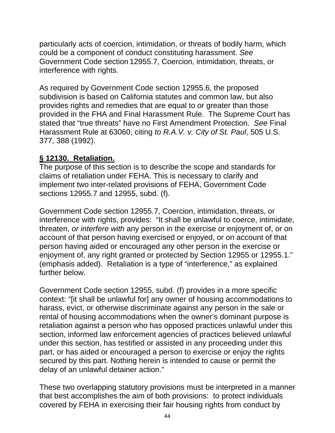particularly acts of coercion, intimidation, or threats of bodily harm, which could be a component of conduct constituting harassment. *See* Government Code section 12955.7, Coercion, intimidation, threats, or interference with rights.

As required by Government Code section 12955.6, the proposed subdivision is based on California statutes and common law, but also provides rights and remedies that are equal to or greater than those provided in the FHA and Final Harassment Rule. The Supreme Court has stated that "true threats" have no First Amendment Protection. *See* Final Harassment Rule at 63060, citing *to R.A.V. v. City of St. Paul*, 505 U.S. 377, 388 (1992).

#### **§ 12130. Retaliation.**

The purpose of this section is to describe the scope and standards for claims of retaliation under FEHA. This is necessary to clarify and implement two inter-related provisions of FEHA, Government Code sections 12955.7 and 12955, subd. (f).

Government Code section 12955.7, Coercion, intimidation, threats, or interference with rights, provides: "It shall be unlawful to coerce, intimidate, threaten, *or interfere with* any person in the exercise or enjoyment of, or on account of that person having exercised or enjoyed, or on account of that person having aided or encouraged any other person in the exercise or enjoyment of, any right granted or protected by Section 12955 or 12955.1." (emphasis added). Retaliation is a type of "interference," as explained further below.

Government Code section 12955, subd. (f) provides in a more specific context: "[it shall be unlawful for] any owner of housing accommodations to harass, evict, or otherwise discriminate against any person in the sale or rental of housing accommodations when the owner's dominant purpose is retaliation against a person who has opposed practices unlawful under this section, informed law enforcement agencies of practices believed unlawful under this section, has testified or assisted in any proceeding under this part, or has aided or encouraged a person to exercise or enjoy the rights secured by this part. Nothing herein is intended to cause or permit the delay of an unlawful detainer action."

These two overlapping statutory provisions must be interpreted in a manner that best accomplishes the aim of both provisions: to protect individuals covered by FEHA in exercising their fair housing rights from conduct by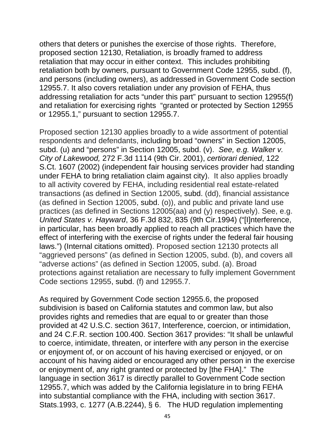others that deters or punishes the exercise of those rights. Therefore, proposed section 12130, Retaliation, is broadly framed to address retaliation that may occur in either context. This includes prohibiting retaliation both by owners, pursuant to Government Code 12955, subd. (f), and persons (including owners), as addressed in Government Code section 12955.7. It also covers retaliation under any provision of FEHA, thus addressing retaliation for acts "under this part" pursuant to section 12955(f) and retaliation for exercising rights "granted or protected by Section 12955 or 12955.1," pursuant to section 12955.7.

Proposed section 12130 applies broadly to a wide assortment of potential respondents and defendants, including broad "owners" in Section 12005, subd. (u) and "persons" in Section 12005, subd. (v). *See, e.g. Walker v. City of Lakewood,* 272 F.3d 1114 (9th Cir. 2001), *certiorari denied*, 122 S.Ct. 1607 (2002) (independent fair housing services provider had standing under FEHA to bring retaliation claim against city). It also applies broadly to all activity covered by FEHA, including residential real estate-related transactions (as defined in Section 12005, subd. (dd), financial assistance (as defined in Section 12005, subd. (o)), and public and private land use practices (as defined in Sections 12005(aa) and (y) respectively). See, e.g. *United States v. Hayward*, 36 F.3d 832, 835 (9th Cir.1994) ("[I]nterference, in particular, has been broadly applied to reach all practices which have the effect of interfering with the exercise of rights under the federal fair housing laws.") (Internal citations omitted). Proposed section 12130 protects all "aggrieved persons" (as defined in Section 12005, subd. (b), and covers all "adverse actions" (as defined in Section 12005, subd. (a). Broad protections against retaliation are necessary to fully implement Government Code sections 12955, subd. (f) and 12955.7.

As required by Government Code section 12955.6, the proposed subdivision is based on California statutes and common law, but also provides rights and remedies that are equal to or greater than those provided at 42 U.S.C. section 3617, Interference, coercion, or intimidation, and 24 C.F.R. section 100.400. Section 3617 provides: "It shall be unlawful to coerce, intimidate, threaten, or interfere with any person in the exercise or enjoyment of, or on account of his having exercised or enjoyed, or on account of his having aided or encouraged any other person in the exercise or enjoyment of, any right granted or protected by [the FHA]." The language in section 3617 is directly parallel to Government Code section 12955.7, which was added by the California legislature in to bring FEHA into substantial compliance with the FHA, including with section 3617. Stats.1993, c. 1277 (A.B.2244), § 6. The HUD regulation implementing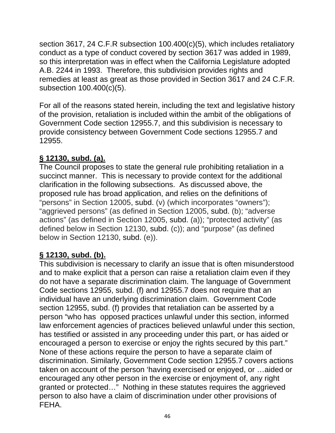section 3617, 24 C.F.R subsection 100.400(c)(5), which includes retaliatory conduct as a type of conduct covered by section 3617 was added in 1989, so this interpretation was in effect when the California Legislature adopted A.B. 2244 in 1993. Therefore, this subdivision provides rights and remedies at least as great as those provided in Section 3617 and 24 C.F.R. subsection 100.400(c)(5).

For all of the reasons stated herein, including the text and legislative history of the provision, retaliation is included within the ambit of the obligations of Government Code section 12955.7, and this subdivision is necessary to provide consistency between Government Code sections 12955.7 and 12955.

### **§ 12130, subd. (a).**

The Council proposes to state the general rule prohibiting retaliation in a succinct manner. This is necessary to provide context for the additional clarification in the following subsections. As discussed above, the proposed rule has broad application, and relies on the definitions of "persons" in Section 12005, subd. (v) (which incorporates "owners"); "aggrieved persons" (as defined in Section 12005, subd. (b); "adverse actions" (as defined in Section 12005, subd. (a)); "protected activity" (as defined below in Section 12130, subd. (c)); and "purpose" (as defined below in Section 12130, subd. (e)).

# **§ 12130, subd. (b).**

This subdivision is necessary to clarify an issue that is often misunderstood and to make explicit that a person can raise a retaliation claim even if they do not have a separate discrimination claim. The language of Government Code sections 12955, subd. (f) and 12955.7 does not require that an individual have an underlying discrimination claim. Government Code section 12955, subd. (f) provides that retaliation can be asserted by a person "who has opposed practices unlawful under this section, informed law enforcement agencies of practices believed unlawful under this section, has testified or assisted in any proceeding under this part, or has aided or encouraged a person to exercise or enjoy the rights secured by this part." None of these actions require the person to have a separate claim of discrimination. Similarly, Government Code section 12955.7 covers actions taken on account of the person 'having exercised or enjoyed, or …aided or encouraged any other person in the exercise or enjoyment of, any right granted or protected…" Nothing in these statutes requires the aggrieved person to also have a claim of discrimination under other provisions of FEHA.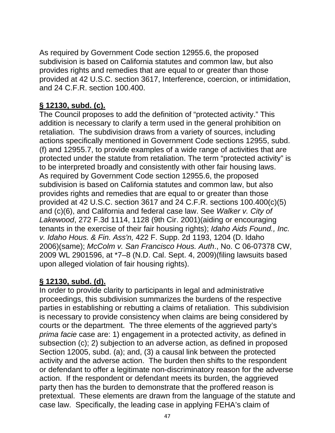As required by Government Code section 12955.6, the proposed subdivision is based on California statutes and common law, but also provides rights and remedies that are equal to or greater than those provided at 42 U.S.C. section 3617, Interference, coercion, or intimidation, and 24 C.F.R. section 100.400.

#### **§ 12130, subd. (c).**

The Council proposes to add the definition of "protected activity." This addition is necessary to clarify a term used in the general prohibition on retaliation. The subdivision draws from a variety of sources, including actions specifically mentioned in Government Code sections 12955, subd. (f) and 12955.7, to provide examples of a wide range of activities that are protected under the statute from retaliation. The term "protected activity" is to be interpreted broadly and consistently with other fair housing laws. As required by Government Code section 12955.6, the proposed subdivision is based on California statutes and common law, but also provides rights and remedies that are equal to or greater than those provided at 42 U.S.C. section 3617 and 24 C.F.R. sections 100.400(c)(5) and (c)(6), and California and federal case law. See *Walker v. City of Lakewood*, 272 F.3d 1114, 1128 (9th Cir. 2001)(aiding or encouraging tenants in the exercise of their fair housing rights); *Idaho Aids Found., Inc. v. Idaho Hous. & Fin. Ass'n,* 422 F. Supp. 2d 1193, 1204 (D. Idaho 2006)(same); *McColm v. San Francisco Hous. Auth*., No. C 06-07378 CW, 2009 WL 2901596, at \*7–8 (N.D. Cal. Sept. 4, 2009)(filing lawsuits based upon alleged violation of fair housing rights).

#### **§ 12130, subd. (d).**

In order to provide clarity to participants in legal and administrative proceedings, this subdivision summarizes the burdens of the respective parties in establishing or rebutting a claims of retaliation. This subdivision is necessary to provide consistency when claims are being considered by courts or the department. The three elements of the aggrieved party's *prima facie* case are: 1) engagement in a protected activity, as defined in subsection (c); 2) subjection to an adverse action, as defined in proposed Section 12005, subd. (a); and, (3) a causal link between the protected activity and the adverse action. The burden then shifts to the respondent or defendant to offer a legitimate non-discriminatory reason for the adverse action. If the respondent or defendant meets its burden, the aggrieved party then has the burden to demonstrate that the proffered reason is pretextual. These elements are drawn from the language of the statute and case law. Specifically, the leading case in applying FEHA's claim of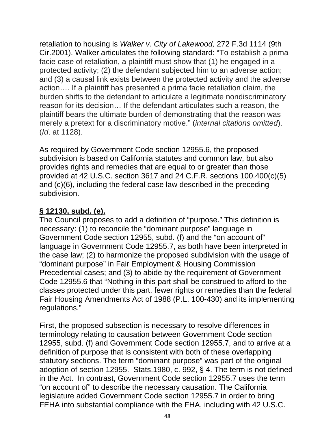retaliation to housing is *Walker v. City of Lakewood,* 272 F.3d 1114 (9th Cir.2001). Walker articulates the following standard: "To establish a prima facie case of retaliation, a plaintiff must show that (1) he engaged in a protected activity; (2) the defendant subjected him to an adverse action; and (3) a causal link exists between the protected activity and the adverse action…. If a plaintiff has presented a prima facie retaliation claim, the burden shifts to the defendant to articulate a legitimate nondiscriminatory reason for its decision… If the defendant articulates such a reason, the plaintiff bears the ultimate burden of demonstrating that the reason was merely a pretext for a discriminatory motive." (*internal citations omitted*). (*Id*. at 1128).

As required by Government Code section 12955.6, the proposed subdivision is based on California statutes and common law, but also provides rights and remedies that are equal to or greater than those provided at 42 U.S.C. section 3617 and 24 C.F.R. sections 100.400(c)(5) and (c)(6), including the federal case law described in the preceding subdivision.

### **§ 12130, subd. (e).**

The Council proposes to add a definition of "purpose." This definition is necessary: (1) to reconcile the "dominant purpose" language in Government Code section 12955, subd. (f) and the "on account of" language in Government Code 12955.7, as both have been interpreted in the case law; (2) to harmonize the proposed subdivision with the usage of "dominant purpose" in Fair Employment & Housing Commission Precedential cases; and (3) to abide by the requirement of Government Code 12955.6 that "Nothing in this part shall be construed to afford to the classes protected under this part, fewer rights or remedies than the federal Fair Housing Amendments Act of 1988 (P.L. 100-430) and its implementing regulations."

First, the proposed subsection is necessary to resolve differences in terminology relating to causation between Government Code section 12955, subd. (f) and Government Code section 12955.7, and to arrive at a definition of purpose that is consistent with both of these overlapping statutory sections. The term "dominant purpose" was part of the original adoption of section 12955. Stats.1980, c. 992, § 4. The term is not defined in the Act. In contrast, Government Code section 12955.7 uses the term "on account of" to describe the necessary causation. The California legislature added Government Code section 12955.7 in order to bring FEHA into substantial compliance with the FHA, including with 42 U.S.C.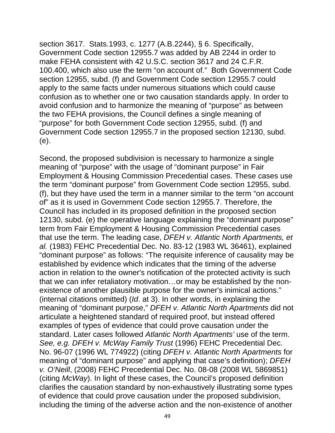section 3617. Stats.1993, c. 1277 (A.B.2244), § 6. Specifically, Government Code section 12955.7 was added by AB 2244 in order to make FEHA consistent with 42 U.S.C. section 3617 and 24 C.F.R. 100.400, which also use the term "on account of." Both Government Code section 12955, subd. (f) and Government Code section 12955.7 could apply to the same facts under numerous situations which could cause confusion as to whether one or two causation standards apply. In order to avoid confusion and to harmonize the meaning of "purpose" as between the two FEHA provisions, the Council defines a single meaning of "purpose" for both Government Code section 12955, subd. (f) and Government Code section 12955.7 in the proposed section 12130, subd. (e).

Second, the proposed subdivision is necessary to harmonize a single meaning of "purpose" with the usage of "dominant purpose" in Fair Employment & Housing Commission Precedential cases. These cases use the term "dominant purpose" from Government Code section 12955, subd. (f), but they have used the term in a manner similar to the term "on account of" as it is used in Government Code section 12955.7. Therefore, the Council has included in its proposed definition in the proposed section 12130, subd. (e) the operative language explaining the "dominant purpose" term from Fair Employment & Housing Commission Precedential cases that use the term. The leading case, *DFEH v. Atlantic North Apartments, et al.* (1983) FEHC Precedential Dec. No. 83-12 (1983 WL 36461), explained "dominant purpose" as follows: "The requisite inference of causality may be established by evidence which indicates that the timing of the adverse action in relation to the owner's notification of the protected activity is such that we can infer retaliatory motivation…or may be established by the nonexistence of another plausible purpose for the owner's inimical actions." (internal citations omitted) (*Id*. at 3). In other words, in explaining the meaning of "dominant purpose," *DFEH v. Atlantic North Apartments* did not articulate a heightened standard of required proof, but instead offered examples of types of evidence that could prove causation under the standard. Later cases followed *Atlantic North Apartments'* use of the term. *See, e.g. DFEH v. McWay Family Trust* (1996) FEHC Precedential Dec. No. 96-07 (1996 WL 774922) (citing *DFEH v. Atlantic North Apartments* for meaning of "dominant purpose" and applying that case's definition); *DFEH v. O'Neill*, (2008) FEHC Precedential Dec. No. 08-08 (2008 WL 5869851) (citing *McWay*). In light of these cases, the Council's proposed definition clarifies the causation standard by non-exhaustively illustrating some types of evidence that could prove causation under the proposed subdivision, including the timing of the adverse action and the non-existence of another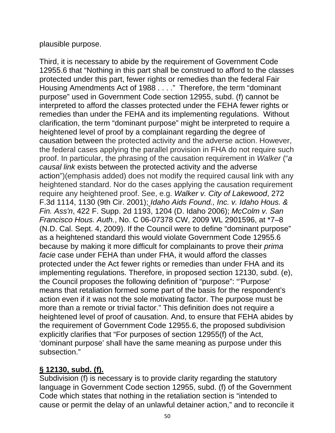plausible purpose.

Third, it is necessary to abide by the requirement of Government Code 12955.6 that "Nothing in this part shall be construed to afford to the classes protected under this part, fewer rights or remedies than the federal Fair Housing Amendments Act of 1988 . . . ." Therefore, the term "dominant purpose" used in Government Code section 12955, subd. (f) cannot be interpreted to afford the classes protected under the FEHA fewer rights or remedies than under the FEHA and its implementing regulations. Without clarification, the term "dominant purpose" might be interpreted to require a heightened level of proof by a complainant regarding the degree of causation between the protected activity and the adverse action. However, the federal cases applying the parallel provision in FHA do not require such proof. In particular, the phrasing of the causation requirement in *Walker* ("*a causal link* exists between the protected activity and the adverse action")(emphasis added) does not modify the required causal link with any heightened standard. Nor do the cases applying the causation requirement require any heightened proof. See, e.g. *Walker v. City of Lakewood*, 272 F.3d 1114, 1130 (9th Cir. 2001); *Idaho Aids Found., Inc. v. Idaho Hous. & Fin. Ass'n*, 422 F. Supp. 2d 1193, 1204 (D. Idaho 2006); *McColm v. San Francisco Hous. Auth.*, No. C 06-07378 CW, 2009 WL 2901596, at \*7–8 (N.D. Cal. Sept. 4, 2009). If the Council were to define "dominant purpose" as a heightened standard this would violate Government Code 12955.6 because by making it more difficult for complainants to prove their *prima facie* case under FEHA than under FHA, it would afford the classes protected under the Act fewer rights or remedies than under FHA and its implementing regulations. Therefore, in proposed section 12130, subd. (e), the Council proposes the following definition of "purpose": "'Purpose' means that retaliation formed some part of the basis for the respondent's action even if it was not the sole motivating factor. The purpose must be more than a remote or trivial factor." This definition does not require a heightened level of proof of causation. And, to ensure that FEHA abides by the requirement of Government Code 12955.6, the proposed subdivision explicitly clarifies that "For purposes of section 12955(f) of the Act, 'dominant purpose' shall have the same meaning as purpose under this subsection."

#### **§ 12130, subd. (f).**

Subdivision (f) is necessary is to provide clarity regarding the statutory language in Government Code section 12955, subd. (f) of the Government Code which states that nothing in the retaliation section is "intended to cause or permit the delay of an unlawful detainer action," and to reconcile it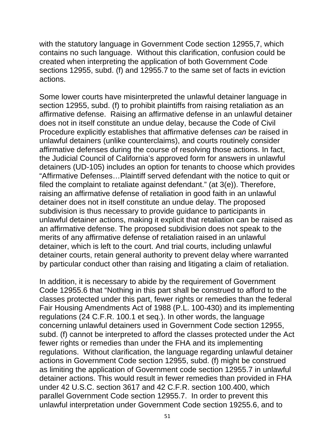with the statutory language in Government Code section 12955,7, which contains no such language. Without this clarification, confusion could be created when interpreting the application of both Government Code sections 12955, subd. (f) and 12955.7 to the same set of facts in eviction actions.

Some lower courts have misinterpreted the unlawful detainer language in section 12955, subd. (f) to prohibit plaintiffs from raising retaliation as an affirmative defense. Raising an affirmative defense in an unlawful detainer does not in itself constitute an undue delay, because the Code of Civil Procedure explicitly establishes that affirmative defenses *can* be raised in unlawful detainers (unlike counterclaims), and courts routinely consider affirmative defenses during the course of resolving those actions. In fact, the Judicial Council of California's approved form for answers in unlawful detainers (UD-105) includes an option for tenants to choose which provides "Affirmative Defenses…Plaintiff served defendant with the notice to quit or filed the complaint to retaliate against defendant." (at 3(e)). Therefore, raising an affirmative defense of retaliation in good faith in an unlawful detainer does not in itself constitute an undue delay. The proposed subdivision is thus necessary to provide guidance to participants in unlawful detainer actions, making it explicit that retaliation can be raised as an affirmative defense. The proposed subdivision does not speak to the merits of any affirmative defense of retaliation raised in an unlawful detainer, which is left to the court. And trial courts, including unlawful detainer courts, retain general authority to prevent delay where warranted by particular conduct other than raising and litigating a claim of retaliation.

In addition, it is necessary to abide by the requirement of Government Code 12955.6 that "Nothing in this part shall be construed to afford to the classes protected under this part, fewer rights or remedies than the federal Fair Housing Amendments Act of 1988 (P.L. 100-430) and its implementing regulations (24 C.F.R. 100.1 et seq.). In other words, the language concerning unlawful detainers used in Government Code section 12955, subd. (f) cannot be interpreted to afford the classes protected under the Act fewer rights or remedies than under the FHA and its implementing regulations. Without clarification, the language regarding unlawful detainer actions in Government Code section 12955, subd. (f) might be construed as limiting the application of Government code section 12955.7 in unlawful detainer actions. This would result in fewer remedies than provided in FHA under 42 U.S.C. section 3617 and 42 C.F.R. section 100.400, which parallel Government Code section 12955.7. In order to prevent this unlawful interpretation under Government Code section 19255.6, and to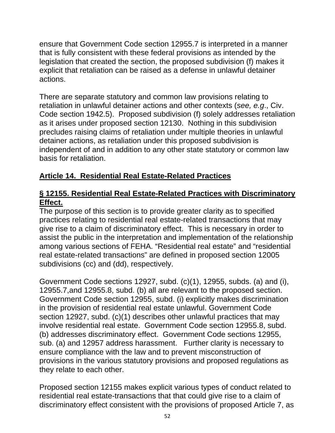ensure that Government Code section 12955.7 is interpreted in a manner that is fully consistent with these federal provisions as intended by the legislation that created the section, the proposed subdivision (f) makes it explicit that retaliation can be raised as a defense in unlawful detainer actions.

There are separate statutory and common law provisions relating to retaliation in unlawful detainer actions and other contexts (*see, e.g*., Civ. Code section 1942.5). Proposed subdivision (f) solely addresses retaliation as it arises under proposed section 12130. Nothing in this subdivision precludes raising claims of retaliation under multiple theories in unlawful detainer actions, as retaliation under this proposed subdivision is independent of and in addition to any other state statutory or common law basis for retaliation.

### **Article 14. Residential Real Estate-Related Practices**

#### **§ 12155. Residential Real Estate-Related Practices with Discriminatory Effect.**

The purpose of this section is to provide greater clarity as to specified practices relating to residential real estate-related transactions that may give rise to a claim of discriminatory effect. This is necessary in order to assist the public in the interpretation and implementation of the relationship among various sections of FEHA. "Residential real estate" and "residential real estate-related transactions" are defined in proposed section 12005 subdivisions (cc) and (dd), respectively.

Government Code sections 12927, subd. (c)(1), 12955, subds. (a) and (i), 12955.7,and 12955.8, subd. (b) all are relevant to the proposed section. Government Code section 12955, subd. (i) explicitly makes discrimination in the provision of residential real estate unlawful. Government Code section 12927, subd. (c)(1) describes other unlawful practices that may involve residential real estate. Government Code section 12955.8, subd. (b) addresses discriminatory effect. Government Code sections 12955, sub. (a) and 12957 address harassment. Further clarity is necessary to ensure compliance with the law and to prevent misconstruction of provisions in the various statutory provisions and proposed regulations as they relate to each other.

Proposed section 12155 makes explicit various types of conduct related to residential real estate-transactions that that could give rise to a claim of discriminatory effect consistent with the provisions of proposed Article 7, as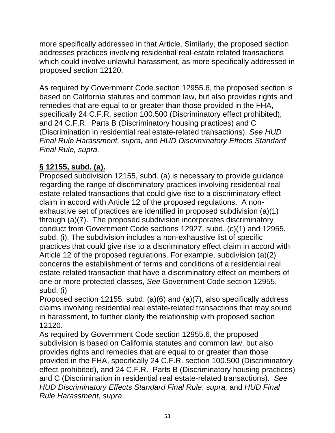more specifically addressed in that Article. Similarly, the proposed section addresses practices involving residential real-estate related transactions which could involve unlawful harassment, as more specifically addressed in proposed section 12120.

As required by Government Code section 12955.6, the proposed section is based on California statutes and common law, but also provides rights and remedies that are equal to or greater than those provided in the FHA, specifically 24 C.F.R. section 100.500 (Discriminatory effect prohibited), and 24 C.F.R. Parts B (Discriminatory housing practices) and C (Discrimination in residential real estate-related transactions). *See HUD Final Rule Harassment, supra,* and *HUD Discriminatory Effects Standard Final Rule, supra.*

## **§ 12155, subd. (a).**

Proposed subdivision 12155, subd. (a) is necessary to provide guidance regarding the range of discriminatory practices involving residential real estate-related transactions that could give rise to a discriminatory effect claim in accord with Article 12 of the proposed regulations. A nonexhaustive set of practices are identified in proposed subdivision (a)(1) through (a)(7). The proposed subdivision incorporates discriminatory conduct from Government Code sections 12927, subd. (c)(1) and 12955, subd. (i). The subdivision includes a non-exhaustive list of specific practices that could give rise to a discriminatory effect claim in accord with Article 12 of the proposed regulations. For example, subdivision (a)(2) concerns the establishment of terms and conditions of a residential real estate-related transaction that have a discriminatory effect on members of one or more protected classes, *See* Government Code section 12955, subd. (i)

Proposed section 12155, subd. (a)(6) and (a)(7), also specifically address claims involving residential real estate-related transactions that may sound in harassment, to further clarify the relationship with proposed section 12120.

As required by Government Code section 12955.6, the proposed subdivision is based on California statutes and common law, but also provides rights and remedies that are equal to or greater than those provided in the FHA, specifically 24 C.F.R. section 100.500 (Discriminatory effect prohibited), and 24 C.F.R. Parts B (Discriminatory housing practices) and C (Discrimination in residential real estate-related transactions). *See HUD Discriminatory Effects Standard Final Rule*, *supra,* and *HUD Final Rule Harassment*, *supra*.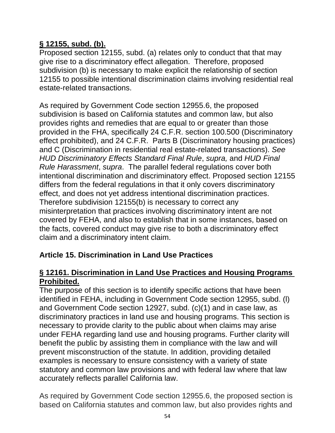#### **§ 12155, subd. (b).**

Proposed section 12155, subd. (a) relates only to conduct that that may give rise to a discriminatory effect allegation. Therefore, proposed subdivision (b) is necessary to make explicit the relationship of section 12155 to possible intentional discrimination claims involving residential real estate-related transactions.

As required by Government Code section 12955.6, the proposed subdivision is based on California statutes and common law, but also provides rights and remedies that are equal to or greater than those provided in the FHA, specifically 24 C.F.R. section 100.500 (Discriminatory effect prohibited), and 24 C.F.R. Parts B (Discriminatory housing practices) and C (Discrimination in residential real estate-related transactions). *See HUD Discriminatory Effects Standard Final Rule*, *supra,* and *HUD Final Rule Harassment*, *supra*. The parallel federal regulations cover both intentional discrimination and discriminatory effect. Proposed section 12155 differs from the federal regulations in that it only covers discriminatory effect, and does not yet address intentional discrimination practices. Therefore subdivision 12155(b) is necessary to correct any misinterpretation that practices involving discriminatory intent are not covered by FEHA, and also to establish that in some instances, based on the facts, covered conduct may give rise to both a discriminatory effect claim and a discriminatory intent claim.

### **Article 15. Discrimination in Land Use Practices**

#### **§ 12161. Discrimination in Land Use Practices and Housing Programs Prohibited.**

The purpose of this section is to identify specific actions that have been identified in FEHA, including in Government Code section 12955, subd. (l) and Government Code section 12927, subd. (c)(1) and in case law, as discriminatory practices in land use and housing programs. This section is necessary to provide clarity to the public about when claims may arise under FEHA regarding land use and housing programs. Further clarity will benefit the public by assisting them in compliance with the law and will prevent misconstruction of the statute. In addition, providing detailed examples is necessary to ensure consistency with a variety of state statutory and common law provisions and with federal law where that law accurately reflects parallel California law.

As required by Government Code section 12955.6, the proposed section is based on California statutes and common law, but also provides rights and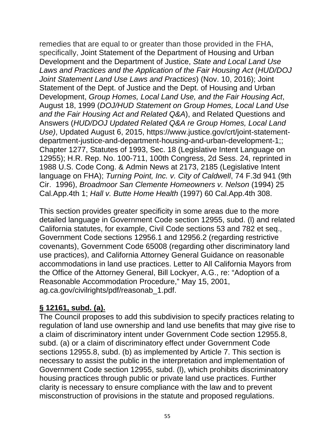remedies that are equal to or greater than those provided in the FHA, specifically, Joint Statement of the Department of Housing and Urban Development and the Department of Justice, *State and Local Land Use Laws and Practices and the Application of the Fair Housing Act* (*HUD/DOJ Joint Statement Land Use Laws and Practices*) (Nov. 10, 2016); Joint Statement of the Dept. of Justice and the Dept. of Housing and Urban Development, *Group Homes, Local Land Use, and the Fair Housing Act*, August 18, 1999 (*DOJ/HUD Statement on Group Homes, Local Land Use and the Fair Housing Act and Related Q&A*), and Related Questions and Answers (*HUD/DOJ Updated Related Q&A re Group Homes, Local Land Use)*, Updated August 6, 2015, https://www.justice.gov/crt/joint-statementdepartment-justice-and-department-housing-and-urban-development-1;; Chapter 1277, Statutes of 1993, Sec. 18 (Legislative Intent Language on 12955); H.R. Rep. No. 100-711, 100th Congress, 2d Sess. 24, reprinted in 1988 U.S. Code Cong. & Admin News at 2173, 2185 (Legislative Intent language on FHA); *Turning Point, Inc. v. City of Caldwell*, 74 F.3d 941 (9th Cir. 1996), *Broadmoor San Clemente Homeowners v. Nelson* (1994) 25 Cal.App.4th 1; *Hall v. Butte Home Health* (1997) 60 Cal.App.4th 308.

This section provides greater specificity in some areas due to the more detailed language in Government Code section 12955, subd. (l) and related California statutes, for example, Civil Code sections 53 and 782 et seq., Government Code sections 12956.1 and 12956.2 (regarding restrictive covenants), Government Code 65008 (regarding other discriminatory land use practices), and California Attorney General Guidance on reasonable accommodations in land use practices. Letter to All California Mayors from the Office of the Attorney General, Bill Lockyer, A.G., re: "Adoption of a Reasonable Accommodation Procedure," May 15, 2001, ag.ca.gov/civilrights/pdf/reasonab\_1.pdf.

### **§ 12161, subd. (a).**

The Council proposes to add this subdivision to specify practices relating to regulation of land use ownership and land use benefits that may give rise to a claim of discriminatory intent under Government Code section 12955.8, subd. (a) or a claim of discriminatory effect under Government Code sections 12955.8, subd. (b) as implemented by Article 7. This section is necessary to assist the public in the interpretation and implementation of Government Code section 12955, subd. (l), which prohibits discriminatory housing practices through public or private land use practices. Further clarity is necessary to ensure compliance with the law and to prevent misconstruction of provisions in the statute and proposed regulations.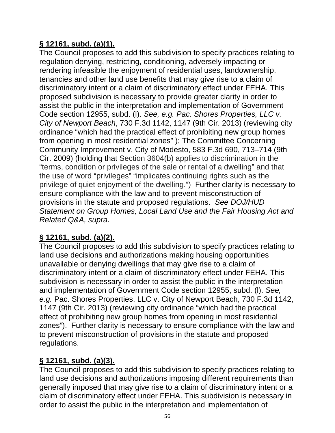## **§ 12161, subd. (a)(1).**

The Council proposes to add this subdivision to specify practices relating to regulation denying, restricting, conditioning, adversely impacting or rendering infeasible the enjoyment of residential uses, landownership, tenancies and other land use benefits that may give rise to a claim of discriminatory intent or a claim of discriminatory effect under FEHA. This proposed subdivision is necessary to provide greater clarity in order to assist the public in the interpretation and implementation of Government Code section 12955, subd. (l). *See, e.g. Pac. Shores Properties, LLC v. City of Newport Beach*, 730 F.3d 1142, 1147 (9th Cir. 2013) (reviewing city ordinance "which had the practical effect of prohibiting new group homes from opening in most residential zones" ); The Committee Concerning Community Improvement v. City of Modesto, 583 F.3d 690, 713–714 (9th Cir. 2009) (holding that Section 3604(b) applies to discrimination in the "terms, condition or privileges of the sale or rental of a dwelling" and that the use of word "privileges" "implicates continuing rights such as the privilege of quiet enjoyment of the dwelling.") Further clarity is necessary to ensure compliance with the law and to prevent misconstruction of provisions in the statute and proposed regulations. *See DOJ/HUD Statement on Group Homes, Local Land Use and the Fair Housing Act and Related Q&A, supra*.

# **§ 12161, subd. (a)(2).**

The Council proposes to add this subdivision to specify practices relating to land use decisions and authorizations making housing opportunities unavailable or denying dwellings that may give rise to a claim of discriminatory intent or a claim of discriminatory effect under FEHA. This subdivision is necessary in order to assist the public in the interpretation and implementation of Government Code section 12955, subd. (l). *See, e.g.* Pac. Shores Properties, LLC v. City of Newport Beach, 730 F.3d 1142, 1147 (9th Cir. 2013) (reviewing city ordinance "which had the practical effect of prohibiting new group homes from opening in most residential zones"). Further clarity is necessary to ensure compliance with the law and to prevent misconstruction of provisions in the statute and proposed regulations.

### **§ 12161, subd. (a)(3).**

The Council proposes to add this subdivision to specify practices relating to land use decisions and authorizations imposing different requirements than generally imposed that may give rise to a claim of discriminatory intent or a claim of discriminatory effect under FEHA. This subdivision is necessary in order to assist the public in the interpretation and implementation of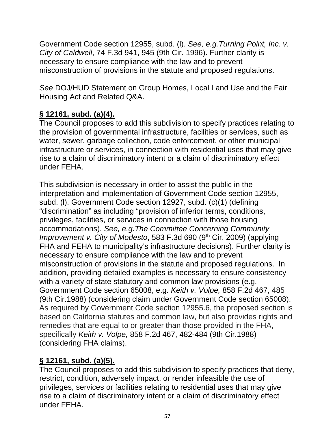Government Code section 12955, subd. (l). *See, e.g.Turning Point, Inc. v. City of Caldwell*, 74 F.3d 941, 945 (9th Cir. 1996). Further clarity is necessary to ensure compliance with the law and to prevent misconstruction of provisions in the statute and proposed regulations.

*See* DOJ/HUD Statement on Group Homes, Local Land Use and the Fair Housing Act and Related Q&A.

## **§ 12161, subd. (a)(4).**

The Council proposes to add this subdivision to specify practices relating to the provision of governmental infrastructure, facilities or services, such as water, sewer, garbage collection, code enforcement, or other municipal infrastructure or services, in connection with residential uses that may give rise to a claim of discriminatory intent or a claim of discriminatory effect under FEHA.

This subdivision is necessary in order to assist the public in the interpretation and implementation of Government Code section 12955, subd. (l). Government Code section 12927, subd. (c)(1) (defining "discrimination" as including "provision of inferior terms, conditions, privileges, facilities, or services in connection with those housing accommodations). *See, e.g.The Committee Concerning Community Improvement v. City of Modesto*, 583 F.3d 690 (9<sup>th</sup> Cir. 2009) (applying FHA and FEHA to municipality's infrastructure decisions). Further clarity is necessary to ensure compliance with the law and to prevent misconstruction of provisions in the statute and proposed regulations. In addition, providing detailed examples is necessary to ensure consistency with a variety of state statutory and common law provisions (e.g. Government Code section 65008, e.g. *Keith v. Volpe,* 858 F.2d 467, 485 (9th Cir.1988) (considering claim under Government Code section 65008). As required by Government Code section 12955.6, the proposed section is based on California statutes and common law, but also provides rights and remedies that are equal to or greater than those provided in the FHA, specifically *Keith v. Volpe,* 858 F.2d 467, 482-484 (9th Cir.1988) (considering FHA claims).

# **§ 12161, subd. (a)(5).**

The Council proposes to add this subdivision to specify practices that deny, restrict, condition, adversely impact, or render infeasible the use of privileges, services or facilities relating to residential uses that may give rise to a claim of discriminatory intent or a claim of discriminatory effect under FEHA.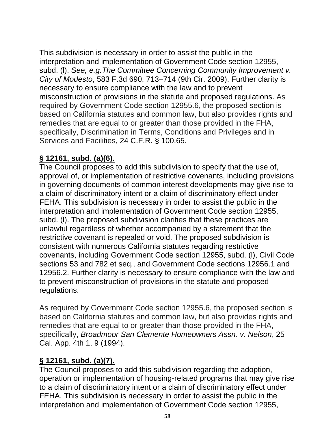This subdivision is necessary in order to assist the public in the interpretation and implementation of Government Code section 12955, subd. (l). *See, e.g.The Committee Concerning Community Improvement v. City of Modesto*, 583 F.3d 690, 713–714 (9th Cir. 2009). Further clarity is necessary to ensure compliance with the law and to prevent misconstruction of provisions in the statute and proposed regulations. As required by Government Code section 12955.6, the proposed section is based on California statutes and common law, but also provides rights and remedies that are equal to or greater than those provided in the FHA, specifically, Discrimination in Terms, Conditions and Privileges and in Services and Facilities, 24 C.F.R. § 100.65.

#### **§ 12161, subd. (a)(6).**

The Council proposes to add this subdivision to specify that the use of, approval of, or implementation of restrictive covenants, including provisions in governing documents of common interest developments may give rise to a claim of discriminatory intent or a claim of discriminatory effect under FEHA. This subdivision is necessary in order to assist the public in the interpretation and implementation of Government Code section 12955, subd. (l). The proposed subdivision clarifies that these practices are unlawful regardless of whether accompanied by a statement that the restrictive covenant is repealed or void. The proposed subdivision is consistent with numerous California statutes regarding restrictive covenants, including Government Code section 12955, subd. (l), Civil Code sections 53 and 782 et seq., and Government Code sections 12956.1 and 12956.2. Further clarity is necessary to ensure compliance with the law and to prevent misconstruction of provisions in the statute and proposed regulations.

As required by Government Code section 12955.6, the proposed section is based on California statutes and common law, but also provides rights and remedies that are equal to or greater than those provided in the FHA, specifically, *Broadmoor San Clemente Homeowners Assn. v. Nelson*, 25 Cal. App. 4th 1, 9 (1994).

#### **§ 12161, subd. (a)(7).**

The Council proposes to add this subdivision regarding the adoption, operation or implementation of housing-related programs that may give rise to a claim of discriminatory intent or a claim of discriminatory effect under FEHA. This subdivision is necessary in order to assist the public in the interpretation and implementation of Government Code section 12955,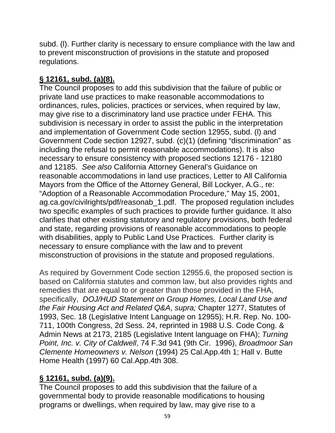subd. (l). Further clarity is necessary to ensure compliance with the law and to prevent misconstruction of provisions in the statute and proposed regulations.

# **§ 12161, subd. (a)(8).**

The Council proposes to add this subdivision that the failure of public or private land use practices to make reasonable accommodations to ordinances, rules, policies, practices or services, when required by law, may give rise to a discriminatory land use practice under FEHA. This subdivision is necessary in order to assist the public in the interpretation and implementation of Government Code section 12955, subd. (l) and Government Code section 12927, subd. (c)(1) (defining "discrimination" as including the refusal to permit reasonable accommodations). It is also necessary to ensure consistency with proposed sections 12176 - 12180 and 12185. *See also* California Attorney General's Guidance on reasonable accommodations in land use practices, Letter to All California Mayors from the Office of the Attorney General, Bill Lockyer, A.G., re: "Adoption of a Reasonable Accommodation Procedure," May 15, 2001, ag.ca.gov/civilrights/pdf/reasonab\_1.pdf. The proposed regulation includes two specific examples of such practices to provide further guidance. It also clarifies that other existing statutory and regulatory provisions, both federal and state, regarding provisions of reasonable accommodations to people with disabilities, apply to Public Land Use Practices. Further clarity is necessary to ensure compliance with the law and to prevent misconstruction of provisions in the statute and proposed regulations.

As required by Government Code section 12955.6, the proposed section is based on California statutes and common law, but also provides rights and remedies that are equal to or greater than those provided in the FHA, specifically, *DOJ/HUD Statement on Group Homes, Local Land Use and the Fair Housing Act and Related Q&A*, *supra;* Chapter 1277, Statutes of 1993, Sec. 18 (Legislative Intent Language on 12955); H.R. Rep. No. 100- 711, 100th Congress, 2d Sess. 24, reprinted in 1988 U.S. Code Cong. & Admin News at 2173, 2185 (Legislative Intent language on FHA); *Turning Point, Inc. v. City of Caldwell*, 74 F.3d 941 (9th Cir. 1996), *Broadmoor San Clemente Homeowners v. Nelson* (1994) 25 Cal.App.4th 1; Hall v. Butte Home Health (1997) 60 Cal.App.4th 308.

# **§ 12161, subd. (a)(9).**

The Council proposes to add this subdivision that the failure of a governmental body to provide reasonable modifications to housing programs or dwellings, when required by law, may give rise to a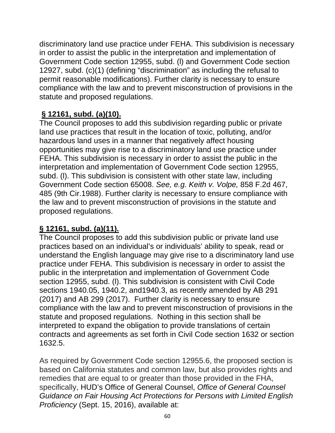discriminatory land use practice under FEHA. This subdivision is necessary in order to assist the public in the interpretation and implementation of Government Code section 12955, subd. (l) and Government Code section 12927, subd. (c)(1) (defining "discrimination" as including the refusal to permit reasonable modifications). Further clarity is necessary to ensure compliance with the law and to prevent misconstruction of provisions in the statute and proposed regulations.

### **§ 12161, subd. (a)(10).**

The Council proposes to add this subdivision regarding public or private land use practices that result in the location of toxic, polluting, and/or hazardous land uses in a manner that negatively affect housing opportunities may give rise to a discriminatory land use practice under FEHA. This subdivision is necessary in order to assist the public in the interpretation and implementation of Government Code section 12955, subd. (l). This subdivision is consistent with other state law, including Government Code section 65008. *See, e.g. Keith v. Volpe,* 858 F.2d 467, 485 (9th Cir.1988). Further clarity is necessary to ensure compliance with the law and to prevent misconstruction of provisions in the statute and proposed regulations.

### **§ 12161, subd. (a)(11).**

The Council proposes to add this subdivision public or private land use practices based on an individual's or individuals' ability to speak, read or understand the English language may give rise to a discriminatory land use practice under FEHA. This subdivision is necessary in order to assist the public in the interpretation and implementation of Government Code section 12955, subd. (l). This subdivision is consistent with Civil Code sections 1940.05, 1940.2, and1940.3, as recently amended by AB 291 (2017) and AB 299 (2017). Further clarity is necessary to ensure compliance with the law and to prevent misconstruction of provisions in the statute and proposed regulations. Nothing in this section shall be interpreted to expand the obligation to provide translations of certain contracts and agreements as set forth in Civil Code section 1632 or section 1632.5.

As required by Government Code section 12955.6, the proposed section is based on California statutes and common law, but also provides rights and remedies that are equal to or greater than those provided in the FHA, specifically, HUD's Office of General Counsel, *Office of General Counsel Guidance on Fair Housing Act Protections for Persons with Limited English Proficiency* (Sept. 15, 2016), available at: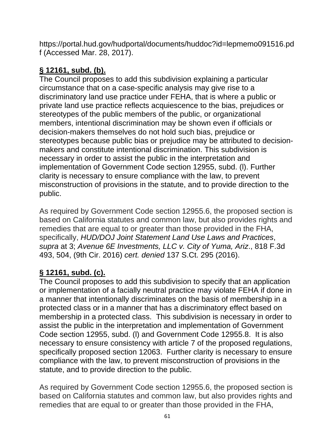https://portal.hud.gov/hudportal/documents/huddoc?id=lepmemo091516.pd f (Accessed Mar. 28, 2017).

# **§ 12161, subd. (b).**

The Council proposes to add this subdivision explaining a particular circumstance that on a case-specific analysis may give rise to a discriminatory land use practice under FEHA, that is where a public or private land use practice reflects acquiescence to the bias, prejudices or stereotypes of the public members of the public, or organizational members, intentional discrimination may be shown even if officials or decision-makers themselves do not hold such bias, prejudice or stereotypes because public bias or prejudice may be attributed to decisionmakers and constitute intentional discrimination. This subdivision is necessary in order to assist the public in the interpretation and implementation of Government Code section 12955, subd. (l). Further clarity is necessary to ensure compliance with the law, to prevent misconstruction of provisions in the statute, and to provide direction to the public.

As required by Government Code section 12955.6, the proposed section is based on California statutes and common law, but also provides rights and remedies that are equal to or greater than those provided in the FHA, specifically, *HUD/DOJ Joint Statement Land Use Laws and Practices*, *supra* at 3; *Avenue 6E Investments, LLC v. City of Yuma, Ariz*., 818 F.3d 493, 504, (9th Cir. 2016) *cert. denied* 137 S.Ct. 295 (2016).

### **§ 12161, subd. (c).**

The Council proposes to add this subdivision to specify that an application or implementation of a facially neutral practice may violate FEHA if done in a manner that intentionally discriminates on the basis of membership in a protected class or in a manner that has a discriminatory effect based on membership in a protected class. This subdivision is necessary in order to assist the public in the interpretation and implementation of Government Code section 12955, subd. (l) and Government Code 12955.8. It is also necessary to ensure consistency with article 7 of the proposed regulations, specifically proposed section 12063. Further clarity is necessary to ensure compliance with the law, to prevent misconstruction of provisions in the statute, and to provide direction to the public.

As required by Government Code section 12955.6, the proposed section is based on California statutes and common law, but also provides rights and remedies that are equal to or greater than those provided in the FHA,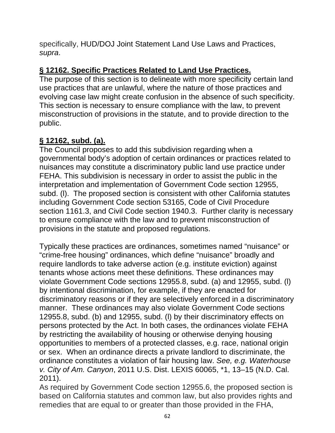specifically, HUD/DOJ Joint Statement Land Use Laws and Practices, *supra*.

### **§ 12162. Specific Practices Related to Land Use Practices.**

The purpose of this section is to delineate with more specificity certain land use practices that are unlawful, where the nature of those practices and evolving case law might create confusion in the absence of such specificity. This section is necessary to ensure compliance with the law, to prevent misconstruction of provisions in the statute, and to provide direction to the public.

#### **§ 12162, subd. (a).**

The Council proposes to add this subdivision regarding when a governmental body's adoption of certain ordinances or practices related to nuisances may constitute a discriminatory public land use practice under FEHA. This subdivision is necessary in order to assist the public in the interpretation and implementation of Government Code section 12955, subd. (l). The proposed section is consistent with other California statutes including Government Code section 53165, Code of Civil Procedure section 1161.3, and Civil Code section 1940.3.Further clarity is necessary to ensure compliance with the law and to prevent misconstruction of provisions in the statute and proposed regulations.

Typically these practices are ordinances, sometimes named "nuisance" or "crime-free housing" ordinances, which define "nuisance" broadly and require landlords to take adverse action (e.g. institute eviction) against tenants whose actions meet these definitions. These ordinances may violate Government Code sections 12955.8, subd. (a) and 12955, subd. (l) by intentional discrimination, for example, if they are enacted for discriminatory reasons or if they are selectively enforced in a discriminatory manner. These ordinances may also violate Government Code sections 12955.8, subd. (b) and 12955, subd. (l) by their discriminatory effects on persons protected by the Act. In both cases, the ordinances violate FEHA by restricting the availability of housing or otherwise denying housing opportunities to members of a protected classes, e.g. race, national origin or sex. When an ordinance directs a private landlord to discriminate, the ordinance constitutes a violation of fair housing law. *See, e.g. Waterhouse v. City of Am. Canyon*, 2011 U.S. Dist. LEXIS 60065, \*1, 13–15 (N.D. Cal. 2011).

As required by Government Code section 12955.6, the proposed section is based on California statutes and common law, but also provides rights and remedies that are equal to or greater than those provided in the FHA,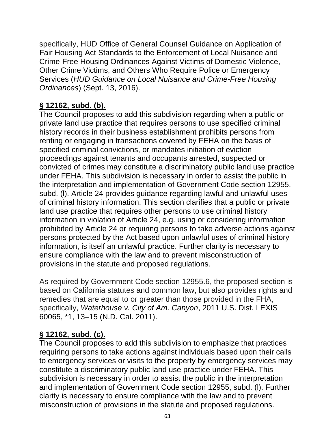specifically, HUD Office of General Counsel Guidance on Application of Fair Housing Act Standards to the Enforcement of Local Nuisance and Crime-Free Housing Ordinances Against Victims of Domestic Violence, Other Crime Victims, and Others Who Require Police or Emergency Services (*HUD Guidance on Local Nuisance and Crime-Free Housing Ordinances*) (Sept. 13, 2016).

#### **§ 12162, subd. (b).**

The Council proposes to add this subdivision regarding when a public or private land use practice that requires persons to use specified criminal history records in their business establishment prohibits persons from renting or engaging in transactions covered by FEHA on the basis of specified criminal convictions, or mandates initiation of eviction proceedings against tenants and occupants arrested, suspected or convicted of crimes may constitute a discriminatory public land use practice under FEHA. This subdivision is necessary in order to assist the public in the interpretation and implementation of Government Code section 12955, subd. (l). Article 24 provides guidance regarding lawful and unlawful uses of criminal history information. This section clarifies that a public or private land use practice that requires other persons to use criminal history information in violation of Article 24, e.g. using or considering information prohibited by Article 24 or requiring persons to take adverse actions against persons protected by the Act based upon unlawful uses of criminal history information, is itself an unlawful practice. Further clarity is necessary to ensure compliance with the law and to prevent misconstruction of provisions in the statute and proposed regulations.

As required by Government Code section 12955.6, the proposed section is based on California statutes and common law, but also provides rights and remedies that are equal to or greater than those provided in the FHA, specifically, *Waterhouse v. City of Am. Canyon*, 2011 U.S. Dist. LEXIS 60065, \*1, 13–15 (N.D. Cal. 2011).

#### **§ 12162, subd. (c).**

The Council proposes to add this subdivision to emphasize that practices requiring persons to take actions against individuals based upon their calls to emergency services or visits to the property by emergency services may constitute a discriminatory public land use practice under FEHA. This subdivision is necessary in order to assist the public in the interpretation and implementation of Government Code section 12955, subd. (l). Further clarity is necessary to ensure compliance with the law and to prevent misconstruction of provisions in the statute and proposed regulations.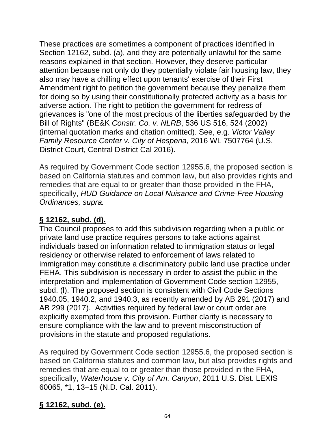These practices are sometimes a component of practices identified in Section 12162, subd. (a), and they are potentially unlawful for the same reasons explained in that section. However, they deserve particular attention because not only do they potentially violate fair housing law, they also may have a chilling effect upon tenants' exercise of their First Amendment right to petition the government because they penalize them for doing so by using their constitutionally protected activity as a basis for adverse action. The right to petition the government for redress of grievances is "one of the most precious of the liberties safeguarded by the Bill of Rights" (BE&K *Constr. Co. v. NLRB*, 536 US 516, 524 (2002) (internal quotation marks and citation omitted). See, e.g. *Victor Valley Family Resource Center v. City of Hesperia*, 2016 WL 7507764 (U.S. District Court, Central District Cal 2016).

As required by Government Code section 12955.6, the proposed section is based on California statutes and common law, but also provides rights and remedies that are equal to or greater than those provided in the FHA, specifically, *HUD Guidance on Local Nuisance and Crime-Free Housing Ordinances, supra.*

#### **§ 12162, subd. (d).**

The Council proposes to add this subdivision regarding when a public or private land use practice requires persons to take actions against individuals based on information related to immigration status or legal residency or otherwise related to enforcement of laws related to immigration may constitute a discriminatory public land use practice under FEHA. This subdivision is necessary in order to assist the public in the interpretation and implementation of Government Code section 12955, subd. (l). The proposed section is consistent with Civil Code Sections 1940.05, 1940.2, and 1940.3, as recently amended by AB 291 (2017) and AB 299 (2017). Activities required by federal law or court order are explicitly exempted from this provision. Further clarity is necessary to ensure compliance with the law and to prevent misconstruction of provisions in the statute and proposed regulations.

As required by Government Code section 12955.6, the proposed section is based on California statutes and common law, but also provides rights and remedies that are equal to or greater than those provided in the FHA, specifically, *Waterhouse v. City of Am. Canyon*, 2011 U.S. Dist. LEXIS 60065, \*1, 13–15 (N.D. Cal. 2011).

# **§ 12162, subd. (e).**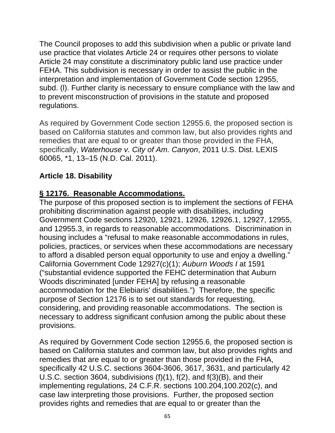The Council proposes to add this subdivision when a public or private land use practice that violates Article 24 or requires other persons to violate Article 24 may constitute a discriminatory public land use practice under FEHA. This subdivision is necessary in order to assist the public in the interpretation and implementation of Government Code section 12955, subd. (l). Further clarity is necessary to ensure compliance with the law and to prevent misconstruction of provisions in the statute and proposed regulations.

As required by Government Code section 12955.6, the proposed section is based on California statutes and common law, but also provides rights and remedies that are equal to or greater than those provided in the FHA, specifically, *Waterhouse v. City of Am. Canyon*, 2011 U.S. Dist. LEXIS 60065, \*1, 13–15 (N.D. Cal. 2011).

#### **Article 18. Disability**

#### **§ 12176. Reasonable Accommodations.**

The purpose of this proposed section is to implement the sections of FEHA prohibiting discrimination against people with disabilities, including Government Code sections 12920, 12921, 12926, 12926.1, 12927, 12955, and 12955.3, in regards to reasonable accommodations. Discrimination in housing includes a "refusal to make reasonable accommodations in rules, policies, practices, or services when these accommodations are necessary to afford a disabled person equal opportunity to use and enjoy a dwelling." California Government Code 12927(c)(1); *Auburn Woods I* at 1591 ("substantial evidence supported the FEHC determination that Auburn Woods discriminated [under FEHA] by refusing a reasonable accommodation for the Elebiaris' disabilities.") Therefore, the specific purpose of Section 12176 is to set out standards for requesting, considering, and providing reasonable accommodations. The section is necessary to address significant confusion among the public about these provisions.

As required by Government Code section 12955.6, the proposed section is based on California statutes and common law, but also provides rights and remedies that are equal to or greater than those provided in the FHA, specifically 42 U.S.C. sections 3604-3606, 3617, 3631, and particularly 42 U.S.C. section 3604, subdivisions (f)(1), f(2), and f(3)(B), and their implementing regulations, 24 C.F.R. sections 100.204,100.202(c), and case law interpreting those provisions. Further, the proposed section provides rights and remedies that are equal to or greater than the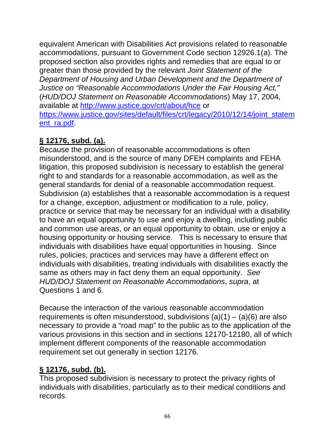equivalent American with Disabilities Act provisions related to reasonable accommodations, pursuant to Government Code section 12926.1(a). The proposed section also provides rights and remedies that are equal to or greater than those provided by the relevant *Joint Statement of the Department of Housing and Urban Development and the Department of Justice on "Reasonable Accommodations Under the Fair Housing Act,"* (*HUD/DOJ Statement on Reasonable Accommodations*) May 17, 2004, available at http://www.justice.gov/crt/about/hce or https://www.justice.gov/sites/default/files/crt/legacy/2010/12/14/joint\_statem ent\_ra.pdf.

## **§ 12176, subd. (a).**

Because the provision of reasonable accommodations is often misunderstood, and is the source of many DFEH complaints and FEHA litigation, this proposed subdivision is necessary to establish the general right to and standards for a reasonable accommodation, as well as the general standards for denial of a reasonable accommodation request. Subdivision (a) establishes that a reasonable accommodation is a request for a change, exception, adjustment or modification to a rule, policy, practice or service that may be necessary for an individual with a disability to have an equal opportunity to use and enjoy a dwelling, including public and common use areas, or an equal opportunity to obtain, use or enjoy a housing opportunity or housing service. This is necessary to ensure that individuals with disabilities have equal opportunities in housing. Since rules, policies, practices and services may have a different effect on individuals with disabilities, treating individuals with disabilities exactly the same as others may in fact deny them an equal opportunity. *See HUD/DOJ Statement on Reasonable Accommodations*, *supra*, at Questions 1 and 6.

Because the interaction of the various reasonable accommodation requirements is often misunderstood, subdivisions  $(a)(1) - (a)(6)$  are also necessary to provide a "road map" to the public as to the application of the various provisions in this section and in sections 12170-12180, all of which implement different components of the reasonable accommodation requirement set out generally in section 12176.

### **§ 12176, subd. (b).**

This proposed subdivision is necessary to protect the privacy rights of individuals with disabilities, particularly as to their medical conditions and records.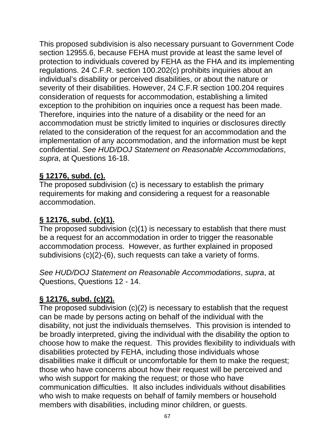This proposed subdivision is also necessary pursuant to Government Code section 12955.6, because FEHA must provide at least the same level of protection to individuals covered by FEHA as the FHA and its implementing regulations. 24 C.F.R. section 100.202(c) prohibits inquiries about an individual's disability or perceived disabilities, or about the nature or severity of their disabilities. However, 24 C.F.R section 100.204 requires consideration of requests for accommodation, establishing a limited exception to the prohibition on inquiries once a request has been made. Therefore, inquiries into the nature of a disability or the need for an accommodation must be strictly limited to inquiries or disclosures directly related to the consideration of the request for an accommodation and the implementation of any accommodation, and the information must be kept confidential. *See HUD/DOJ Statement on Reasonable Accommodations*, *supra*, at Questions 16-18.

#### **§ 12176, subd. (c).**

The proposed subdivision (c) is necessary to establish the primary requirements for making and considering a request for a reasonable accommodation.

#### **§ 12176, subd. (c)(1).**

The proposed subdivision (c)(1) is necessary to establish that there must be a request for an accommodation in order to trigger the reasonable accommodation process. However, as further explained in proposed subdivisions (c)(2)-(6), such requests can take a variety of forms.

*See HUD/DOJ Statement on Reasonable Accommodations*, *supra*, at Questions, Questions 12 - 14.

### **§ 12176, subd. (c)(2).**

The proposed subdivision (c)(2) is necessary to establish that the request can be made by persons acting on behalf of the individual with the disability, not just the individuals themselves. This provision is intended to be broadly interpreted, giving the individual with the disability the option to choose how to make the request. This provides flexibility to individuals with disabilities protected by FEHA, including those individuals whose disabilities make it difficult or uncomfortable for them to make the request; those who have concerns about how their request will be perceived and who wish support for making the request; or those who have communication difficulties. It also includes individuals without disabilities who wish to make requests on behalf of family members or household members with disabilities, including minor children, or guests.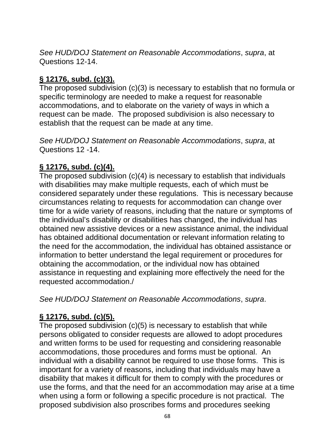*See HUD/DOJ Statement on Reasonable Accommodations*, *supra*, at Questions 12-14.

### **§ 12176, subd. (c)(3).**

The proposed subdivision (c)(3) is necessary to establish that no formula or specific terminology are needed to make a request for reasonable accommodations, and to elaborate on the variety of ways in which a request can be made. The proposed subdivision is also necessary to establish that the request can be made at any time.

*See HUD/DOJ Statement on Reasonable Accommodations*, *supra*, at Questions 12 -14.

### **§ 12176, subd. (c)(4).**

The proposed subdivision (c)(4) is necessary to establish that individuals with disabilities may make multiple requests, each of which must be considered separately under these regulations. This is necessary because circumstances relating to requests for accommodation can change over time for a wide variety of reasons, including that the nature or symptoms of the individual's disability or disabilities has changed, the individual has obtained new assistive devices or a new assistance animal, the individual has obtained additional documentation or relevant information relating to the need for the accommodation, the individual has obtained assistance or information to better understand the legal requirement or procedures for obtaining the accommodation, or the individual now has obtained assistance in requesting and explaining more effectively the need for the requested accommodation./

*See HUD/DOJ Statement on Reasonable Accommodations*, *supra*.

### **§ 12176, subd. (c)(5).**

The proposed subdivision (c)(5) is necessary to establish that while persons obligated to consider requests are allowed to adopt procedures and written forms to be used for requesting and considering reasonable accommodations, those procedures and forms must be optional. An individual with a disability cannot be required to use those forms. This is important for a variety of reasons, including that individuals may have a disability that makes it difficult for them to comply with the procedures or use the forms, and that the need for an accommodation may arise at a time when using a form or following a specific procedure is not practical. The proposed subdivision also proscribes forms and procedures seeking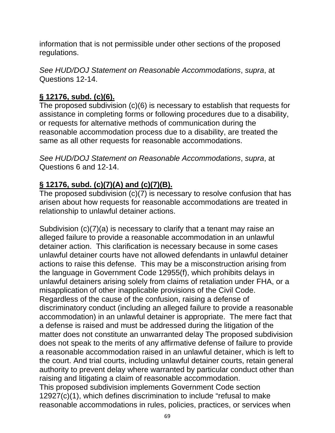information that is not permissible under other sections of the proposed regulations.

*See HUD/DOJ Statement on Reasonable Accommodations*, *supra*, at Questions 12-14.

## **§ 12176, subd. (c)(6).**

The proposed subdivision (c)(6) is necessary to establish that requests for assistance in completing forms or following procedures due to a disability, or requests for alternative methods of communication during the reasonable accommodation process due to a disability, are treated the same as all other requests for reasonable accommodations.

*See HUD/DOJ Statement on Reasonable Accommodations*, *supra*, at Questions 6 and 12-14.

# **§ 12176, subd. (c)(7)(A) and (c)(7)(B).**

The proposed subdivision (c)(7) is necessary to resolve confusion that has arisen about how requests for reasonable accommodations are treated in relationship to unlawful detainer actions.

Subdivision (c)(7)(a) is necessary to clarify that a tenant may raise an alleged failure to provide a reasonable accommodation in an unlawful detainer action. This clarification is necessary because in some cases unlawful detainer courts have not allowed defendants in unlawful detainer actions to raise this defense. This may be a misconstruction arising from the language in Government Code 12955(f), which prohibits delays in unlawful detainers arising solely from claims of retaliation under FHA, or a misapplication of other inapplicable provisions of the Civil Code. Regardless of the cause of the confusion, raising a defense of discriminatory conduct (including an alleged failure to provide a reasonable accommodation) in an unlawful detainer is appropriate. The mere fact that a defense is raised and must be addressed during the litigation of the matter does not constitute an unwarranted delay The proposed subdivision does not speak to the merits of any affirmative defense of failure to provide a reasonable accommodation raised in an unlawful detainer, which is left to the court. And trial courts, including unlawful detainer courts, retain general authority to prevent delay where warranted by particular conduct other than raising and litigating a claim of reasonable accommodation. This proposed subdivision implements Government Code section

12927(c)(1), which defines discrimination to include "refusal to make reasonable accommodations in rules, policies, practices, or services when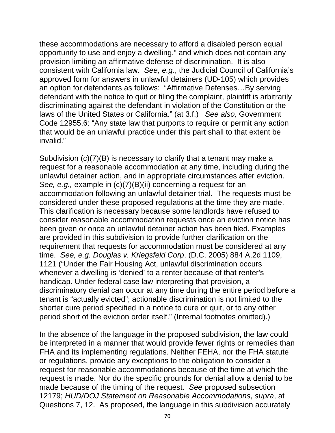these accommodations are necessary to afford a disabled person equal opportunity to use and enjoy a dwelling," and which does not contain any provision limiting an affirmative defense of discrimination. It is also consistent with California law. *See, e.g.*, the Judicial Council of California's approved form for answers in unlawful detainers (UD-105) which provides an option for defendants as follows: "Affirmative Defenses…By serving defendant with the notice to quit or filing the complaint, plaintiff is arbitrarily discriminating against the defendant in violation of the Constitution or the laws of the United States or California." (at 3.f.) *See also,* Government Code 12955.6: "Any state law that purports to require or permit any action that would be an unlawful practice under this part shall to that extent be invalid."

Subdivision (c)(7)(B) is necessary to clarify that a tenant may make a request for a reasonable accommodation at any time, including during the unlawful detainer action, and in appropriate circumstances after eviction. *See, e.g.,* example in (c)(7)(B)(ii) concerning a request for an accommodation following an unlawful detainer trial. The requests must be considered under these proposed regulations at the time they are made. This clarification is necessary because some landlords have refused to consider reasonable accommodation requests once an eviction notice has been given or once an unlawful detainer action has been filed. Examples are provided in this subdivision to provide further clarification on the requirement that requests for accommodation must be considered at any time. *See, e.g. Douglas v. Kriegsfeld Corp*. (D.C. 2005) 884 A.2d 1109, 1121 ("Under the Fair Housing Act, unlawful discrimination occurs whenever a dwelling is 'denied' to a renter because of that renter's handicap. Under federal case law interpreting that provision, a discriminatory denial can occur at any time during the entire period before a tenant is "actually evicted"; actionable discrimination is not limited to the shorter cure period specified in a notice to cure or quit, or to any other period short of the eviction order itself." (Internal footnotes omitted).)

In the absence of the language in the proposed subdivision, the law could be interpreted in a manner that would provide fewer rights or remedies than FHA and its implementing regulations. Neither FEHA, nor the FHA statute or regulations, provide any exceptions to the obligation to consider a request for reasonable accommodations because of the time at which the request is made. Nor do the specific grounds for denial allow a denial to be made because of the timing of the request. *See* proposed subsection 12179; *HUD/DOJ Statement on Reasonable Accommodations*, *supra*, at Questions 7, 12. As proposed, the language in this subdivision accurately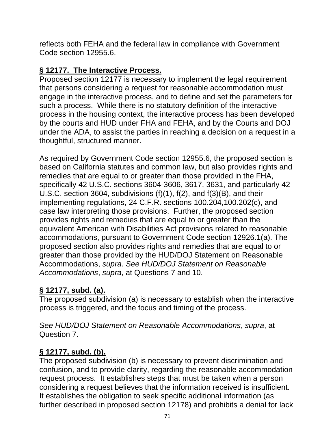reflects both FEHA and the federal law in compliance with Government Code section 12955.6.

### **§ 12177. The Interactive Process.**

Proposed section 12177 is necessary to implement the legal requirement that persons considering a request for reasonable accommodation must engage in the interactive process, and to define and set the parameters for such a process. While there is no statutory definition of the interactive process in the housing context, the interactive process has been developed by the courts and HUD under FHA and FEHA, and by the Courts and DOJ under the ADA, to assist the parties in reaching a decision on a request in a thoughtful, structured manner.

As required by Government Code section 12955.6, the proposed section is based on California statutes and common law, but also provides rights and remedies that are equal to or greater than those provided in the FHA, specifically 42 U.S.C. sections 3604-3606, 3617, 3631, and particularly 42 U.S.C. section 3604, subdivisions (f)(1), f(2), and f(3)(B), and their implementing regulations, 24 C.F.R. sections 100.204,100.202(c), and case law interpreting those provisions. Further, the proposed section provides rights and remedies that are equal to or greater than the equivalent American with Disabilities Act provisions related to reasonable accommodations, pursuant to Government Code section 12926.1(a). The proposed section also provides rights and remedies that are equal to or greater than those provided by the HUD/DOJ Statement on Reasonable Accommodations, *supra*. *See HUD/DOJ Statement on Reasonable Accommodations*, *supra*, at Questions 7 and 10.

# **§ 12177, subd. (a).**

The proposed subdivision (a) is necessary to establish when the interactive process is triggered, and the focus and timing of the process.

*See HUD/DOJ Statement on Reasonable Accommodations*, *supra*, at Question 7.

# **§ 12177, subd. (b).**

The proposed subdivision (b) is necessary to prevent discrimination and confusion, and to provide clarity, regarding the reasonable accommodation request process. It establishes steps that must be taken when a person considering a request believes that the information received is insufficient. It establishes the obligation to seek specific additional information (as further described in proposed section 12178) and prohibits a denial for lack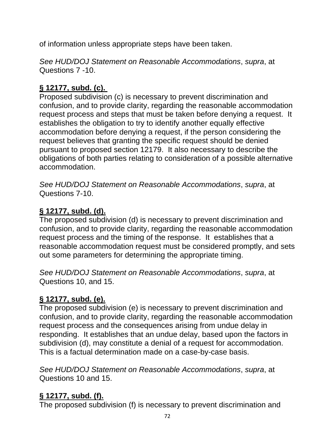of information unless appropriate steps have been taken.

*See HUD/DOJ Statement on Reasonable Accommodations*, *supra*, at Questions 7 -10.

# **§ 12177, subd. (c).**

Proposed subdivision (c) is necessary to prevent discrimination and confusion, and to provide clarity, regarding the reasonable accommodation request process and steps that must be taken before denying a request. It establishes the obligation to try to identify another equally effective accommodation before denying a request, if the person considering the request believes that granting the specific request should be denied pursuant to proposed section 12179. It also necessary to describe the obligations of both parties relating to consideration of a possible alternative accommodation.

*See HUD/DOJ Statement on Reasonable Accommodations*, *supra*, at Questions 7-10.

# **§ 12177, subd. (d).**

The proposed subdivision (d) is necessary to prevent discrimination and confusion, and to provide clarity, regarding the reasonable accommodation request process and the timing of the response. It establishes that a reasonable accommodation request must be considered promptly, and sets out some parameters for determining the appropriate timing.

*See HUD/DOJ Statement on Reasonable Accommodations*, *supra*, at Questions 10, and 15.

# **§ 12177, subd. (e).**

The proposed subdivision (e) is necessary to prevent discrimination and confusion, and to provide clarity, regarding the reasonable accommodation request process and the consequences arising from undue delay in responding. It establishes that an undue delay, based upon the factors in subdivision (d), may constitute a denial of a request for accommodation. This is a factual determination made on a case-by-case basis.

*See HUD/DOJ Statement on Reasonable Accommodations*, *supra*, at Questions 10 and 15.

# **§ 12177, subd. (f).**

The proposed subdivision (f) is necessary to prevent discrimination and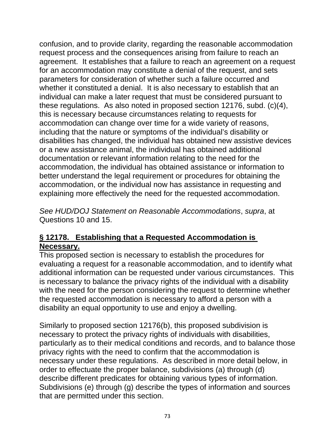confusion, and to provide clarity, regarding the reasonable accommodation request process and the consequences arising from failure to reach an agreement. It establishes that a failure to reach an agreement on a request for an accommodation may constitute a denial of the request, and sets parameters for consideration of whether such a failure occurred and whether it constituted a denial. It is also necessary to establish that an individual can make a later request that must be considered pursuant to these regulations. As also noted in proposed section 12176, subd. (c)(4), this is necessary because circumstances relating to requests for accommodation can change over time for a wide variety of reasons, including that the nature or symptoms of the individual's disability or disabilities has changed, the individual has obtained new assistive devices or a new assistance animal, the individual has obtained additional documentation or relevant information relating to the need for the accommodation, the individual has obtained assistance or information to better understand the legal requirement or procedures for obtaining the accommodation, or the individual now has assistance in requesting and explaining more effectively the need for the requested accommodation.

*See HUD/DOJ Statement on Reasonable Accommodations*, *supra*, at Questions 10 and 15.

#### **§ 12178. Establishing that a Requested Accommodation is Necessary.**

This proposed section is necessary to establish the procedures for evaluating a request for a reasonable accommodation, and to identify what additional information can be requested under various circumstances. This is necessary to balance the privacy rights of the individual with a disability with the need for the person considering the request to determine whether the requested accommodation is necessary to afford a person with a disability an equal opportunity to use and enjoy a dwelling.

Similarly to proposed section 12176(b), this proposed subdivision is necessary to protect the privacy rights of individuals with disabilities, particularly as to their medical conditions and records, and to balance those privacy rights with the need to confirm that the accommodation is necessary under these regulations. As described in more detail below, in order to effectuate the proper balance, subdivisions (a) through (d) describe different predicates for obtaining various types of information. Subdivisions (e) through (g) describe the types of information and sources that are permitted under this section.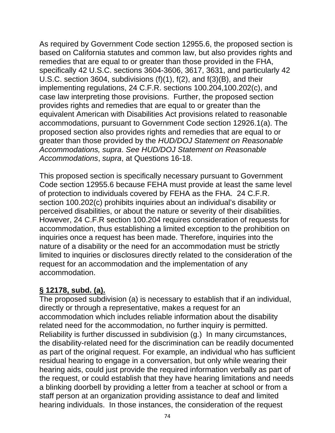As required by Government Code section 12955.6, the proposed section is based on California statutes and common law, but also provides rights and remedies that are equal to or greater than those provided in the FHA, specifically 42 U.S.C. sections 3604-3606, 3617, 3631, and particularly 42 U.S.C. section 3604, subdivisions (f)(1), f(2), and f(3)(B), and their implementing regulations, 24 C.F.R. sections 100.204,100.202(c), and case law interpreting those provisions. Further, the proposed section provides rights and remedies that are equal to or greater than the equivalent American with Disabilities Act provisions related to reasonable accommodations, pursuant to Government Code section 12926.1(a). The proposed section also provides rights and remedies that are equal to or greater than those provided by the *HUD/DOJ Statement on Reasonable Accommodations, supra*. *See HUD/DOJ Statement on Reasonable Accommodations*, *supra*, at Questions 16-18.

This proposed section is specifically necessary pursuant to Government Code section 12955.6 because FEHA must provide at least the same level of protection to individuals covered by FEHA as the FHA. 24 C.F.R. section 100.202(c) prohibits inquiries about an individual's disability or perceived disabilities, or about the nature or severity of their disabilities. However, 24 C.F.R section 100.204 requires consideration of requests for accommodation, thus establishing a limited exception to the prohibition on inquiries once a request has been made. Therefore, inquiries into the nature of a disability or the need for an accommodation must be strictly limited to inquiries or disclosures directly related to the consideration of the request for an accommodation and the implementation of any accommodation.

### **§ 12178, subd. (a).**

The proposed subdivision (a) is necessary to establish that if an individual, directly or through a representative, makes a request for an accommodation which includes reliable information about the disability related need for the accommodation, no further inquiry is permitted. Reliability is further discussed in subdivision (g.) In many circumstances, the disability-related need for the discrimination can be readily documented as part of the original request. For example, an individual who has sufficient residual hearing to engage in a conversation, but only while wearing their hearing aids, could just provide the required information verbally as part of the request, or could establish that they have hearing limitations and needs a blinking doorbell by providing a letter from a teacher at school or from a staff person at an organization providing assistance to deaf and limited hearing individuals. In those instances, the consideration of the request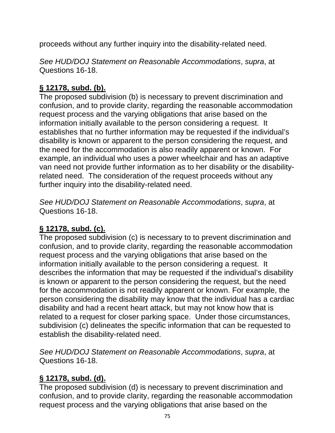proceeds without any further inquiry into the disability-related need.

*See HUD/DOJ Statement on Reasonable Accommodations*, *supra*, at Questions 16-18.

# **§ 12178, subd. (b).**

The proposed subdivision (b) is necessary to prevent discrimination and confusion, and to provide clarity, regarding the reasonable accommodation request process and the varying obligations that arise based on the information initially available to the person considering a request. It establishes that no further information may be requested if the individual's disability is known or apparent to the person considering the request, and the need for the accommodation is also readily apparent or known. For example, an individual who uses a power wheelchair and has an adaptive van need not provide further information as to her disability or the disabilityrelated need. The consideration of the request proceeds without any further inquiry into the disability-related need.

*See HUD/DOJ Statement on Reasonable Accommodations*, *supra*, at Questions 16-18.

## **§ 12178, subd. (c).**

The proposed subdivision (c) is necessary to to prevent discrimination and confusion, and to provide clarity, regarding the reasonable accommodation request process and the varying obligations that arise based on the information initially available to the person considering a request. It describes the information that may be requested if the individual's disability is known or apparent to the person considering the request, but the need for the accommodation is not readily apparent or known. For example, the person considering the disability may know that the individual has a cardiac disability and had a recent heart attack, but may not know how that is related to a request for closer parking space. Under those circumstances, subdivision (c) delineates the specific information that can be requested to establish the disability-related need.

*See HUD/DOJ Statement on Reasonable Accommodations*, *supra*, at Questions 16-18.

## **§ 12178, subd. (d).**

The proposed subdivision (d) is necessary to prevent discrimination and confusion, and to provide clarity, regarding the reasonable accommodation request process and the varying obligations that arise based on the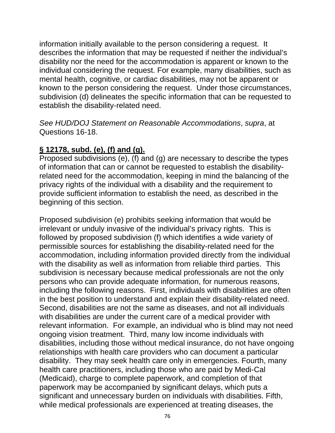information initially available to the person considering a request. It describes the information that may be requested if neither the individual's disability nor the need for the accommodation is apparent or known to the individual considering the request. For example, many disabilities, such as mental health, cognitive, or cardiac disabilities, may not be apparent or known to the person considering the request. Under those circumstances, subdivision (d) delineates the specific information that can be requested to establish the disability-related need.

*See HUD/DOJ Statement on Reasonable Accommodations*, *supra*, at Questions 16-18.

### **§ 12178, subd. (e), (f) and (g).**

Proposed subdivisions (e), (f) and (g) are necessary to describe the types of information that can or cannot be requested to establish the disabilityrelated need for the accommodation, keeping in mind the balancing of the privacy rights of the individual with a disability and the requirement to provide sufficient information to establish the need, as described in the beginning of this section.

Proposed subdivision (e) prohibits seeking information that would be irrelevant or unduly invasive of the individual's privacy rights. This is followed by proposed subdivision (f) which identifies a wide variety of permissible sources for establishing the disability-related need for the accommodation, including information provided directly from the individual with the disability as well as information from reliable third parties. This subdivision is necessary because medical professionals are not the only persons who can provide adequate information, for numerous reasons, including the following reasons. First, individuals with disabilities are often in the best position to understand and explain their disability-related need. Second, disabilities are not the same as diseases, and not all individuals with disabilities are under the current care of a medical provider with relevant information. For example, an individual who is blind may not need ongoing vision treatment. Third, many low income individuals with disabilities, including those without medical insurance, do not have ongoing relationships with health care providers who can document a particular disability. They may seek health care only in emergencies. Fourth, many health care practitioners, including those who are paid by Medi-Cal (Medicaid), charge to complete paperwork, and completion of that paperwork may be accompanied by significant delays, which puts a significant and unnecessary burden on individuals with disabilities. Fifth, while medical professionals are experienced at treating diseases, the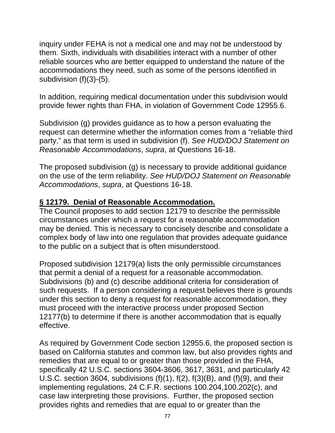inquiry under FEHA is not a medical one and may not be understood by them. Sixth, individuals with disabilities interact with a number of other reliable sources who are better equipped to understand the nature of the accommodations they need, such as some of the persons identified in subdivision (f)(3)-(5).

In addition, requiring medical documentation under this subdivision would provide fewer rights than FHA, in violation of Government Code 12955.6.

Subdivision (g) provides guidance as to how a person evaluating the request can determine whether the information comes from a "reliable third party," as that term is used in subdivision (f). *See HUD/DOJ Statement on Reasonable Accommodations*, *supra*, at Questions 16-18.

The proposed subdivision (g) is necessary to provide additional guidance on the use of the term reliability. *See HUD/DOJ Statement on Reasonable Accommodations*, *supra*, at Questions 16-18.

#### **§ 12179. Denial of Reasonable Accommodation.**

The Council proposes to add section 12179 to describe the permissible circumstances under which a request for a reasonable accommodation may be denied. This is necessary to concisely describe and consolidate a complex body of law into one regulation that provides adequate guidance to the public on a subject that is often misunderstood.

Proposed subdivision 12179(a) lists the only permissible circumstances that permit a denial of a request for a reasonable accommodation. Subdivisions (b) and (c) describe additional criteria for consideration of such requests. If a person considering a request believes there is grounds under this section to deny a request for reasonable accommodation, they must proceed with the interactive process under proposed Section 12177(b) to determine if there is another accommodation that is equally effective.

As required by Government Code section 12955.6, the proposed section is based on California statutes and common law, but also provides rights and remedies that are equal to or greater than those provided in the FHA, specifically 42 U.S.C. sections 3604-3606, 3617, 3631, and particularly 42 U.S.C. section 3604, subdivisions (f)(1), f(2), f(3)(B), and (f)(9), and their implementing regulations, 24 C.F.R. sections 100.204,100.202(c), and case law interpreting those provisions. Further, the proposed section provides rights and remedies that are equal to or greater than the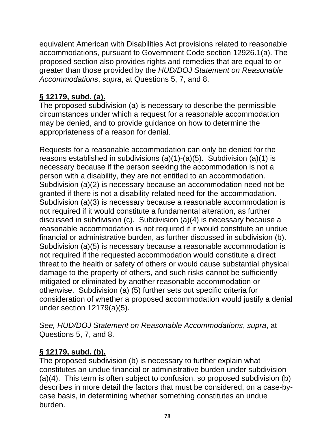equivalent American with Disabilities Act provisions related to reasonable accommodations, pursuant to Government Code section 12926.1(a). The proposed section also provides rights and remedies that are equal to or greater than those provided by the *HUD/DOJ Statement on Reasonable Accommodations*, *supra*, at Questions 5, 7, and 8.

# **§ 12179, subd. (a).**

The proposed subdivision (a) is necessary to describe the permissible circumstances under which a request for a reasonable accommodation may be denied, and to provide guidance on how to determine the appropriateness of a reason for denial.

Requests for a reasonable accommodation can only be denied for the reasons established in subdivisions (a)(1)-(a)(5). Subdivision (a)(1) is necessary because if the person seeking the accommodation is not a person with a disability, they are not entitled to an accommodation. Subdivision (a)(2) is necessary because an accommodation need not be granted if there is not a disability-related need for the accommodation. Subdivision (a)(3) is necessary because a reasonable accommodation is not required if it would constitute a fundamental alteration, as further discussed in subdivision (c). Subdivision (a)(4) is necessary because a reasonable accommodation is not required if it would constitute an undue financial or administrative burden, as further discussed in subdivision (b). Subdivision (a)(5) is necessary because a reasonable accommodation is not required if the requested accommodation would constitute a direct threat to the health or safety of others or would cause substantial physical damage to the property of others, and such risks cannot be sufficiently mitigated or eliminated by another reasonable accommodation or otherwise. Subdivision (a) (5) further sets out specific criteria for consideration of whether a proposed accommodation would justify a denial under section 12179(a)(5).

*See, HUD/DOJ Statement on Reasonable Accommodations*, *supra*, at Questions 5, 7, and 8.

## **§ 12179, subd. (b).**

The proposed subdivision (b) is necessary to further explain what constitutes an undue financial or administrative burden under subdivision (a)(4). This term is often subject to confusion, so proposed subdivision (b) describes in more detail the factors that must be considered, on a case-bycase basis, in determining whether something constitutes an undue burden.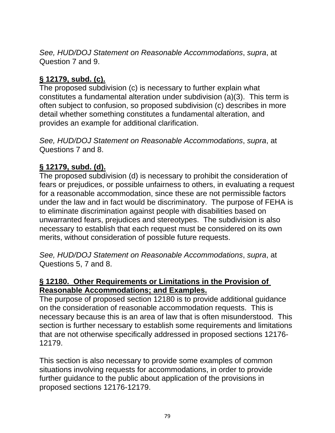*See, HUD/DOJ Statement on Reasonable Accommodations*, *supra*, at Question 7 and 9.

### **§ 12179, subd. (c).**

The proposed subdivision (c) is necessary to further explain what constitutes a fundamental alteration under subdivision (a)(3). This term is often subject to confusion, so proposed subdivision (c) describes in more detail whether something constitutes a fundamental alteration, and provides an example for additional clarification.

*See, HUD/DOJ Statement on Reasonable Accommodations*, *supra*, at Questions 7 and 8.

### **§ 12179, subd. (d).**

The proposed subdivision (d) is necessary to prohibit the consideration of fears or prejudices, or possible unfairness to others, in evaluating a request for a reasonable accommodation, since these are not permissible factors under the law and in fact would be discriminatory. The purpose of FEHA is to eliminate discrimination against people with disabilities based on unwarranted fears, prejudices and stereotypes. The subdivision is also necessary to establish that each request must be considered on its own merits, without consideration of possible future requests.

*See, HUD/DOJ Statement on Reasonable Accommodations*, *supra*, at Questions 5, 7 and 8.

#### **§ 12180. Other Requirements or Limitations in the Provision of Reasonable Accommodations; and Examples.**

The purpose of proposed section 12180 is to provide additional guidance on the consideration of reasonable accommodation requests. This is necessary because this is an area of law that is often misunderstood. This section is further necessary to establish some requirements and limitations that are not otherwise specifically addressed in proposed sections 12176- 12179.

This section is also necessary to provide some examples of common situations involving requests for accommodations, in order to provide further guidance to the public about application of the provisions in proposed sections 12176-12179.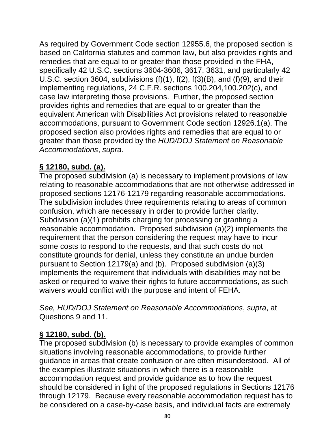As required by Government Code section 12955.6, the proposed section is based on California statutes and common law, but also provides rights and remedies that are equal to or greater than those provided in the FHA, specifically 42 U.S.C. sections 3604-3606, 3617, 3631, and particularly 42 U.S.C. section 3604, subdivisions (f)(1), f(2), f(3)(B), and (f)(9), and their implementing regulations, 24 C.F.R. sections 100.204,100.202(c), and case law interpreting those provisions. Further, the proposed section provides rights and remedies that are equal to or greater than the equivalent American with Disabilities Act provisions related to reasonable accommodations, pursuant to Government Code section 12926.1(a). The proposed section also provides rights and remedies that are equal to or greater than those provided by the *HUD/DOJ Statement on Reasonable Accommodations*, *supra.*

## **§ 12180, subd. (a).**

The proposed subdivision (a) is necessary to implement provisions of law relating to reasonable accommodations that are not otherwise addressed in proposed sections 12176-12179 regarding reasonable accommodations. The subdivision includes three requirements relating to areas of common confusion, which are necessary in order to provide further clarity. Subdivision (a)(1) prohibits charging for processing or granting a reasonable accommodation. Proposed subdivision (a)(2) implements the requirement that the person considering the request may have to incur some costs to respond to the requests, and that such costs do not constitute grounds for denial, unless they constitute an undue burden pursuant to Section 12179(a) and (b). Proposed subdivision (a)(3) implements the requirement that individuals with disabilities may not be asked or required to waive their rights to future accommodations, as such waivers would conflict with the purpose and intent of FEHA.

*See, HUD/DOJ Statement on Reasonable Accommodations*, *supra*, at Questions 9 and 11.

## **§ 12180, subd. (b).**

The proposed subdivision (b) is necessary to provide examples of common situations involving reasonable accommodations, to provide further guidance in areas that create confusion or are often misunderstood. All of the examples illustrate situations in which there is a reasonable accommodation request and provide guidance as to how the request should be considered in light of the proposed regulations in Sections 12176 through 12179. Because every reasonable accommodation request has to be considered on a case-by-case basis, and individual facts are extremely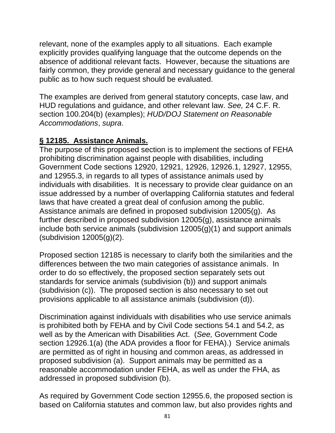relevant, none of the examples apply to all situations. Each example explicitly provides qualifying language that the outcome depends on the absence of additional relevant facts. However, because the situations are fairly common, they provide general and necessary guidance to the general public as to how such request should be evaluated.

The examples are derived from general statutory concepts, case law, and HUD regulations and guidance, and other relevant law. *See,* 24 C.F. R. section 100.204(b) (examples); *HUD/DOJ Statement on Reasonable Accommodations*, *supra*.

### **§ 12185. Assistance Animals.**

The purpose of this proposed section is to implement the sections of FEHA prohibiting discrimination against people with disabilities, including Government Code sections 12920, 12921, 12926, 12926.1, 12927, 12955, and 12955.3, in regards to all types of assistance animals used by individuals with disabilities. It is necessary to provide clear guidance on an issue addressed by a number of overlapping California statutes and federal laws that have created a great deal of confusion among the public. Assistance animals are defined in proposed subdivision 12005(g). As further described in proposed subdivision 12005(g), assistance animals include both service animals (subdivision 12005(g)(1) and support animals (subdivision 12005(g)(2).

Proposed section 12185 is necessary to clarify both the similarities and the differences between the two main categories of assistance animals. In order to do so effectively, the proposed section separately sets out standards for service animals (subdivision (b)) and support animals (subdivision (c)). The proposed section is also necessary to set out provisions applicable to all assistance animals (subdivision (d)).

Discrimination against individuals with disabilities who use service animals is prohibited both by FEHA and by Civil Code sections 54.1 and 54.2, as well as by the American with Disabilities Act. (*See,* Government Code section 12926.1(a) (the ADA provides a floor for FEHA).) Service animals are permitted as of right in housing and common areas, as addressed in proposed subdivision (a). Support animals may be permitted as a reasonable accommodation under FEHA, as well as under the FHA, as addressed in proposed subdivision (b).

As required by Government Code section 12955.6, the proposed section is based on California statutes and common law, but also provides rights and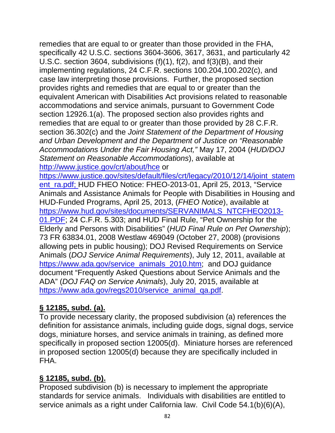remedies that are equal to or greater than those provided in the FHA, specifically 42 U.S.C. sections 3604-3606, 3617, 3631, and particularly 42 U.S.C. section 3604, subdivisions (f)(1), f(2), and f(3)(B), and their implementing regulations, 24 C.F.R. sections 100.204,100.202(c), and case law interpreting those provisions. Further, the proposed section provides rights and remedies that are equal to or greater than the equivalent American with Disabilities Act provisions related to reasonable accommodations and service animals, pursuant to Government Code section 12926.1(a). The proposed section also provides rights and remedies that are equal to or greater than those provided by 28 C.F.R. section 36.302(c) and the *Joint Statement of the Department of Housing and Urban Development and the Department of Justice on "Reasonable Accommodations Under the Fair Housing Act,"* May 17, 2004 (*HUD/DOJ Statement on Reasonable Accommodations*), available at http://www.justice.gov/crt/about/hce or

https://www.justice.gov/sites/default/files/crt/legacy/2010/12/14/joint\_statem ent\_ra.pdf; HUD FHEO Notice: FHEO-2013-01, April 25, 2013, "Service Animals and Assistance Animals for People with Disabilities in Housing and HUD-Funded Programs, April 25, 2013, (*FHEO Notice*), available at https://www.hud.gov/sites/documents/SERVANIMALS\_NTCFHEO2013- 01.PDF; 24 C.F.R. 5.303; and HUD Final Rule, "Pet Ownership for the Elderly and Persons with Disabilities" (*HUD Final Rule on Pet Ownership*); 73 FR 63834.01, 2008 Westlaw 469049 (October 27, 2008) (provisions allowing pets in public housing); DOJ Revised Requirements on Service Animals (*DOJ Service Animal Requirements*), July 12, 2011, available at https://www.ada.gov/service\_animals\_2010.htm; and DOJ guidance document "Frequently Asked Questions about Service Animals and the ADA" (*DOJ FAQ on Service Animals*), July 20, 2015, available at https://www.ada.gov/regs2010/service\_animal\_qa.pdf.

# **§ 12185, subd. (a).**

To provide necessary clarity, the proposed subdivision (a) references the definition for assistance animals, including guide dogs, signal dogs, service dogs, miniature horses, and service animals in training, as defined more specifically in proposed section 12005(d). Miniature horses are referenced in proposed section 12005(d) because they are specifically included in FHA.

## **§ 12185, subd. (b).**

Proposed subdivision (b) is necessary to implement the appropriate standards for service animals. Individuals with disabilities are entitled to service animals as a right under California law. Civil Code 54.1(b)(6)(A),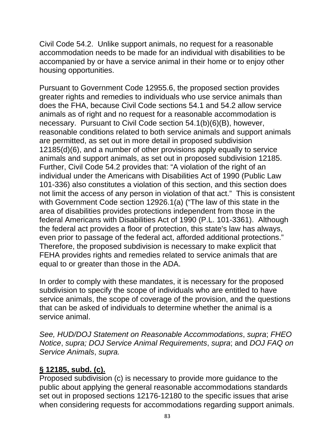Civil Code 54.2. Unlike support animals, no request for a reasonable accommodation needs to be made for an individual with disabilities to be accompanied by or have a service animal in their home or to enjoy other housing opportunities.

Pursuant to Government Code 12955.6, the proposed section provides greater rights and remedies to individuals who use service animals than does the FHA, because Civil Code sections 54.1 and 54.2 allow service animals as of right and no request for a reasonable accommodation is necessary. Pursuant to Civil Code section 54.1(b)(6)(B), however, reasonable conditions related to both service animals and support animals are permitted, as set out in more detail in proposed subdivision 12185(d)(6), and a number of other provisions apply equally to service animals and support animals, as set out in proposed subdivision 12185. Further, Civil Code 54.2 provides that: "A violation of the right of an individual under the Americans with Disabilities Act of 1990 (Public Law 101-336) also constitutes a violation of this section, and this section does not limit the access of any person in violation of that act." This is consistent with Government Code section 12926.1(a) ("The law of this state in the area of disabilities provides protections independent from those in the federal Americans with Disabilities Act of 1990 (P.L. 101-3361). Although the federal act provides a floor of protection, this state's law has always, even prior to passage of the federal act, afforded additional protections." Therefore, the proposed subdivision is necessary to make explicit that FEHA provides rights and remedies related to service animals that are equal to or greater than those in the ADA.

In order to comply with these mandates, it is necessary for the proposed subdivision to specify the scope of individuals who are entitled to have service animals, the scope of coverage of the provision, and the questions that can be asked of individuals to determine whether the animal is a service animal.

*See, HUD/DOJ Statement on Reasonable Accommodations*, *supra*; *FHEO Notice*, *supra; DOJ Service Animal Requirements*, *supra*; and *DOJ FAQ on Service Animals*, *supra.*

### **§ 12185, subd. (c).**

Proposed subdivision (c) is necessary to provide more guidance to the public about applying the general reasonable accommodations standards set out in proposed sections 12176-12180 to the specific issues that arise when considering requests for accommodations regarding support animals.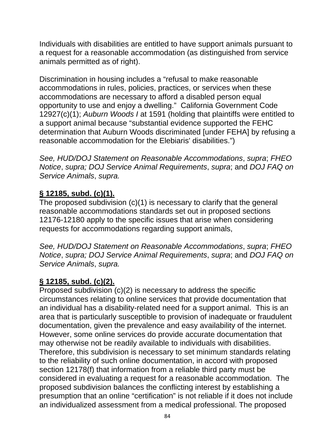Individuals with disabilities are entitled to have support animals pursuant to a request for a reasonable accommodation (as distinguished from service animals permitted as of right).

Discrimination in housing includes a "refusal to make reasonable accommodations in rules, policies, practices, or services when these accommodations are necessary to afford a disabled person equal opportunity to use and enjoy a dwelling." California Government Code 12927(c)(1); *Auburn Woods I* at 1591 (holding that plaintiffs were entitled to a support animal because "substantial evidence supported the FEHC determination that Auburn Woods discriminated [under FEHA] by refusing a reasonable accommodation for the Elebiaris' disabilities.")

*See, HUD/DOJ Statement on Reasonable Accommodations*, *supra*; *FHEO Notice*, *supra; DOJ Service Animal Requirements*, *supra*; and *DOJ FAQ on Service Animals*, *supra.*

# **§ 12185, subd. (c)(1).**

The proposed subdivision (c)(1) is necessary to clarify that the general reasonable accommodations standards set out in proposed sections 12176-12180 apply to the specific issues that arise when considering requests for accommodations regarding support animals,

*See, HUD/DOJ Statement on Reasonable Accommodations*, *supra*; *FHEO Notice*, *supra; DOJ Service Animal Requirements*, *supra*; and *DOJ FAQ on Service Animals*, *supra.*

## **§ 12185, subd. (c)(2).**

Proposed subdivision (c)(2) is necessary to address the specific circumstances relating to online services that provide documentation that an individual has a disability-related need for a support animal. This is an area that is particularly susceptible to provision of inadequate or fraudulent documentation, given the prevalence and easy availability of the internet. However, some online services do provide accurate documentation that may otherwise not be readily available to individuals with disabilities. Therefore, this subdivision is necessary to set minimum standards relating to the reliability of such online documentation, in accord with proposed section 12178(f) that information from a reliable third party must be considered in evaluating a request for a reasonable accommodation. The proposed subdivision balances the conflicting interest by establishing a presumption that an online "certification" is not reliable if it does not include an individualized assessment from a medical professional. The proposed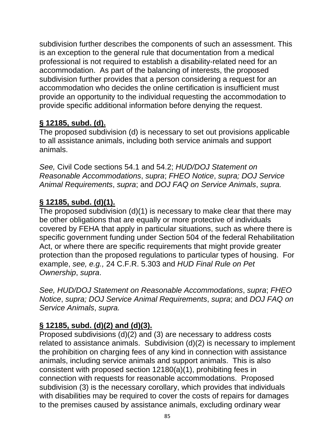subdivision further describes the components of such an assessment. This is an exception to the general rule that documentation from a medical professional is not required to establish a disability-related need for an accommodation. As part of the balancing of interests, the proposed subdivision further provides that a person considering a request for an accommodation who decides the online certification is insufficient must provide an opportunity to the individual requesting the accommodation to provide specific additional information before denying the request.

# **§ 12185, subd. (d).**

The proposed subdivision (d) is necessary to set out provisions applicable to all assistance animals, including both service animals and support animals.

*See,* Civil Code sections 54.1 and 54.2; *HUD/DOJ Statement on Reasonable Accommodations*, *supra*; *FHEO Notice*, *supra; DOJ Service Animal Requirements*, *supra*; and *DOJ FAQ on Service Animals*, *supra.*

## **§ 12185, subd. (d)(1).**

The proposed subdivision (d)(1) is necessary to make clear that there may be other obligations that are equally or more protective of individuals covered by FEHA that apply in particular situations, such as where there is specific government funding under Section 504 of the federal Rehabilitation Act, or where there are specific requirements that might provide greater protection than the proposed regulations to particular types of housing. For example, *see, e.g.,* 24 C.F.R. 5.303 and *HUD Final Rule on Pet Ownership*, *supra*.

*See, HUD/DOJ Statement on Reasonable Accommodations*, *supra*; *FHEO Notice*, *supra; DOJ Service Animal Requirements*, *supra*; and *DOJ FAQ on Service Animals*, *supra.*

# **§ 12185, subd. (d)(2) and (d)(3).**

Proposed subdivisions  $(d)(2)$  and  $(3)$  are necessary to address costs related to assistance animals. Subdivision (d)(2) is necessary to implement the prohibition on charging fees of any kind in connection with assistance animals, including service animals and support animals. This is also consistent with proposed section 12180(a)(1), prohibiting fees in connection with requests for reasonable accommodations. Proposed subdivision (3) is the necessary corollary, which provides that individuals with disabilities may be required to cover the costs of repairs for damages to the premises caused by assistance animals, excluding ordinary wear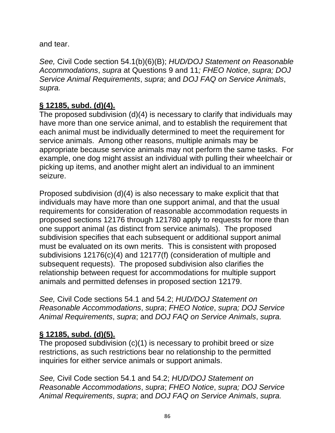and tear.

*See,* Civil Code section 54.1(b)(6)(B); *HUD/DOJ Statement on Reasonable Accommodations*, *supra* at Questions 9 and 11*; FHEO Notice*, *supra; DOJ Service Animal Requirements*, *supra*; and *DOJ FAQ on Service Animals*, *supra.*

## **§ 12185, subd. (d)(4).**

The proposed subdivision (d)(4) is necessary to clarify that individuals may have more than one service animal, and to establish the requirement that each animal must be individually determined to meet the requirement for service animals. Among other reasons, multiple animals may be appropriate because service animals may not perform the same tasks. For example, one dog might assist an individual with pulling their wheelchair or picking up items, and another might alert an individual to an imminent seizure.

Proposed subdivision (d)(4) is also necessary to make explicit that that individuals may have more than one support animal, and that the usual requirements for consideration of reasonable accommodation requests in proposed sections 12176 through 121780 apply to requests for more than one support animal (as distinct from service animals). The proposed subdivision specifies that each subsequent or additional support animal must be evaluated on its own merits. This is consistent with proposed subdivisions 12176(c)(4) and 12177(f) (consideration of multiple and subsequent requests). The proposed subdivision also clarifies the relationship between request for accommodations for multiple support animals and permitted defenses in proposed section 12179.

*See,* Civil Code sections 54.1 and 54.2; *HUD/DOJ Statement on Reasonable Accommodations*, *supra*; *FHEO Notice*, *supra; DOJ Service Animal Requirements*, *supra*; and *DOJ FAQ on Service Animals*, *supra.*

## **§ 12185, subd. (d)(5).**

The proposed subdivision (c)(1) is necessary to prohibit breed or size restrictions, as such restrictions bear no relationship to the permitted inquiries for either service animals or support animals.

*See,* Civil Code section 54.1 and 54.2; *HUD/DOJ Statement on Reasonable Accommodations*, *supra*; *FHEO Notice*, *supra; DOJ Service Animal Requirements*, *supra*; and *DOJ FAQ on Service Animals*, *supra.*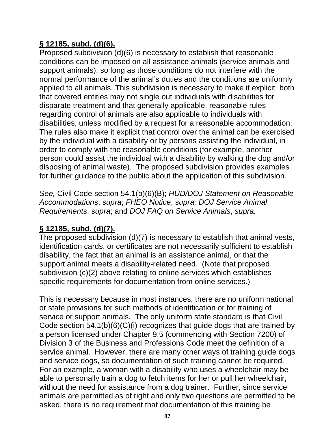### **§ 12185, subd. (d)(6).**

Proposed subdivision (d)(6) is necessary to establish that reasonable conditions can be imposed on all assistance animals (service animals and support animals), so long as those conditions do not interfere with the normal performance of the animal's duties and the conditions are uniformly applied to all animals. This subdivision is necessary to make it explicit both that covered entities may not single out individuals with disabilities for disparate treatment and that generally applicable, reasonable rules regarding control of animals are also applicable to individuals with disabilities, unless modified by a request for a reasonable accommodation. The rules also make it explicit that control over the animal can be exercised by the individual with a disability or by persons assisting the individual, in order to comply with the reasonable conditions (for example, another person could assist the individual with a disability by walking the dog and/or disposing of animal waste). The proposed subdivision provides examples for further guidance to the public about the application of this subdivision.

*See,* Civil Code section 54.1(b)(6)(B); *HUD/DOJ Statement on Reasonable Accommodations*, *supra*; *FHEO Notice*, *supra; DOJ Service Animal Requirements*, *supra*; and *DOJ FAQ on Service Animals*, *supra.*

### **§ 12185, subd. (d)(7).**

The proposed subdivision (d)(7) is necessary to establish that animal vests, identification cards, or certificates are not necessarily sufficient to establish disability, the fact that an animal is an assistance animal, or that the support animal meets a disability-related need. (Note that proposed subdivision (c)(2) above relating to online services which establishes specific requirements for documentation from online services.)

This is necessary because in most instances, there are no uniform national or state provisions for such methods of identification or for training of service or support animals. The only uniform state standard is that Civil Code section 54.1(b)(6)(C)(i) recognizes that guide dogs that are trained by a person licensed under Chapter 9.5 (commencing with Section 7200) of Division 3 of the Business and Professions Code meet the definition of a service animal. However, there are many other ways of training guide dogs and service dogs, so documentation of such training cannot be required. For an example, a woman with a disability who uses a wheelchair may be able to personally train a dog to fetch items for her or pull her wheelchair, without the need for assistance from a dog trainer. Further, since service animals are permitted as of right and only two questions are permitted to be asked, there is no requirement that documentation of this training be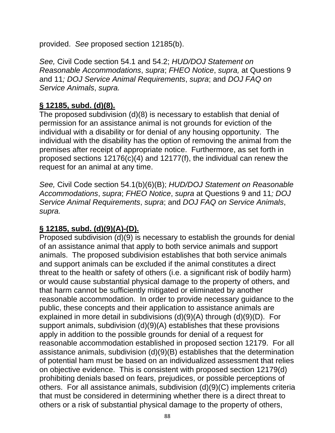provided. *See* proposed section 12185(b).

*See,* Civil Code section 54.1 and 54.2; *HUD/DOJ Statement on Reasonable Accommodations*, *supra*; *FHEO Notice*, *supra,* at Questions 9 and 11*; DOJ Service Animal Requirements*, *supra*; and *DOJ FAQ on Service Animals*, *supra.*

### **§ 12185, subd. (d)(8).**

The proposed subdivision (d)(8) is necessary to establish that denial of permission for an assistance animal is not grounds for eviction of the individual with a disability or for denial of any housing opportunity. The individual with the disability has the option of removing the animal from the premises after receipt of appropriate notice. Furthermore, as set forth in proposed sections 12176(c)(4) and 12177(f), the individual can renew the request for an animal at any time.

*See,* Civil Code section 54.1(b)(6)(B); *HUD/DOJ Statement on Reasonable Accommodations*, *supra*; *FHEO Notice*, *supra* at Questions 9 and 11*; DOJ Service Animal Requirements*, *supra*; and *DOJ FAQ on Service Animals*, *supra.*

## **§ 12185, subd. (d)(9)(A)-(D).**

Proposed subdivision (d)(9) is necessary to establish the grounds for denial of an assistance animal that apply to both service animals and support animals. The proposed subdivision establishes that both service animals and support animals can be excluded if the animal constitutes a direct threat to the health or safety of others (i.e. a significant risk of bodily harm) or would cause substantial physical damage to the property of others, and that harm cannot be sufficiently mitigated or eliminated by another reasonable accommodation. In order to provide necessary guidance to the public, these concepts and their application to assistance animals are explained in more detail in subdivisions (d)(9)(A) through (d)(9)(D). For support animals, subdivision (d)(9)(A) establishes that these provisions apply in addition to the possible grounds for denial of a request for reasonable accommodation established in proposed section 12179. For all assistance animals, subdivision (d)(9)(B) establishes that the determination of potential ham must be based on an individualized assessment that relies on objective evidence. This is consistent with proposed section 12179(d) prohibiting denials based on fears, prejudices, or possible perceptions of others. For all assistance animals, subdivision (d)(9)(C) implements criteria that must be considered in determining whether there is a direct threat to others or a risk of substantial physical damage to the property of others,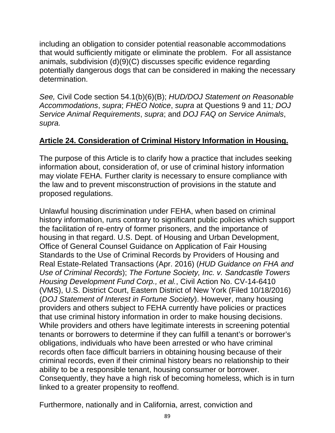including an obligation to consider potential reasonable accommodations that would sufficiently mitigate or eliminate the problem. For all assistance animals, subdivision (d)(9)(C) discusses specific evidence regarding potentially dangerous dogs that can be considered in making the necessary determination.

*See,* Civil Code section 54.1(b)(6)(B); *HUD/DOJ Statement on Reasonable Accommodations*, *supra*; *FHEO Notice*, *supra* at Questions 9 and 11*; DOJ Service Animal Requirements*, *supra*; and *DOJ FAQ on Service Animals*, *supra.*

### **Article 24. Consideration of Criminal History Information in Housing.**

The purpose of this Article is to clarify how a practice that includes seeking information about, consideration of, or use of criminal history information may violate FEHA. Further clarity is necessary to ensure compliance with the law and to prevent misconstruction of provisions in the statute and proposed regulations.

Unlawful housing discrimination under FEHA, when based on criminal history information, runs contrary to significant public policies which support the facilitation of re-entry of former prisoners, and the importance of housing in that regard. U.S. Dept. of Housing and Urban Development, Office of General Counsel Guidance on Application of Fair Housing Standards to the Use of Criminal Records by Providers of Housing and Real Estate-Related Transactions (Apr. 2016) (*HUD Guidance on FHA and Use of Criminal Records*); *The Fortune Society, Inc. v. Sandcastle Towers Housing Development Fund Corp., et al.*, Civil Action No. CV-14-6410 (VMS), U.S. District Court, Eastern District of New York (Filed 10/18/2016) (*DOJ Statement of Interest in Fortune Society*). However, many housing providers and others subject to FEHA currently have policies or practices that use criminal history information in order to make housing decisions. While providers and others have legitimate interests in screening potential tenants or borrowers to determine if they can fulfill a tenant's or borrower's obligations, individuals who have been arrested or who have criminal records often face difficult barriers in obtaining housing because of their criminal records, even if their criminal history bears no relationship to their ability to be a responsible tenant, housing consumer or borrower. Consequently, they have a high risk of becoming homeless, which is in turn linked to a greater propensity to reoffend.

Furthermore, nationally and in California, arrest, conviction and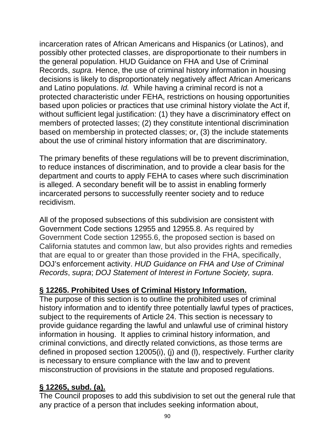incarceration rates of African Americans and Hispanics (or Latinos), and possibly other protected classes, are disproportionate to their numbers in the general population. HUD Guidance on FHA and Use of Criminal Records, *supra.* Hence, the use of criminal history information in housing decisions is likely to disproportionately negatively affect African Americans and Latino populations. *Id.* While having a criminal record is not a protected characteristic under FEHA, restrictions on housing opportunities based upon policies or practices that use criminal history violate the Act if, without sufficient legal justification: (1) they have a discriminatory effect on members of protected lasses; (2) they constitute intentional discrimination based on membership in protected classes; or, (3) the include statements about the use of criminal history information that are discriminatory.

The primary benefits of these regulations will be to prevent discrimination, to reduce instances of discrimination, and to provide a clear basis for the department and courts to apply FEHA to cases where such discrimination is alleged. A secondary benefit will be to assist in enabling formerly incarcerated persons to successfully reenter society and to reduce recidivism.

All of the proposed subsections of this subdivision are consistent with Government Code sections 12955 and 12955.8. As required by Government Code section 12955.6, the proposed section is based on California statutes and common law, but also provides rights and remedies that are equal to or greater than those provided in the FHA, specifically, DOJ's enforcement activity. *HUD Guidance on FHA and Use of Criminal Records*, *supra*; *DOJ Statement of Interest in Fortune Society, supra*.

## **§ 12265. Prohibited Uses of Criminal History Information.**

The purpose of this section is to outline the prohibited uses of criminal history information and to identify three potentially lawful types of practices, subject to the requirements of Article 24. This section is necessary to provide guidance regarding the lawful and unlawful use of criminal history information in housing. It applies to criminal history information, and criminal convictions, and directly related convictions, as those terms are defined in proposed section 12005(i), (j) and (l), respectively. Further clarity is necessary to ensure compliance with the law and to prevent misconstruction of provisions in the statute and proposed regulations.

### **§ 12265, subd. (a).**

The Council proposes to add this subdivision to set out the general rule that any practice of a person that includes seeking information about,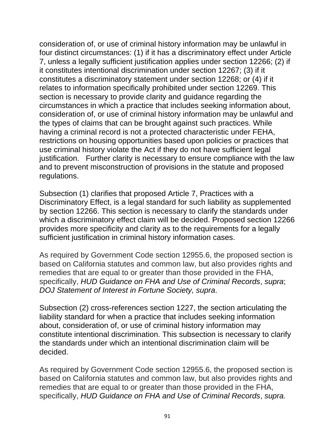consideration of, or use of criminal history information may be unlawful in four distinct circumstances: (1) if it has a discriminatory effect under Article 7, unless a legally sufficient justification applies under section 12266; (2) if it constitutes intentional discrimination under section 12267; (3) if it constitutes a discriminatory statement under section 12268; or (4) if it relates to information specifically prohibited under section 12269. This section is necessary to provide clarity and guidance regarding the circumstances in which a practice that includes seeking information about, consideration of, or use of criminal history information may be unlawful and the types of claims that can be brought against such practices. While having a criminal record is not a protected characteristic under FEHA, restrictions on housing opportunities based upon policies or practices that use criminal history violate the Act if they do not have sufficient legal justification. Further clarity is necessary to ensure compliance with the law and to prevent misconstruction of provisions in the statute and proposed regulations.

Subsection (1) clarifies that proposed Article 7, Practices with a Discriminatory Effect, is a legal standard for such liability as supplemented by section 12266. This section is necessary to clarify the standards under which a discriminatory effect claim will be decided. Proposed section 12266 provides more specificity and clarity as to the requirements for a legally sufficient justification in criminal history information cases.

As required by Government Code section 12955.6, the proposed section is based on California statutes and common law, but also provides rights and remedies that are equal to or greater than those provided in the FHA, specifically, *HUD Guidance on FHA and Use of Criminal Records*, *supra*; *DOJ Statement of Interest in Fortune Society, supra*.

Subsection (2) cross-references section 1227, the section articulating the liability standard for when a practice that includes seeking information about, consideration of, or use of criminal history information may constitute intentional discrimination. This subsection is necessary to clarify the standards under which an intentional discrimination claim will be decided.

As required by Government Code section 12955.6, the proposed section is based on California statutes and common law, but also provides rights and remedies that are equal to or greater than those provided in the FHA, specifically, *HUD Guidance on FHA and Use of Criminal Records*, *supra.*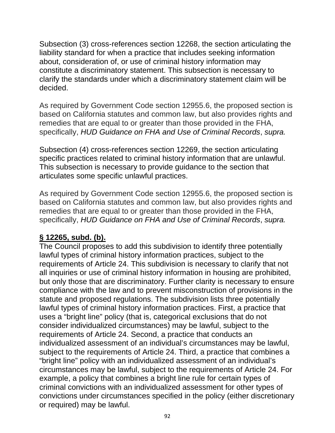Subsection (3) cross-references section 12268, the section articulating the liability standard for when a practice that includes seeking information about, consideration of, or use of criminal history information may constitute a discriminatory statement. This subsection is necessary to clarify the standards under which a discriminatory statement claim will be decided.

As required by Government Code section 12955.6, the proposed section is based on California statutes and common law, but also provides rights and remedies that are equal to or greater than those provided in the FHA, specifically, *HUD Guidance on FHA and Use of Criminal Records*, *supra.*

Subsection (4) cross-references section 12269, the section articulating specific practices related to criminal history information that are unlawful. This subsection is necessary to provide guidance to the section that articulates some specific unlawful practices.

As required by Government Code section 12955.6, the proposed section is based on California statutes and common law, but also provides rights and remedies that are equal to or greater than those provided in the FHA, specifically, *HUD Guidance on FHA and Use of Criminal Records*, *supra.* 

### **§ 12265, subd. (b).**

The Council proposes to add this subdivision to identify three potentially lawful types of criminal history information practices, subject to the requirements of Article 24. This subdivision is necessary to clarify that not all inquiries or use of criminal history information in housing are prohibited, but only those that are discriminatory. Further clarity is necessary to ensure compliance with the law and to prevent misconstruction of provisions in the statute and proposed regulations. The subdivision lists three potentially lawful types of criminal history information practices. First, a practice that uses a "bright line" policy (that is, categorical exclusions that do not consider individualized circumstances) may be lawful, subject to the requirements of Article 24. Second, a practice that conducts an individualized assessment of an individual's circumstances may be lawful, subject to the requirements of Article 24. Third, a practice that combines a "bright line" policy with an individualized assessment of an individual's circumstances may be lawful, subject to the requirements of Article 24. For example, a policy that combines a bright line rule for certain types of criminal convictions with an individualized assessment for other types of convictions under circumstances specified in the policy (either discretionary or required) may be lawful.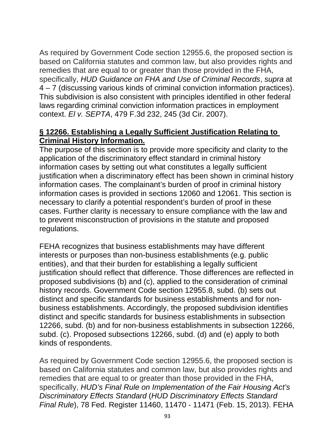As required by Government Code section 12955.6, the proposed section is based on California statutes and common law, but also provides rights and remedies that are equal to or greater than those provided in the FHA, specifically, *HUD Guidance on FHA and Use of Criminal Records*, *supra* at 4 – 7 (discussing various kinds of criminal conviction information practices). This subdivision is also consistent with principles identified in other federal laws regarding criminal conviction information practices in employment context. *El v. SEPTA*, 479 F.3d 232, 245 (3d Cir. 2007).

#### **§ 12266. Establishing a Legally Sufficient Justification Relating to Criminal History Information.**

The purpose of this section is to provide more specificity and clarity to the application of the discriminatory effect standard in criminal history information cases by setting out what constitutes a legally sufficient justification when a discriminatory effect has been shown in criminal history information cases. The complainant's burden of proof in criminal history information cases is provided in sections 12060 and 12061. This section is necessary to clarify a potential respondent's burden of proof in these cases. Further clarity is necessary to ensure compliance with the law and to prevent misconstruction of provisions in the statute and proposed regulations.

FEHA recognizes that business establishments may have different interests or purposes than non-business establishments (e.g. public entities), and that their burden for establishing a legally sufficient justification should reflect that difference. Those differences are reflected in proposed subdivisions (b) and (c), applied to the consideration of criminal history records. Government Code section 12955.8, subd. (b) sets out distinct and specific standards for business establishments and for nonbusiness establishments. Accordingly, the proposed subdivision identifies distinct and specific standards for business establishments in subsection 12266, subd. (b) and for non-business establishments in subsection 12266, subd. (c). Proposed subsections 12266, subd. (d) and (e) apply to both kinds of respondents.

As required by Government Code section 12955.6, the proposed section is based on California statutes and common law, but also provides rights and remedies that are equal to or greater than those provided in the FHA, specifically, *HUD's Final Rule on Implementation of the Fair Housing Act's Discriminatory Effects Standard* (*HUD Discriminatory Effects Standard Final Rule*), 78 Fed. Register 11460, 11470 - 11471 (Feb. 15, 2013). FEHA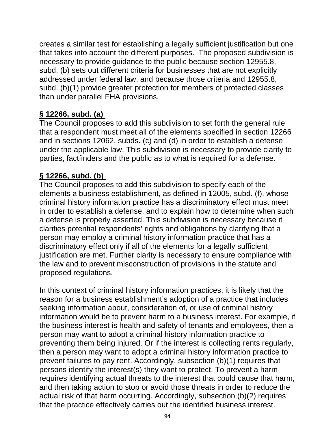creates a similar test for establishing a legally sufficient justification but one that takes into account the different purposes. The proposed subdivision is necessary to provide guidance to the public because section 12955.8, subd. (b) sets out different criteria for businesses that are not explicitly addressed under federal law, and because those criteria and 12955.8, subd. (b)(1) provide greater protection for members of protected classes than under parallel FHA provisions.

### **§ 12266, subd. (a)**

The Council proposes to add this subdivision to set forth the general rule that a respondent must meet all of the elements specified in section 12266 and in sections 12062, subds. (c) and (d) in order to establish a defense under the applicable law. This subdivision is necessary to provide clarity to parties, factfinders and the public as to what is required for a defense.

### **§ 12266, subd. (b)**

The Council proposes to add this subdivision to specify each of the elements a business establishment, as defined in 12005, subd. (f), whose criminal history information practice has a discriminatory effect must meet in order to establish a defense, and to explain how to determine when such a defense is properly asserted. This subdivision is necessary because it clarifies potential respondents' rights and obligations by clarifying that a person may employ a criminal history information practice that has a discriminatory effect only if all of the elements for a legally sufficient justification are met. Further clarity is necessary to ensure compliance with the law and to prevent misconstruction of provisions in the statute and proposed regulations.

In this context of criminal history information practices, it is likely that the reason for a business establishment's adoption of a practice that includes seeking information about, consideration of, or use of criminal history information would be to prevent harm to a business interest. For example, if the business interest is health and safety of tenants and employees, then a person may want to adopt a criminal history information practice to preventing them being injured. Or if the interest is collecting rents regularly, then a person may want to adopt a criminal history information practice to prevent failures to pay rent. Accordingly, subsection (b)(1) requires that persons identify the interest(s) they want to protect. To prevent a harm requires identifying actual threats to the interest that could cause that harm, and then taking action to stop or avoid those threats in order to reduce the actual risk of that harm occurring. Accordingly, subsection (b)(2) requires that the practice effectively carries out the identified business interest.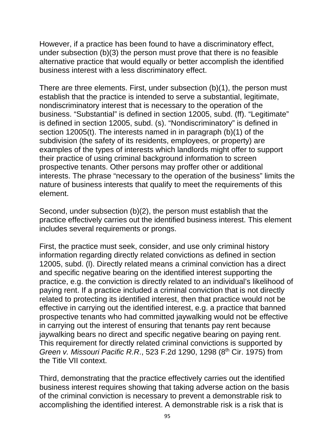However, if a practice has been found to have a discriminatory effect, under subsection (b)(3) the person must prove that there is no feasible alternative practice that would equally or better accomplish the identified business interest with a less discriminatory effect.

There are three elements. First, under subsection (b)(1), the person must establish that the practice is intended to serve a substantial, legitimate, nondiscriminatory interest that is necessary to the operation of the business. "Substantial" is defined in section 12005, subd. (ff). "Legitimate" is defined in section 12005, subd. (s). "Nondiscriminatory" is defined in section 12005(t). The interests named in in paragraph (b)(1) of the subdivision (the safety of its residents, employees, or property) are examples of the types of interests which landlords might offer to support their practice of using criminal background information to screen prospective tenants. Other persons may proffer other or additional interests. The phrase "necessary to the operation of the business" limits the nature of business interests that qualify to meet the requirements of this element.

Second, under subsection (b)(2), the person must establish that the practice effectively carries out the identified business interest. This element includes several requirements or prongs.

First, the practice must seek, consider, and use only criminal history information regarding directly related convictions as defined in section 12005, subd. (l). Directly related means a criminal conviction has a direct and specific negative bearing on the identified interest supporting the practice, e.g. the conviction is directly related to an individual's likelihood of paying rent. If a practice included a criminal conviction that is not directly related to protecting its identified interest, then that practice would not be effective in carrying out the identified interest, e.g. a practice that banned prospective tenants who had committed jaywalking would not be effective in carrying out the interest of ensuring that tenants pay rent because jaywalking bears no direct and specific negative bearing on paying rent. This requirement for directly related criminal convictions is supported by *Green v. Missouri Pacific R.R.*, 523 F.2d 1290, 1298 (8<sup>th</sup> Cir. 1975) from the Title VII context.

Third, demonstrating that the practice effectively carries out the identified business interest requires showing that taking adverse action on the basis of the criminal conviction is necessary to prevent a demonstrable risk to accomplishing the identified interest. A demonstrable risk is a risk that is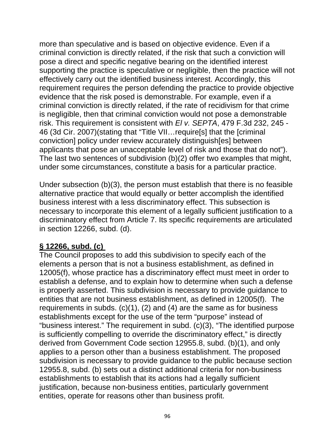more than speculative and is based on objective evidence. Even if a criminal conviction is directly related, if the risk that such a conviction will pose a direct and specific negative bearing on the identified interest supporting the practice is speculative or negligible, then the practice will not effectively carry out the identified business interest. Accordingly, this requirement requires the person defending the practice to provide objective evidence that the risk posed is demonstrable. For example, even if a criminal conviction is directly related, if the rate of recidivism for that crime is negligible, then that criminal conviction would not pose a demonstrable risk. This requirement is consistent with *El v. SEPTA*, 479 F.3d 232, 245 - 46 (3d Cir. 2007)(stating that "Title VII…require[s] that the [criminal conviction] policy under review accurately distinguish[es] between applicants that pose an unacceptable level of risk and those that do not"). The last two sentences of subdivision (b)(2) offer two examples that might, under some circumstances, constitute a basis for a particular practice.

Under subsection (b)(3), the person must establish that there is no feasible alternative practice that would equally or better accomplish the identified business interest with a less discriminatory effect. This subsection is necessary to incorporate this element of a legally sufficient justification to a discriminatory effect from Article 7. Its specific requirements are articulated in section 12266, subd. (d).

### **§ 12266, subd. (c)**

The Council proposes to add this subdivision to specify each of the elements a person that is not a business establishment, as defined in 12005(f), whose practice has a discriminatory effect must meet in order to establish a defense, and to explain how to determine when such a defense is properly asserted. This subdivision is necessary to provide guidance to entities that are not business establishment, as defined in 12005(f). The requirements in subds. (c)(1), (2) and (4) are the same as for business establishments except for the use of the term "purpose" instead of "business interest." The requirement in subd. (c)(3), "The identified purpose is sufficiently compelling to override the discriminatory effect," is directly derived from Government Code section 12955.8, subd. (b)(1), and only applies to a person other than a business establishment. The proposed subdivision is necessary to provide guidance to the public because section 12955.8, subd. (b) sets out a distinct additional criteria for non-business establishments to establish that its actions had a legally sufficient justification, because non-business entities, particularly government entities, operate for reasons other than business profit.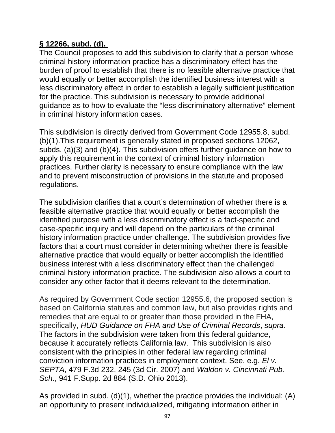### **§ 12266, subd. (d).**

The Council proposes to add this subdivision to clarify that a person whose criminal history information practice has a discriminatory effect has the burden of proof to establish that there is no feasible alternative practice that would equally or better accomplish the identified business interest with a less discriminatory effect in order to establish a legally sufficient justification for the practice. This subdivision is necessary to provide additional guidance as to how to evaluate the "less discriminatory alternative" element in criminal history information cases.

This subdivision is directly derived from Government Code 12955.8, subd. (b)(1).This requirement is generally stated in proposed sections 12062, subds. (a)(3) and (b)(4). This subdivision offers further guidance on how to apply this requirement in the context of criminal history information practices. Further clarity is necessary to ensure compliance with the law and to prevent misconstruction of provisions in the statute and proposed regulations.

The subdivision clarifies that a court's determination of whether there is a feasible alternative practice that would equally or better accomplish the identified purpose with a less discriminatory effect is a fact-specific and case-specific inquiry and will depend on the particulars of the criminal history information practice under challenge. The subdivision provides five factors that a court must consider in determining whether there is feasible alternative practice that would equally or better accomplish the identified business interest with a less discriminatory effect than the challenged criminal history information practice. The subdivision also allows a court to consider any other factor that it deems relevant to the determination.

As required by Government Code section 12955.6, the proposed section is based on California statutes and common law, but also provides rights and remedies that are equal to or greater than those provided in the FHA, specifically, *HUD Guidance on FHA and Use of Criminal Records*, *supra*. The factors in the subdivision were taken from this federal guidance, because it accurately reflects California law. This subdivision is also consistent with the principles in other federal law regarding criminal conviction information practices in employment context. See, e.g. *El v. SEPTA*, 479 F.3d 232, 245 (3d Cir. 2007) and *Waldon v. Cincinnati Pub. Sch*., 941 F.Supp. 2d 884 (S.D. Ohio 2013).

As provided in subd. (d)(1), whether the practice provides the individual: (A) an opportunity to present individualized, mitigating information either in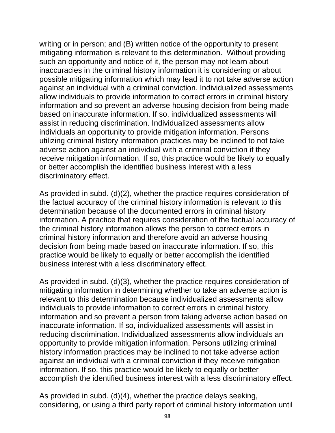writing or in person; and (B) written notice of the opportunity to present mitigating information is relevant to this determination. Without providing such an opportunity and notice of it, the person may not learn about inaccuracies in the criminal history information it is considering or about possible mitigating information which may lead it to not take adverse action against an individual with a criminal conviction. Individualized assessments allow individuals to provide information to correct errors in criminal history information and so prevent an adverse housing decision from being made based on inaccurate information. If so, individualized assessments will assist in reducing discrimination. Individualized assessments allow individuals an opportunity to provide mitigation information. Persons utilizing criminal history information practices may be inclined to not take adverse action against an individual with a criminal conviction if they receive mitigation information. If so, this practice would be likely to equally or better accomplish the identified business interest with a less discriminatory effect.

As provided in subd. (d)(2), whether the practice requires consideration of the factual accuracy of the criminal history information is relevant to this determination because of the documented errors in criminal history information. A practice that requires consideration of the factual accuracy of the criminal history information allows the person to correct errors in criminal history information and therefore avoid an adverse housing decision from being made based on inaccurate information. If so, this practice would be likely to equally or better accomplish the identified business interest with a less discriminatory effect.

As provided in subd. (d)(3), whether the practice requires consideration of mitigating information in determining whether to take an adverse action is relevant to this determination because individualized assessments allow individuals to provide information to correct errors in criminal history information and so prevent a person from taking adverse action based on inaccurate information. If so, individualized assessments will assist in reducing discrimination. Individualized assessments allow individuals an opportunity to provide mitigation information. Persons utilizing criminal history information practices may be inclined to not take adverse action against an individual with a criminal conviction if they receive mitigation information. If so, this practice would be likely to equally or better accomplish the identified business interest with a less discriminatory effect.

As provided in subd. (d)(4), whether the practice delays seeking, considering, or using a third party report of criminal history information until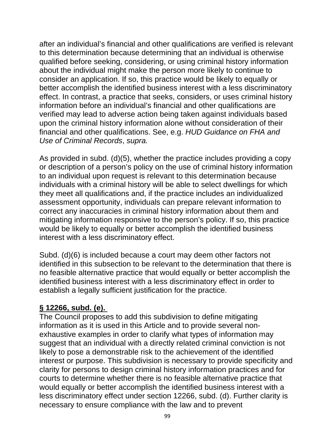after an individual's financial and other qualifications are verified is relevant to this determination because determining that an individual is otherwise qualified before seeking, considering, or using criminal history information about the individual might make the person more likely to continue to consider an application. If so, this practice would be likely to equally or better accomplish the identified business interest with a less discriminatory effect. In contrast, a practice that seeks, considers, or uses criminal history information before an individual's financial and other qualifications are verified may lead to adverse action being taken against individuals based upon the criminal history information alone without consideration of their financial and other qualifications. See, e.g. *HUD Guidance on FHA and Use of Criminal Records*, *supra.*

As provided in subd. (d)(5), whether the practice includes providing a copy or description of a person's policy on the use of criminal history information to an individual upon request is relevant to this determination because individuals with a criminal history will be able to select dwellings for which they meet all qualifications and, if the practice includes an individualized assessment opportunity, individuals can prepare relevant information to correct any inaccuracies in criminal history information about them and mitigating information responsive to the person's policy. If so, this practice would be likely to equally or better accomplish the identified business interest with a less discriminatory effect.

Subd. (d)(6) is included because a court may deem other factors not identified in this subsection to be relevant to the determination that there is no feasible alternative practice that would equally or better accomplish the identified business interest with a less discriminatory effect in order to establish a legally sufficient justification for the practice.

## **§ 12266, subd. (e).**

The Council proposes to add this subdivision to define mitigating information as it is used in this Article and to provide several nonexhaustive examples in order to clarify what types of information may suggest that an individual with a directly related criminal conviction is not likely to pose a demonstrable risk to the achievement of the identified interest or purpose. This subdivision is necessary to provide specificity and clarity for persons to design criminal history information practices and for courts to determine whether there is no feasible alternative practice that would equally or better accomplish the identified business interest with a less discriminatory effect under section 12266, subd. (d). Further clarity is necessary to ensure compliance with the law and to prevent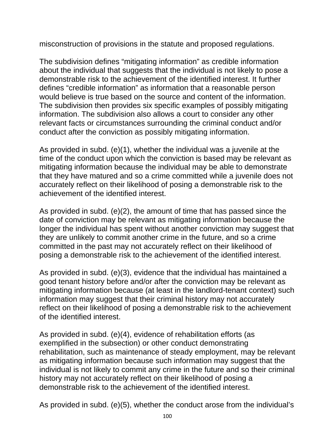misconstruction of provisions in the statute and proposed regulations.

The subdivision defines "mitigating information" as credible information about the individual that suggests that the individual is not likely to pose a demonstrable risk to the achievement of the identified interest. It further defines "credible information" as information that a reasonable person would believe is true based on the source and content of the information. The subdivision then provides six specific examples of possibly mitigating information. The subdivision also allows a court to consider any other relevant facts or circumstances surrounding the criminal conduct and/or conduct after the conviction as possibly mitigating information.

As provided in subd. (e)(1), whether the individual was a juvenile at the time of the conduct upon which the conviction is based may be relevant as mitigating information because the individual may be able to demonstrate that they have matured and so a crime committed while a juvenile does not accurately reflect on their likelihood of posing a demonstrable risk to the achievement of the identified interest.

As provided in subd. (e)(2), the amount of time that has passed since the date of conviction may be relevant as mitigating information because the longer the individual has spent without another conviction may suggest that they are unlikely to commit another crime in the future, and so a crime committed in the past may not accurately reflect on their likelihood of posing a demonstrable risk to the achievement of the identified interest.

As provided in subd. (e)(3), evidence that the individual has maintained a good tenant history before and/or after the conviction may be relevant as mitigating information because (at least in the landlord-tenant context) such information may suggest that their criminal history may not accurately reflect on their likelihood of posing a demonstrable risk to the achievement of the identified interest.

As provided in subd. (e)(4), evidence of rehabilitation efforts (as exemplified in the subsection) or other conduct demonstrating rehabilitation, such as maintenance of steady employment, may be relevant as mitigating information because such information may suggest that the individual is not likely to commit any crime in the future and so their criminal history may not accurately reflect on their likelihood of posing a demonstrable risk to the achievement of the identified interest.

As provided in subd. (e)(5), whether the conduct arose from the individual's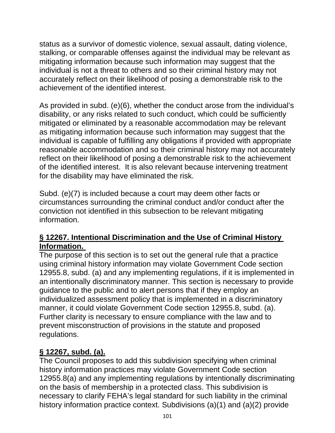status as a survivor of domestic violence, sexual assault, dating violence, stalking, or comparable offenses against the individual may be relevant as mitigating information because such information may suggest that the individual is not a threat to others and so their criminal history may not accurately reflect on their likelihood of posing a demonstrable risk to the achievement of the identified interest.

As provided in subd. (e)(6), whether the conduct arose from the individual's disability, or any risks related to such conduct, which could be sufficiently mitigated or eliminated by a reasonable accommodation may be relevant as mitigating information because such information may suggest that the individual is capable of fulfilling any obligations if provided with appropriate reasonable accommodation and so their criminal history may not accurately reflect on their likelihood of posing a demonstrable risk to the achievement of the identified interest. It is also relevant because intervening treatment for the disability may have eliminated the risk.

Subd. (e)(7) is included because a court may deem other facts or circumstances surrounding the criminal conduct and/or conduct after the conviction not identified in this subsection to be relevant mitigating information.

#### **§ 12267. Intentional Discrimination and the Use of Criminal History Information.**

The purpose of this section is to set out the general rule that a practice using criminal history information may violate Government Code section 12955.8, subd. (a) and any implementing regulations, if it is implemented in an intentionally discriminatory manner. This section is necessary to provide guidance to the public and to alert persons that if they employ an individualized assessment policy that is implemented in a discriminatory manner, it could violate Government Code section 12955.8, subd. (a). Further clarity is necessary to ensure compliance with the law and to prevent misconstruction of provisions in the statute and proposed regulations.

## **§ 12267, subd. (a).**

The Council proposes to add this subdivision specifying when criminal history information practices may violate Government Code section 12955.8(a) and any implementing regulations by intentionally discriminating on the basis of membership in a protected class. This subdivision is necessary to clarify FEHA's legal standard for such liability in the criminal history information practice context. Subdivisions (a)(1) and (a)(2) provide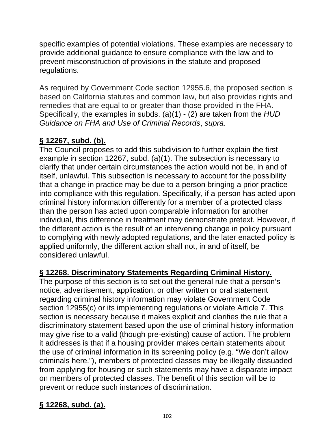specific examples of potential violations. These examples are necessary to provide additional guidance to ensure compliance with the law and to prevent misconstruction of provisions in the statute and proposed regulations.

As required by Government Code section 12955.6, the proposed section is based on California statutes and common law, but also provides rights and remedies that are equal to or greater than those provided in the FHA. Specifically, the examples in subds. (a)(1) - (2) are taken from the *HUD Guidance on FHA and Use of Criminal Records*, *supra.*

# **§ 12267, subd. (b).**

The Council proposes to add this subdivision to further explain the first example in section 12267, subd. (a)(1). The subsection is necessary to clarify that under certain circumstances the action would not be, in and of itself, unlawful. This subsection is necessary to account for the possibility that a change in practice may be due to a person bringing a prior practice into compliance with this regulation. Specifically, if a person has acted upon criminal history information differently for a member of a protected class than the person has acted upon comparable information for another individual, this difference in treatment may demonstrate pretext. However, if the different action is the result of an intervening change in policy pursuant to complying with newly adopted regulations, and the later enacted policy is applied uniformly, the different action shall not, in and of itself, be considered unlawful.

### **§ 12268. Discriminatory Statements Regarding Criminal History.**

The purpose of this section is to set out the general rule that a person's notice, advertisement, application, or other written or oral statement regarding criminal history information may violate Government Code section 12955(c) or its implementing regulations or violate Article 7. This section is necessary because it makes explicit and clarifies the rule that a discriminatory statement based upon the use of criminal history information may give rise to a valid (though pre-existing) cause of action. The problem it addresses is that if a housing provider makes certain statements about the use of criminal information in its screening policy (e.g. "We don't allow criminals here."), members of protected classes may be illegally dissuaded from applying for housing or such statements may have a disparate impact on members of protected classes. The benefit of this section will be to prevent or reduce such instances of discrimination.

## **§ 12268, subd. (a).**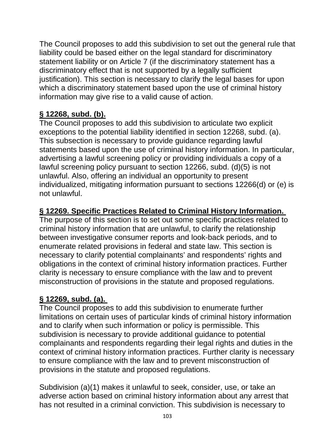The Council proposes to add this subdivision to set out the general rule that liability could be based either on the legal standard for discriminatory statement liability or on Article 7 (if the discriminatory statement has a discriminatory effect that is not supported by a legally sufficient justification). This section is necessary to clarify the legal bases for upon which a discriminatory statement based upon the use of criminal history information may give rise to a valid cause of action.

## **§ 12268, subd. (b).**

The Council proposes to add this subdivision to articulate two explicit exceptions to the potential liability identified in section 12268, subd. (a). This subsection is necessary to provide guidance regarding lawful statements based upon the use of criminal history information. In particular, advertising a lawful screening policy or providing individuals a copy of a lawful screening policy pursuant to section 12266, subd. (d)(5) is not unlawful. Also, offering an individual an opportunity to present individualized, mitigating information pursuant to sections 12266(d) or (e) is not unlawful.

### **§ 12269. Specific Practices Related to Criminal History Information.**

The purpose of this section is to set out some specific practices related to criminal history information that are unlawful, to clarify the relationship between investigative consumer reports and look-back periods, and to enumerate related provisions in federal and state law. This section is necessary to clarify potential complainants' and respondents' rights and obligations in the context of criminal history information practices. Further clarity is necessary to ensure compliance with the law and to prevent misconstruction of provisions in the statute and proposed regulations.

## **§ 12269, subd. (a).**

The Council proposes to add this subdivision to enumerate further limitations on certain uses of particular kinds of criminal history information and to clarify when such information or policy is permissible. This subdivision is necessary to provide additional guidance to potential complainants and respondents regarding their legal rights and duties in the context of criminal history information practices. Further clarity is necessary to ensure compliance with the law and to prevent misconstruction of provisions in the statute and proposed regulations.

Subdivision (a)(1) makes it unlawful to seek, consider, use, or take an adverse action based on criminal history information about any arrest that has not resulted in a criminal conviction. This subdivision is necessary to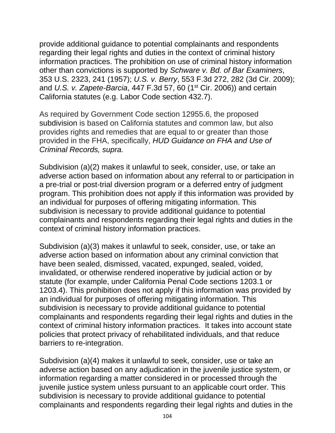provide additional guidance to potential complainants and respondents regarding their legal rights and duties in the context of criminal history information practices. The prohibition on use of criminal history information other than convictions is supported by *Schware v. Bd. of Bar Examiners*, 353 U.S. 2323, 241 (1957); *U.S. v. Berry*, 553 F.3d 272, 282 (3d Cir. 2009); and *U.S. v. Zapete-Barcia*, 447 F.3d 57, 60 (1<sup>st</sup> Cir. 2006)) and certain California statutes (e.g. Labor Code section 432.7).

As required by Government Code section 12955.6, the proposed subdivision is based on California statutes and common law, but also provides rights and remedies that are equal to or greater than those provided in the FHA, specifically, *HUD Guidance on FHA and Use of Criminal Records, supra.*

Subdivision (a)(2) makes it unlawful to seek, consider, use, or take an adverse action based on information about any referral to or participation in a pre-trial or post-trial diversion program or a deferred entry of judgment program. This prohibition does not apply if this information was provided by an individual for purposes of offering mitigating information. This subdivision is necessary to provide additional guidance to potential complainants and respondents regarding their legal rights and duties in the context of criminal history information practices.

Subdivision (a)(3) makes it unlawful to seek, consider, use, or take an adverse action based on information about any criminal conviction that have been sealed, dismissed, vacated, expunged, sealed, voided, invalidated, or otherwise rendered inoperative by judicial action or by statute (for example, under California Penal Code sections 1203.1 or 1203.4). This prohibition does not apply if this information was provided by an individual for purposes of offering mitigating information. This subdivision is necessary to provide additional guidance to potential complainants and respondents regarding their legal rights and duties in the context of criminal history information practices. It takes into account state policies that protect privacy of rehabilitated individuals, and that reduce barriers to re-integration.

Subdivision (a)(4) makes it unlawful to seek, consider, use or take an adverse action based on any adjudication in the juvenile justice system, or information regarding a matter considered in or processed through the juvenile justice system unless pursuant to an applicable court order. This subdivision is necessary to provide additional guidance to potential complainants and respondents regarding their legal rights and duties in the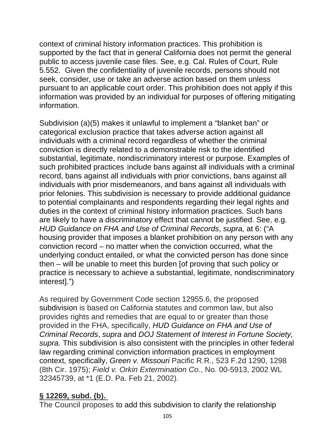context of criminal history information practices. This prohibition is supported by the fact that in general California does not permit the general public to access juvenile case files. See, e.g. Cal. Rules of Court, Rule 5.552. Given the confidentiality of juvenile records, persons should not seek, consider, use or take an adverse action based on them unless pursuant to an applicable court order. This prohibition does not apply if this information was provided by an individual for purposes of offering mitigating information.

Subdivision (a)(5) makes it unlawful to implement a "blanket ban" or categorical exclusion practice that takes adverse action against all individuals with a criminal record regardless of whether the criminal conviction is directly related to a demonstrable risk to the identified substantial, legitimate, nondiscriminatory interest or purpose. Examples of such prohibited practices include bans against all individuals with a criminal record, bans against all individuals with prior convictions, bans against all individuals with prior misdemeanors, and bans against all individuals with prior felonies. This subdivision is necessary to provide additional guidance to potential complainants and respondents regarding their legal rights and duties in the context of criminal history information practices. Such bans are likely to have a discriminatory effect that cannot be justified. See, e.g. *HUD Guidance on FHA and Use of Criminal Records*, *supra,* at 6: ("A housing provider that imposes a blanket prohibition on any person with any conviction record – no matter when the conviction occurred, what the underlying conduct entailed, or what the convicted person has done since then – will be unable to meet this burden [of proving that such policy or practice is necessary to achieve a substantial, legitimate, nondiscriminatory interest].")

As required by Government Code section 12955.6, the proposed subdivision is based on California statutes and common law, but also provides rights and remedies that are equal to or greater than those provided in the FHA, specifically, *HUD Guidance on FHA and Use of Criminal Records*, *supra* and *DOJ Statement of Interest in Fortune Society, supra.* This subdivision is also consistent with the principles in other federal law regarding criminal conviction information practices in employment context, specifically, *Green v. Missouri* Pacific R.R., 523 F.2d 1290, 1298 (8th Cir. 1975); *Field v. Orkin Extermination Co*., No. 00-5913, 2002 WL 32345739, at \*1 (E.D. Pa. Feb 21, 2002).

## **§ 12269, subd. (b).**

The Council proposes to add this subdivision to clarify the relationship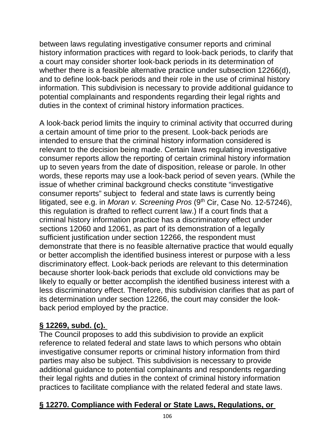between laws regulating investigative consumer reports and criminal history information practices with regard to look-back periods, to clarify that a court may consider shorter look-back periods in its determination of whether there is a feasible alternative practice under subsection 12266(d), and to define look-back periods and their role in the use of criminal history information. This subdivision is necessary to provide additional guidance to potential complainants and respondents regarding their legal rights and duties in the context of criminal history information practices.

A look-back period limits the inquiry to criminal activity that occurred during a certain amount of time prior to the present. Look-back periods are intended to ensure that the criminal history information considered is relevant to the decision being made. Certain laws regulating investigative consumer reports allow the reporting of certain criminal history information up to seven years from the date of disposition, release or parole. In other words, these reports may use a look-back period of seven years. (While the issue of whether criminal background checks constitute "investigative consumer reports" subject to federal and state laws is currently being litigated, see e.g. in *Moran v. Screening Pros* (9<sup>th</sup> Cir, Case No. 12-57246), this regulation is drafted to reflect current law.) If a court finds that a criminal history information practice has a discriminatory effect under sections 12060 and 12061, as part of its demonstration of a legally sufficient justification under section 12266, the respondent must demonstrate that there is no feasible alternative practice that would equally or better accomplish the identified business interest or purpose with a less discriminatory effect. Look-back periods are relevant to this determination because shorter look-back periods that exclude old convictions may be likely to equally or better accomplish the identified business interest with a less discriminatory effect. Therefore, this subdivision clarifies that as part of its determination under section 12266, the court may consider the lookback period employed by the practice.

## **§ 12269, subd. (c).**

The Council proposes to add this subdivision to provide an explicit reference to related federal and state laws to which persons who obtain investigative consumer reports or criminal history information from third parties may also be subject. This subdivision is necessary to provide additional guidance to potential complainants and respondents regarding their legal rights and duties in the context of criminal history information practices to facilitate compliance with the related federal and state laws.

## **§ 12270. Compliance with Federal or State Laws, Regulations, or**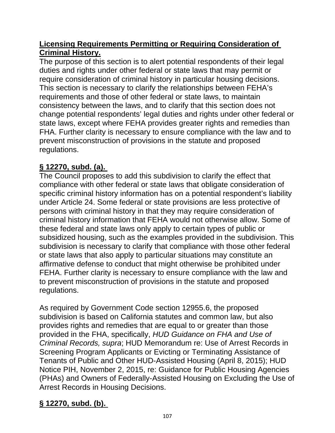### **Licensing Requirements Permitting or Requiring Consideration of Criminal History.**

The purpose of this section is to alert potential respondents of their legal duties and rights under other federal or state laws that may permit or require consideration of criminal history in particular housing decisions. This section is necessary to clarify the relationships between FEHA's requirements and those of other federal or state laws, to maintain consistency between the laws, and to clarify that this section does not change potential respondents' legal duties and rights under other federal or state laws, except where FEHA provides greater rights and remedies than FHA. Further clarity is necessary to ensure compliance with the law and to prevent misconstruction of provisions in the statute and proposed regulations.

# **§ 12270, subd. (a).**

The Council proposes to add this subdivision to clarify the effect that compliance with other federal or state laws that obligate consideration of specific criminal history information has on a potential respondent's liability under Article 24. Some federal or state provisions are less protective of persons with criminal history in that they may require consideration of criminal history information that FEHA would not otherwise allow. Some of these federal and state laws only apply to certain types of public or subsidized housing, such as the examples provided in the subdivision. This subdivision is necessary to clarify that compliance with those other federal or state laws that also apply to particular situations may constitute an affirmative defense to conduct that might otherwise be prohibited under FEHA. Further clarity is necessary to ensure compliance with the law and to prevent misconstruction of provisions in the statute and proposed regulations.

As required by Government Code section 12955.6, the proposed subdivision is based on California statutes and common law, but also provides rights and remedies that are equal to or greater than those provided in the FHA, specifically, *HUD Guidance on FHA and Use of Criminal Records, supra*; HUD Memorandum re: Use of Arrest Records in Screening Program Applicants or Evicting or Terminating Assistance of Tenants of Public and Other HUD-Assisted Housing (April 8, 2015); HUD Notice PIH, November 2, 2015, re: Guidance for Public Housing Agencies (PHAs) and Owners of Federally-Assisted Housing on Excluding the Use of Arrest Records in Housing Decisions.

# **§ 12270, subd. (b).**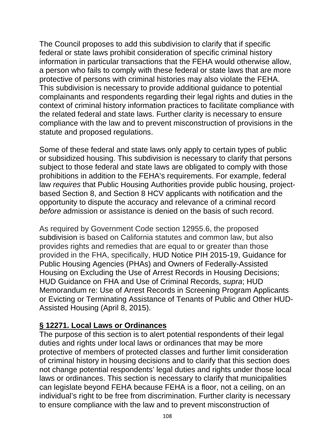The Council proposes to add this subdivision to clarify that if specific federal or state laws prohibit consideration of specific criminal history information in particular transactions that the FEHA would otherwise allow, a person who fails to comply with these federal or state laws that are more protective of persons with criminal histories may also violate the FEHA. This subdivision is necessary to provide additional guidance to potential complainants and respondents regarding their legal rights and duties in the context of criminal history information practices to facilitate compliance with the related federal and state laws. Further clarity is necessary to ensure compliance with the law and to prevent misconstruction of provisions in the statute and proposed regulations.

Some of these federal and state laws only apply to certain types of public or subsidized housing. This subdivision is necessary to clarify that persons subject to those federal and state laws are obligated to comply with those prohibitions in addition to the FEHA's requirements. For example, federal law *requires* that Public Housing Authorities provide public housing, projectbased Section 8, and Section 8 HCV applicants with notification and the opportunity to dispute the accuracy and relevance of a criminal record *before* admission or assistance is denied on the basis of such record.

As required by Government Code section 12955.6, the proposed subdivision is based on California statutes and common law, but also provides rights and remedies that are equal to or greater than those provided in the FHA, specifically, HUD Notice PIH 2015-19, Guidance for Public Housing Agencies (PHAs) and Owners of Federally-Assisted Housing on Excluding the Use of Arrest Records in Housing Decisions; HUD Guidance on FHA and Use of Criminal Records, *supra*; HUD Memorandum re: Use of Arrest Records in Screening Program Applicants or Evicting or Terminating Assistance of Tenants of Public and Other HUD-Assisted Housing (April 8, 2015).

### **§ 12271. Local Laws or Ordinances**

The purpose of this section is to alert potential respondents of their legal duties and rights under local laws or ordinances that may be more protective of members of protected classes and further limit consideration of criminal history in housing decisions and to clarify that this section does not change potential respondents' legal duties and rights under those local laws or ordinances. This section is necessary to clarify that municipalities can legislate beyond FEHA because FEHA is a floor, not a ceiling, on an individual's right to be free from discrimination. Further clarity is necessary to ensure compliance with the law and to prevent misconstruction of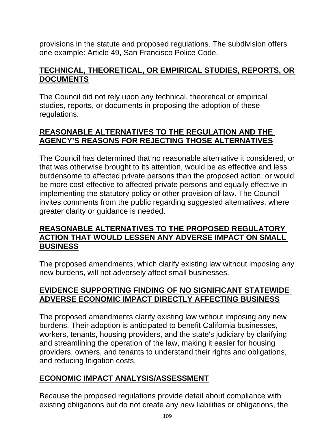provisions in the statute and proposed regulations. The subdivision offers one example: Article 49, San Francisco Police Code.

# **TECHNICAL, THEORETICAL, OR EMPIRICAL STUDIES, REPORTS, OR DOCUMENTS**

The Council did not rely upon any technical, theoretical or empirical studies, reports, or documents in proposing the adoption of these regulations.

## **REASONABLE ALTERNATIVES TO THE REGULATION AND THE AGENCY'S REASONS FOR REJECTING THOSE ALTERNATIVES**

The Council has determined that no reasonable alternative it considered, or that was otherwise brought to its attention, would be as effective and less burdensome to affected private persons than the proposed action, or would be more cost-effective to affected private persons and equally effective in implementing the statutory policy or other provision of law. The Council invites comments from the public regarding suggested alternatives, where greater clarity or guidance is needed.

### **REASONABLE ALTERNATIVES TO THE PROPOSED REGULATORY ACTION THAT WOULD LESSEN ANY ADVERSE IMPACT ON SMALL BUSINESS**

The proposed amendments, which clarify existing law without imposing any new burdens, will not adversely affect small businesses.

## **EVIDENCE SUPPORTING FINDING OF NO SIGNIFICANT STATEWIDE ADVERSE ECONOMIC IMPACT DIRECTLY AFFECTING BUSINESS**

The proposed amendments clarify existing law without imposing any new burdens. Their adoption is anticipated to benefit California businesses, workers, tenants, housing providers, and the state's judiciary by clarifying and streamlining the operation of the law, making it easier for housing providers, owners, and tenants to understand their rights and obligations, and reducing litigation costs.

## **ECONOMIC IMPACT ANALYSIS/ASSESSMENT**

Because the proposed regulations provide detail about compliance with existing obligations but do not create any new liabilities or obligations, the